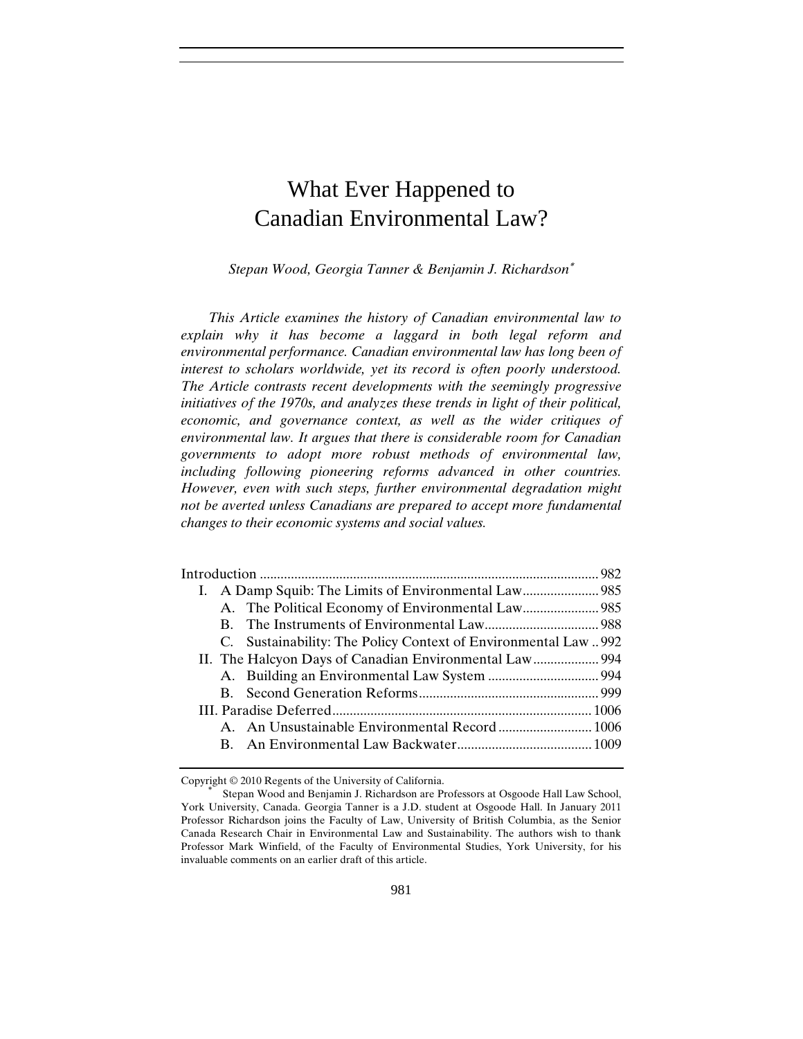# What Ever Happened to Canadian Environmental Law?

*Stepan Wood, Georgia Tanner & Benjamin J. Richardson*<sup>∗</sup>

*This Article examines the history of Canadian environmental law to explain why it has become a laggard in both legal reform and environmental performance. Canadian environmental law has long been of interest to scholars worldwide, yet its record is often poorly understood. The Article contrasts recent developments with the seemingly progressive initiatives of the 1970s, and analyzes these trends in light of their political, economic, and governance context, as well as the wider critiques of environmental law. It argues that there is considerable room for Canadian governments to adopt more robust methods of environmental law, including following pioneering reforms advanced in other countries. However, even with such steps, further environmental degradation might not be averted unless Canadians are prepared to accept more fundamental changes to their economic systems and social values.* 

|  | C. Sustainability: The Policy Context of Environmental Law  992 |  |
|--|-----------------------------------------------------------------|--|
|  |                                                                 |  |
|  |                                                                 |  |
|  |                                                                 |  |
|  |                                                                 |  |
|  |                                                                 |  |
|  |                                                                 |  |
|  |                                                                 |  |

Copyright © 2010 Regents of the University of California.<br>
\* Stepan Wood and Benjamin J. Richardson are Professors at Osgoode Hall Law School, York University, Canada. Georgia Tanner is a J.D. student at Osgoode Hall. In January 2011 Professor Richardson joins the Faculty of Law, University of British Columbia, as the Senior Canada Research Chair in Environmental Law and Sustainability. The authors wish to thank Professor Mark Winfield, of the Faculty of Environmental Studies, York University, for his invaluable comments on an earlier draft of this article.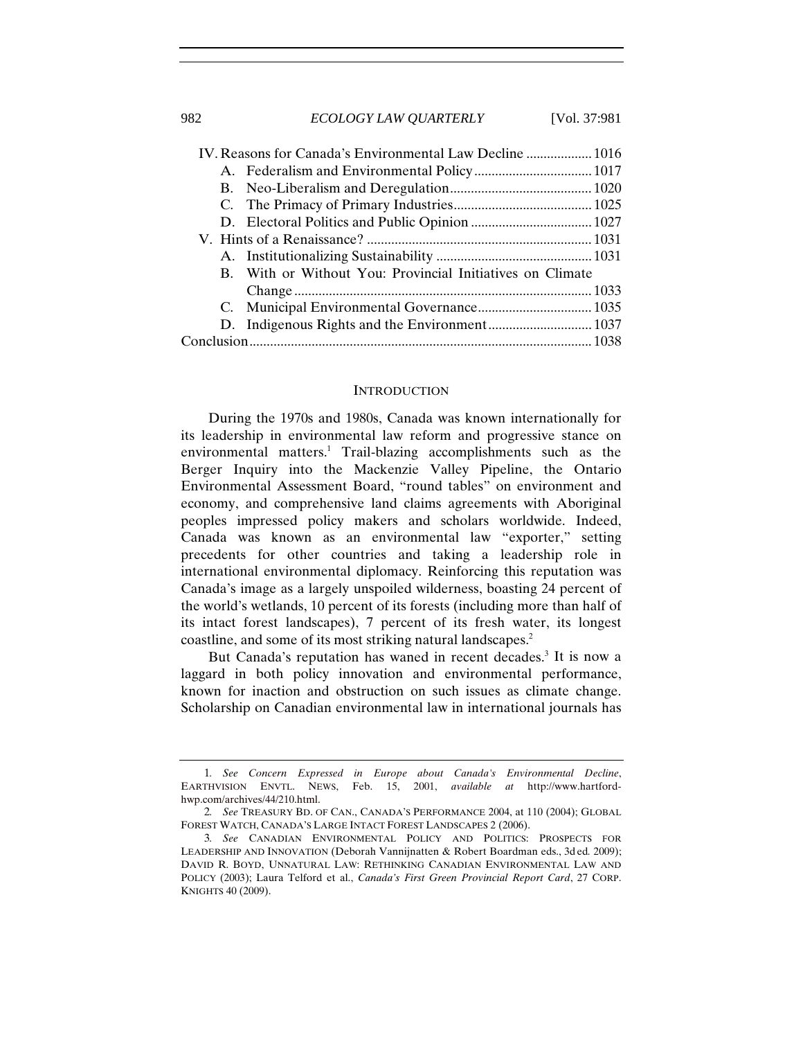|  | IV. Reasons for Canada's Environmental Law Decline  1016  |  |
|--|-----------------------------------------------------------|--|
|  |                                                           |  |
|  |                                                           |  |
|  |                                                           |  |
|  |                                                           |  |
|  |                                                           |  |
|  |                                                           |  |
|  | B. With or Without You: Provincial Initiatives on Climate |  |
|  |                                                           |  |
|  |                                                           |  |
|  |                                                           |  |
|  |                                                           |  |

#### **INTRODUCTION**

During the 1970s and 1980s, Canada was known internationally for its leadership in environmental law reform and progressive stance on environmental matters.<sup>1</sup> Trail-blazing accomplishments such as the Berger Inquiry into the Mackenzie Valley Pipeline, the Ontario Environmental Assessment Board, "round tables" on environment and economy, and comprehensive land claims agreements with Aboriginal peoples impressed policy makers and scholars worldwide. Indeed, Canada was known as an environmental law "exporter," setting precedents for other countries and taking a leadership role in international environmental diplomacy. Reinforcing this reputation was Canada's image as a largely unspoiled wilderness, boasting 24 percent of the world's wetlands, 10 percent of its forests (including more than half of its intact forest landscapes), 7 percent of its fresh water, its longest coastline, and some of its most striking natural landscapes.2

But Canada's reputation has waned in recent decades.<sup>3</sup> It is now a laggard in both policy innovation and environmental performance, known for inaction and obstruction on such issues as climate change. Scholarship on Canadian environmental law in international journals has

<sup>1</sup>*. See Concern Expressed in Europe about Canada's Environmental Decline*, EARTHVISION ENVTL. NEWS, Feb. 15, 2001, *available at* http://www.hartfordhwp.com/archives/44/210.html.

<sup>2</sup>*. See* TREASURY BD. OF CAN., CANADA'S PERFORMANCE 2004, at 110 (2004); GLOBAL FOREST WATCH, CANADA'S LARGE INTACT FOREST LANDSCAPES 2 (2006).

<sup>3</sup>*. See* CANADIAN ENVIRONMENTAL POLICY AND POLITICS: PROSPECTS FOR LEADERSHIP AND INNOVATION (Deborah Vannijnatten & Robert Boardman eds., 3d ed*.* 2009); DAVID R. BOYD, UNNATURAL LAW: RETHINKING CANADIAN ENVIRONMENTAL LAW AND POLICY (2003); Laura Telford et al., *Canada's First Green Provincial Report Card*, 27 CORP. KNIGHTS 40 (2009).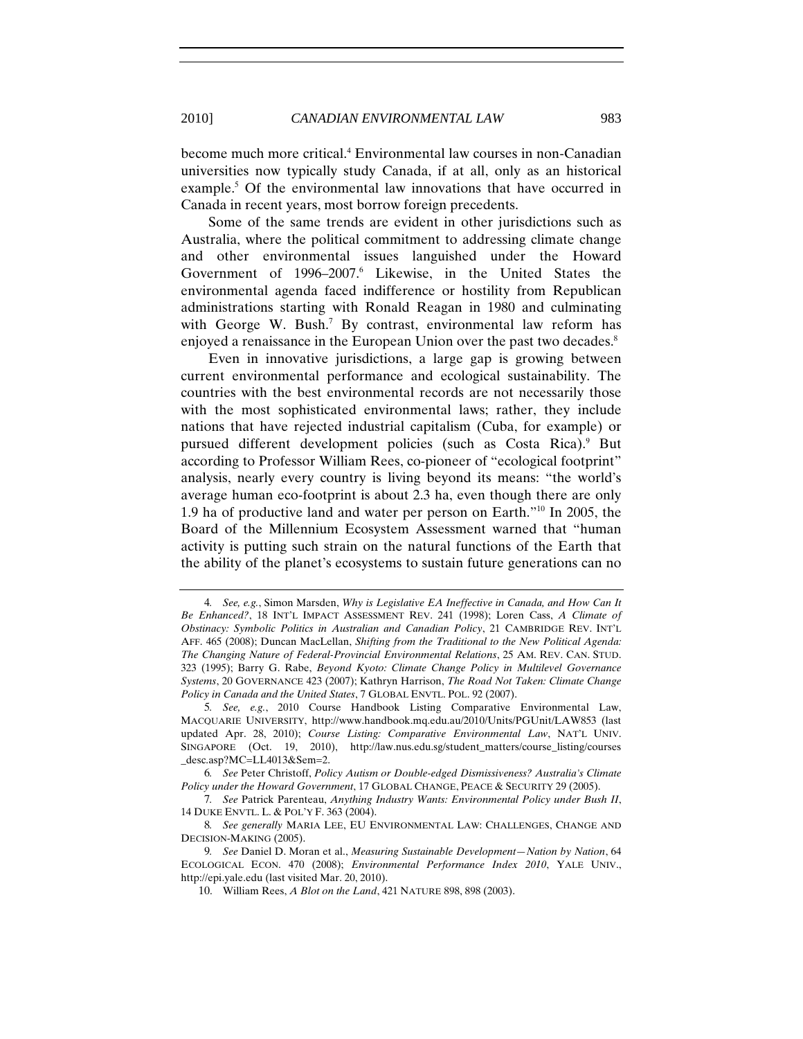become much more critical.4 Environmental law courses in non-Canadian universities now typically study Canada, if at all, only as an historical example.<sup>5</sup> Of the environmental law innovations that have occurred in Canada in recent years, most borrow foreign precedents.

Some of the same trends are evident in other jurisdictions such as Australia, where the political commitment to addressing climate change and other environmental issues languished under the Howard Government of 1996–2007.<sup>6</sup> Likewise, in the United States the environmental agenda faced indifference or hostility from Republican administrations starting with Ronald Reagan in 1980 and culminating with George W. Bush.<sup>7</sup> By contrast, environmental law reform has enjoyed a renaissance in the European Union over the past two decades.<sup>8</sup>

Even in innovative jurisdictions, a large gap is growing between current environmental performance and ecological sustainability. The countries with the best environmental records are not necessarily those with the most sophisticated environmental laws; rather, they include nations that have rejected industrial capitalism (Cuba, for example) or pursued different development policies (such as Costa Rica).<sup>9</sup> But according to Professor William Rees, co-pioneer of "ecological footprint" analysis, nearly every country is living beyond its means: "the world's average human eco-footprint is about 2.3 ha, even though there are only 1.9 ha of productive land and water per person on Earth."10 In 2005, the Board of the Millennium Ecosystem Assessment warned that "human activity is putting such strain on the natural functions of the Earth that the ability of the planet's ecosystems to sustain future generations can no

<sup>4</sup>*. See, e.g.*, Simon Marsden, *Why is Legislative EA Ineffective in Canada, and How Can It Be Enhanced?*, 18 INT'L IMPACT ASSESSMENT REV. 241 (1998); Loren Cass, *A Climate of Obstinacy: Symbolic Politics in Australian and Canadian Policy*, 21 CAMBRIDGE REV. INT'L AFF. 465 (2008); Duncan MacLellan, *Shifting from the Traditional to the New Political Agenda: The Changing Nature of Federal-Provincial Environmental Relations*, 25 AM. REV. CAN. STUD. 323 (1995); Barry G. Rabe, *Beyond Kyoto: Climate Change Policy in Multilevel Governance Systems*, 20 GOVERNANCE 423 (2007); Kathryn Harrison, *The Road Not Taken: Climate Change Policy in Canada and the United States*, 7 GLOBAL ENVTL. POL. 92 (2007).

<sup>5</sup>*. See, e.g.*, 2010 Course Handbook Listing Comparative Environmental Law, MACQUARIE UNIVERSITY, http://www.handbook.mq.edu.au/2010/Units/PGUnit/LAW853 (last updated Apr. 28, 2010); *Course Listing: Comparative Environmental Law*, NAT'L UNIV. SINGAPORE (Oct. 19, 2010), http://law.nus.edu.sg/student\_matters/course\_listing/courses \_desc.asp?MC=LL4013&Sem=2.

<sup>6</sup>*. See* Peter Christoff, *Policy Autism or Double-edged Dismissiveness? Australia's Climate Policy under the Howard Government*, 17 GLOBAL CHANGE, PEACE & SECURITY 29 (2005).

<sup>7</sup>*. See* Patrick Parenteau, *Anything Industry Wants: Environmental Policy under Bush II*, 14 DUKE ENVTL. L. & POL'Y F. 363 (2004).

<sup>8</sup>*. See generally* MARIA LEE, EU ENVIRONMENTAL LAW: CHALLENGES, CHANGE AND DECISION-MAKING (2005).

<sup>9</sup>*. See* Daniel D. Moran et al., *Measuring Sustainable Development—Nation by Nation*, 64 ECOLOGICAL ECON. 470 (2008); *Environmental Performance Index 2010*, YALE UNIV., http://epi.yale.edu (last visited Mar. 20, 2010).

<sup>10.</sup> William Rees, *A Blot on the Land*, 421 NATURE 898, 898 (2003).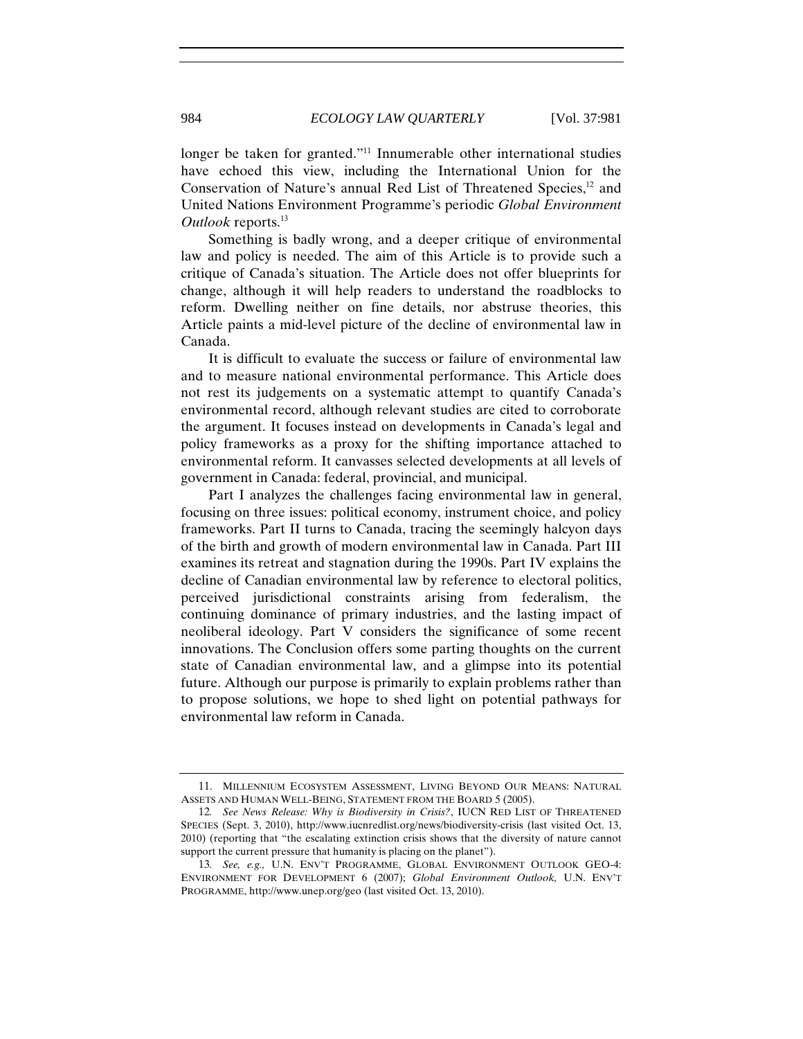longer be taken for granted."<sup>11</sup> Innumerable other international studies have echoed this view, including the International Union for the Conservation of Nature's annual Red List of Threatened Species,<sup>12</sup> and United Nations Environment Programme's periodic *Global Environment Outlook* reports.<sup>13</sup>

Something is badly wrong, and a deeper critique of environmental law and policy is needed. The aim of this Article is to provide such a critique of Canada's situation. The Article does not offer blueprints for change, although it will help readers to understand the roadblocks to reform. Dwelling neither on fine details, nor abstruse theories, this Article paints a mid-level picture of the decline of environmental law in Canada.

It is difficult to evaluate the success or failure of environmental law and to measure national environmental performance. This Article does not rest its judgements on a systematic attempt to quantify Canada's environmental record, although relevant studies are cited to corroborate the argument. It focuses instead on developments in Canada's legal and policy frameworks as a proxy for the shifting importance attached to environmental reform. It canvasses selected developments at all levels of government in Canada: federal, provincial, and municipal.

Part I analyzes the challenges facing environmental law in general, focusing on three issues: political economy, instrument choice, and policy frameworks. Part II turns to Canada, tracing the seemingly halcyon days of the birth and growth of modern environmental law in Canada. Part III examines its retreat and stagnation during the 1990s. Part IV explains the decline of Canadian environmental law by reference to electoral politics, perceived jurisdictional constraints arising from federalism, the continuing dominance of primary industries, and the lasting impact of neoliberal ideology. Part V considers the significance of some recent innovations. The Conclusion offers some parting thoughts on the current state of Canadian environmental law, and a glimpse into its potential future. Although our purpose is primarily to explain problems rather than to propose solutions, we hope to shed light on potential pathways for environmental law reform in Canada.

<sup>11.</sup> MILLENNIUM ECOSYSTEM ASSESSMENT, LIVING BEYOND OUR MEANS: NATURAL ASSETS AND HUMAN WELL-BEING, STATEMENT FROM THE BOARD 5 (2005).

<sup>12</sup>*. See News Release: Why is Biodiversity in Crisis?*, IUCN RED LIST OF THREATENED SPECIES (Sept. 3, 2010), http://www.iucnredlist.org/news/biodiversity-crisis (last visited Oct. 13, 2010) (reporting that "the escalating extinction crisis shows that the diversity of nature cannot support the current pressure that humanity is placing on the planet").

<sup>13</sup>*. See, e.g.,* U.N. ENV'T PROGRAMME, GLOBAL ENVIRONMENT OUTLOOK GEO-4: ENVIRONMENT FOR DEVELOPMENT 6 (2007); *Global Environment Outlook,* U.N. ENV'T PROGRAMME, http://www.unep.org/geo (last visited Oct. 13, 2010).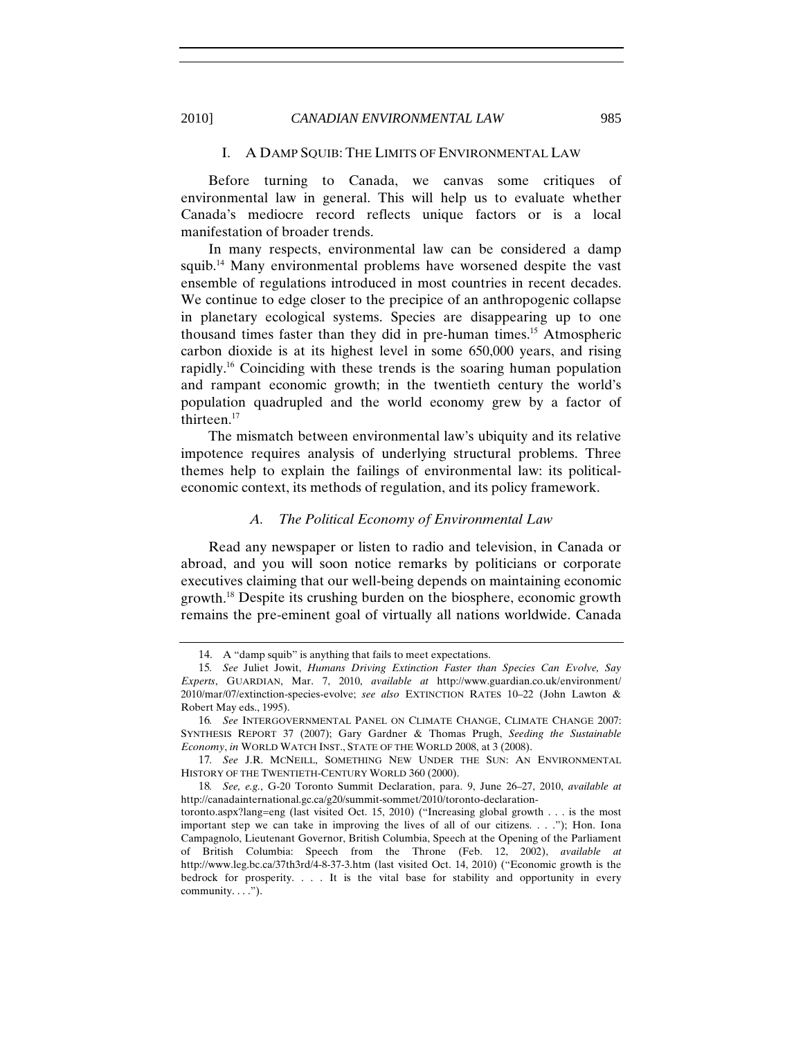# I. A DAMP SQUIB: THE LIMITS OF ENVIRONMENTAL LAW

Before turning to Canada, we canvas some critiques of environmental law in general. This will help us to evaluate whether Canada's mediocre record reflects unique factors or is a local manifestation of broader trends.

In many respects, environmental law can be considered a damp squib.<sup>14</sup> Many environmental problems have worsened despite the vast ensemble of regulations introduced in most countries in recent decades. We continue to edge closer to the precipice of an anthropogenic collapse in planetary ecological systems. Species are disappearing up to one thousand times faster than they did in pre-human times.15 Atmospheric carbon dioxide is at its highest level in some 650,000 years, and rising rapidly.16 Coinciding with these trends is the soaring human population and rampant economic growth; in the twentieth century the world's population quadrupled and the world economy grew by a factor of thirteen.<sup>17</sup>

The mismatch between environmental law's ubiquity and its relative impotence requires analysis of underlying structural problems. Three themes help to explain the failings of environmental law: its politicaleconomic context, its methods of regulation, and its policy framework.

#### *A. The Political Economy of Environmental Law*

Read any newspaper or listen to radio and television, in Canada or abroad, and you will soon notice remarks by politicians or corporate executives claiming that our well-being depends on maintaining economic growth.18 Despite its crushing burden on the biosphere, economic growth remains the pre-eminent goal of virtually all nations worldwide. Canada

<sup>14.</sup> A "damp squib" is anything that fails to meet expectations.

<sup>15</sup>*. See* Juliet Jowit, *Humans Driving Extinction Faster than Species Can Evolve, Say Experts*, GUARDIAN, Mar. 7, 2010, *available at* http://www.guardian.co.uk/environment/ 2010/mar/07/extinction-species-evolve; *see also* EXTINCTION RATES 10–22 (John Lawton & Robert May eds., 1995).

<sup>16</sup>*. See* INTERGOVERNMENTAL PANEL ON CLIMATE CHANGE, CLIMATE CHANGE 2007: SYNTHESIS REPORT 37 (2007); Gary Gardner & Thomas Prugh, *Seeding the Sustainable Economy*, *in* WORLD WATCH INST., STATE OF THE WORLD 2008, at 3 (2008).

<sup>17</sup>*. See* J.R. MCNEILL, SOMETHING NEW UNDER THE SUN: AN ENVIRONMENTAL HISTORY OF THE TWENTIETH-CENTURY WORLD 360 (2000).

<sup>18</sup>*. See, e.g.*, G-20 Toronto Summit Declaration, para. 9, June 26–27, 2010, *available at*  http://canadainternational.gc.ca/g20/summit-sommet/2010/toronto-declaration-

toronto.aspx?lang=eng (last visited Oct. 15, 2010) ("Increasing global growth . . . is the most important step we can take in improving the lives of all of our citizens. . . ."); Hon. Iona Campagnolo, Lieutenant Governor, British Columbia, Speech at the Opening of the Parliament of British Columbia: Speech from the Throne (Feb. 12, 2002), *available at*  http://www.leg.bc.ca/37th3rd/4-8-37-3.htm (last visited Oct. 14, 2010) ("Economic growth is the bedrock for prosperity. . . . It is the vital base for stability and opportunity in every community.  $\dots$ ").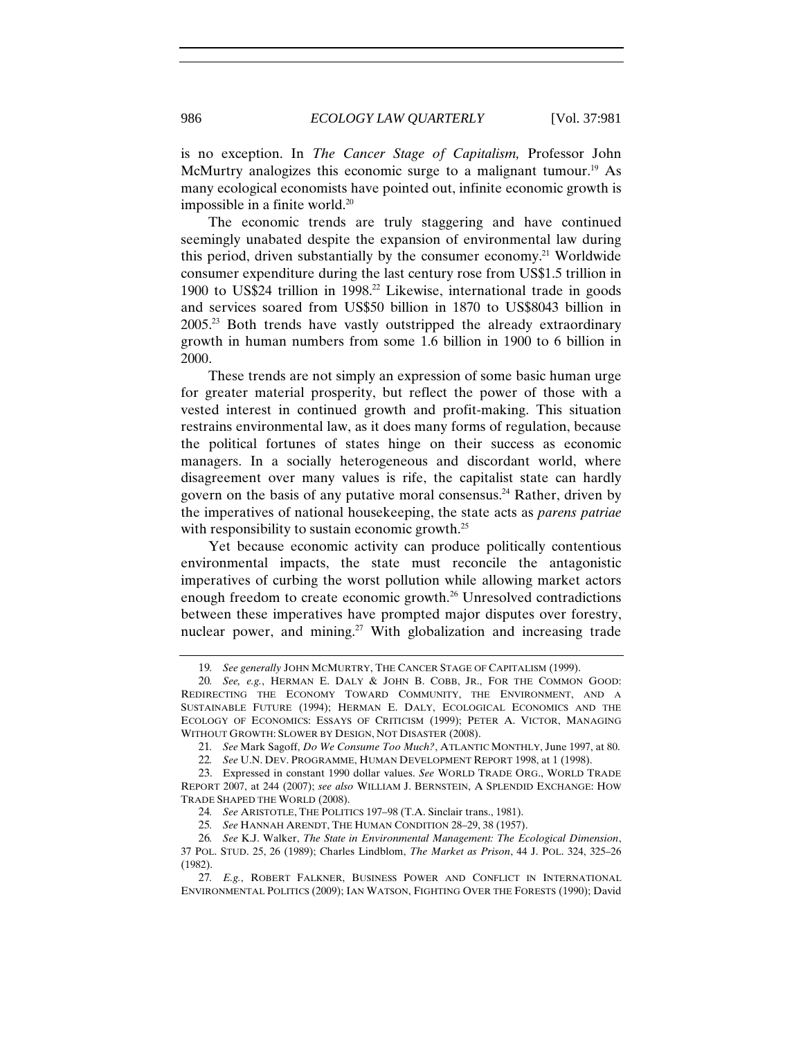is no exception. In *The Cancer Stage of Capitalism,* Professor John McMurtry analogizes this economic surge to a malignant tumour.<sup>19</sup> As many ecological economists have pointed out, infinite economic growth is impossible in a finite world.20

The economic trends are truly staggering and have continued seemingly unabated despite the expansion of environmental law during this period, driven substantially by the consumer economy.21 Worldwide consumer expenditure during the last century rose from US\$1.5 trillion in 1900 to US\$24 trillion in 1998.<sup>22</sup> Likewise, international trade in goods and services soared from US\$50 billion in 1870 to US\$8043 billion in 2005.23 Both trends have vastly outstripped the already extraordinary growth in human numbers from some 1.6 billion in 1900 to 6 billion in 2000.

These trends are not simply an expression of some basic human urge for greater material prosperity, but reflect the power of those with a vested interest in continued growth and profit-making. This situation restrains environmental law, as it does many forms of regulation, because the political fortunes of states hinge on their success as economic managers. In a socially heterogeneous and discordant world, where disagreement over many values is rife, the capitalist state can hardly govern on the basis of any putative moral consensus.<sup>24</sup> Rather, driven by the imperatives of national housekeeping, the state acts as *parens patriae* with responsibility to sustain economic growth.<sup>25</sup>

Yet because economic activity can produce politically contentious environmental impacts, the state must reconcile the antagonistic imperatives of curbing the worst pollution while allowing market actors enough freedom to create economic growth.<sup>26</sup> Unresolved contradictions between these imperatives have prompted major disputes over forestry, nuclear power, and mining.<sup>27</sup> With globalization and increasing trade

<sup>19</sup>*. See generally* JOHN MCMURTRY, THE CANCER STAGE OF CAPITALISM (1999).

<sup>20</sup>*. See, e.g.*, HERMAN E. DALY & JOHN B. COBB, JR., FOR THE COMMON GOOD: REDIRECTING THE ECONOMY TOWARD COMMUNITY, THE ENVIRONMENT, AND A SUSTAINABLE FUTURE (1994); HERMAN E. DALY, ECOLOGICAL ECONOMICS AND THE ECOLOGY OF ECONOMICS: ESSAYS OF CRITICISM (1999); PETER A. VICTOR, MANAGING WITHOUT GROWTH: SLOWER BY DESIGN, NOT DISASTER (2008).

<sup>21</sup>*. See* Mark Sagoff, *Do We Consume Too Much?*, ATLANTIC MONTHLY, June 1997, at 80.

<sup>22</sup>*. See* U.N. DEV. PROGRAMME, HUMAN DEVELOPMENT REPORT 1998, at 1 (1998).

<sup>23.</sup> Expressed in constant 1990 dollar values. *See* WORLD TRADE ORG., WORLD TRADE REPORT 2007, at 244 (2007); *see also* WILLIAM J. BERNSTEIN, A SPLENDID EXCHANGE: HOW TRADE SHAPED THE WORLD (2008).

<sup>24</sup>*. See* ARISTOTLE, THE POLITICS 197–98 (T.A. Sinclair trans., 1981).

<sup>25</sup>*. See* HANNAH ARENDT, THE HUMAN CONDITION 28–29, 38 (1957).

<sup>26</sup>*. See* K.J. Walker, *The State in Environmental Management: The Ecological Dimension*, 37 POL. STUD. 25, 26 (1989); Charles Lindblom, *The Market as Prison*, 44 J. POL. 324, 325–26 (1982).

<sup>27</sup>*. E.g.*, ROBERT FALKNER, BUSINESS POWER AND CONFLICT IN INTERNATIONAL ENVIRONMENTAL POLITICS (2009); IAN WATSON, FIGHTING OVER THE FORESTS (1990); David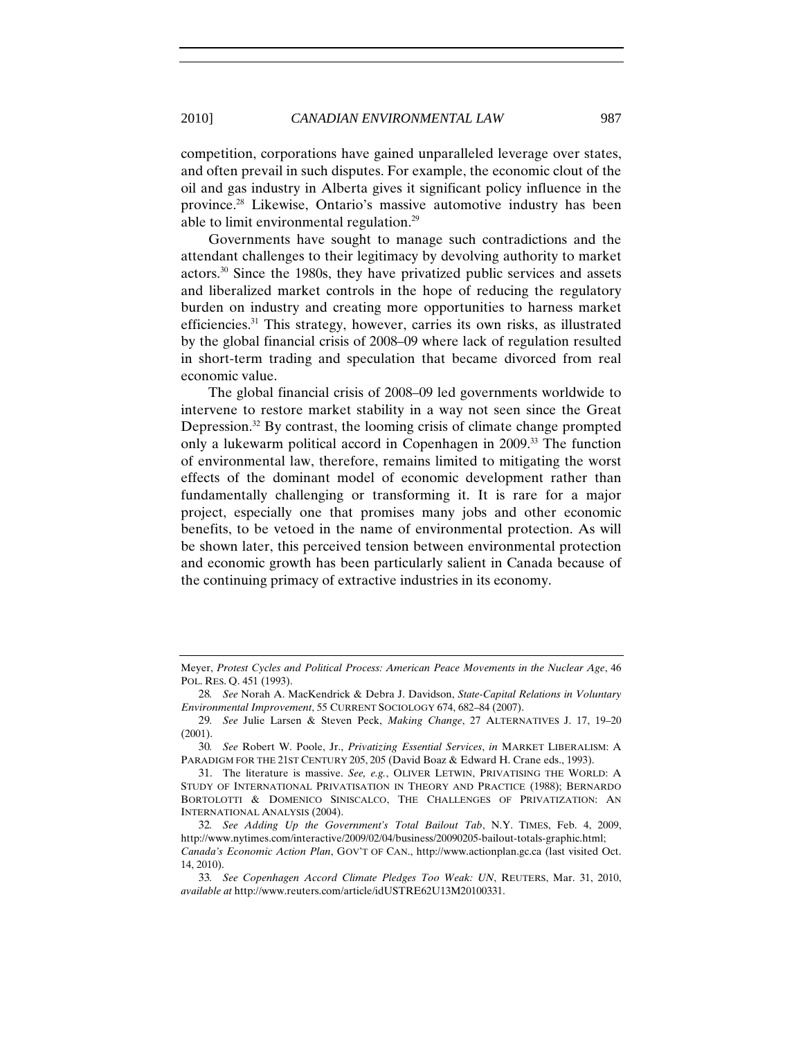competition, corporations have gained unparalleled leverage over states, and often prevail in such disputes. For example, the economic clout of the oil and gas industry in Alberta gives it significant policy influence in the province.28 Likewise, Ontario's massive automotive industry has been able to limit environmental regulation.29

Governments have sought to manage such contradictions and the attendant challenges to their legitimacy by devolving authority to market actors.30 Since the 1980s, they have privatized public services and assets and liberalized market controls in the hope of reducing the regulatory burden on industry and creating more opportunities to harness market efficiencies.31 This strategy, however, carries its own risks, as illustrated by the global financial crisis of 2008–09 where lack of regulation resulted in short-term trading and speculation that became divorced from real economic value.

The global financial crisis of 2008–09 led governments worldwide to intervene to restore market stability in a way not seen since the Great Depression.32 By contrast, the looming crisis of climate change prompted only a lukewarm political accord in Copenhagen in 2009.33 The function of environmental law, therefore, remains limited to mitigating the worst effects of the dominant model of economic development rather than fundamentally challenging or transforming it. It is rare for a major project, especially one that promises many jobs and other economic benefits, to be vetoed in the name of environmental protection. As will be shown later, this perceived tension between environmental protection and economic growth has been particularly salient in Canada because of the continuing primacy of extractive industries in its economy.

Meyer, *Protest Cycles and Political Process: American Peace Movements in the Nuclear Age*, 46 POL. RES. Q. 451 (1993).

<sup>28</sup>*. See* Norah A. MacKendrick & Debra J. Davidson, *State-Capital Relations in Voluntary Environmental Improvement*, 55 CURRENT SOCIOLOGY 674, 682–84 (2007).

<sup>29</sup>*. See* Julie Larsen & Steven Peck, *Making Change*, 27 ALTERNATIVES J. 17, 19–20 (2001).

<sup>30</sup>*. See* Robert W. Poole, Jr., *Privatizing Essential Services*, *in* MARKET LIBERALISM: A PARADIGM FOR THE 21ST CENTURY 205, 205 (David Boaz & Edward H. Crane eds., 1993).

<sup>31.</sup> The literature is massive. *See, e.g.*, OLIVER LETWIN, PRIVATISING THE WORLD: A STUDY OF INTERNATIONAL PRIVATISATION IN THEORY AND PRACTICE (1988); BERNARDO BORTOLOTTI & DOMENICO SINISCALCO, THE CHALLENGES OF PRIVATIZATION: AN INTERNATIONAL ANALYSIS (2004).

<sup>32</sup>*. See Adding Up the Government's Total Bailout Tab*, N.Y. TIMES, Feb. 4, 2009, http://www.nytimes.com/interactive/2009/02/04/business/20090205-bailout-totals-graphic.html; *Canada's Economic Action Plan*, GOV'T OF CAN., http://www.actionplan.gc.ca (last visited Oct. 14, 2010).

<sup>33</sup>*. See Copenhagen Accord Climate Pledges Too Weak: UN*, REUTERS, Mar. 31, 2010, *available at* http://www.reuters.com/article/idUSTRE62U13M20100331.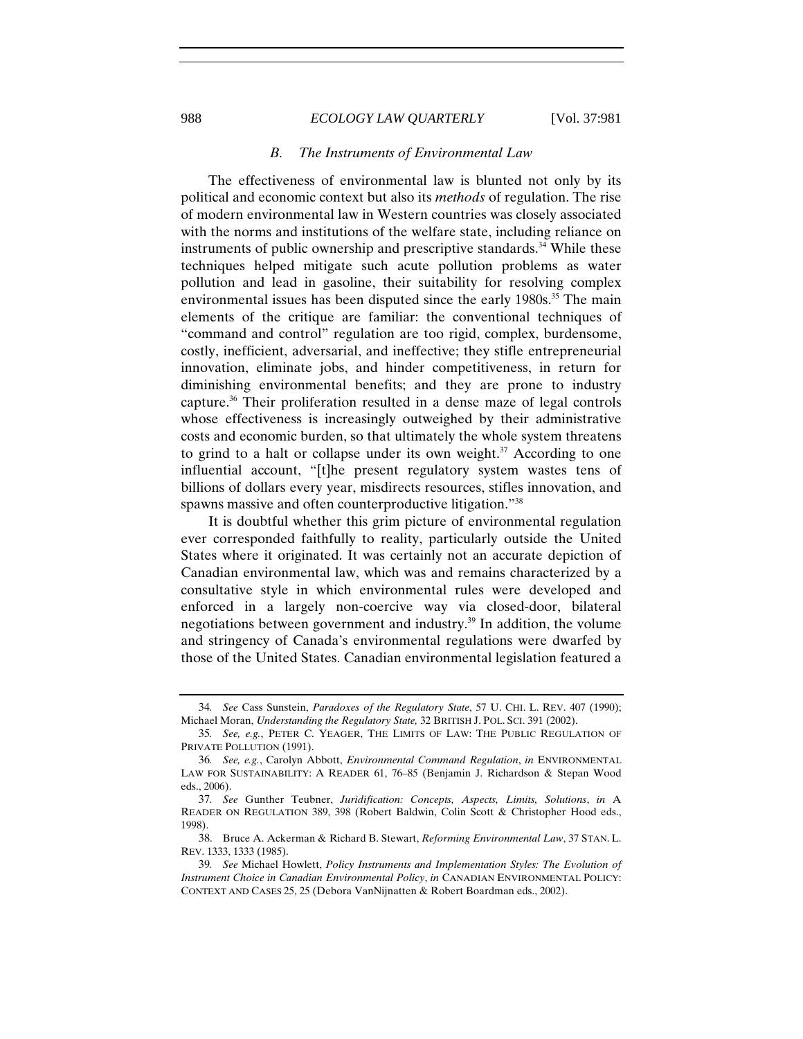#### *B. The Instruments of Environmental Law*

The effectiveness of environmental law is blunted not only by its political and economic context but also its *methods* of regulation. The rise of modern environmental law in Western countries was closely associated with the norms and institutions of the welfare state, including reliance on instruments of public ownership and prescriptive standards.<sup>34</sup> While these techniques helped mitigate such acute pollution problems as water pollution and lead in gasoline, their suitability for resolving complex environmental issues has been disputed since the early 1980s.<sup>35</sup> The main elements of the critique are familiar: the conventional techniques of "command and control" regulation are too rigid, complex, burdensome, costly, inefficient, adversarial, and ineffective; they stifle entrepreneurial innovation, eliminate jobs, and hinder competitiveness, in return for diminishing environmental benefits; and they are prone to industry capture.36 Their proliferation resulted in a dense maze of legal controls whose effectiveness is increasingly outweighed by their administrative costs and economic burden, so that ultimately the whole system threatens to grind to a halt or collapse under its own weight. $37$  According to one influential account, "[t]he present regulatory system wastes tens of billions of dollars every year, misdirects resources, stifles innovation, and spawns massive and often counterproductive litigation."38

It is doubtful whether this grim picture of environmental regulation ever corresponded faithfully to reality, particularly outside the United States where it originated. It was certainly not an accurate depiction of Canadian environmental law, which was and remains characterized by a consultative style in which environmental rules were developed and enforced in a largely non-coercive way via closed-door, bilateral negotiations between government and industry.39 In addition, the volume and stringency of Canada's environmental regulations were dwarfed by those of the United States. Canadian environmental legislation featured a

<sup>34</sup>*. See* Cass Sunstein, *Paradoxes of the Regulatory State*, 57 U. CHI. L. REV. 407 (1990); Michael Moran, *Understanding the Regulatory State,* 32 BRITISH J. POL. SCI. 391 (2002).

<sup>35</sup>*. See, e.g.*, PETER C. YEAGER, THE LIMITS OF LAW: THE PUBLIC REGULATION OF PRIVATE POLLUTION (1991).

<sup>36</sup>*. See, e.g.*, Carolyn Abbott, *Environmental Command Regulation*, *in* ENVIRONMENTAL LAW FOR SUSTAINABILITY: A READER 61, 76–85 (Benjamin J. Richardson & Stepan Wood eds., 2006).

<sup>37</sup>*. See* Gunther Teubner, *Juridification: Concepts, Aspects, Limits, Solutions*, *in* A READER ON REGULATION 389, 398 (Robert Baldwin, Colin Scott & Christopher Hood eds., 1998).

<sup>38.</sup> Bruce A. Ackerman & Richard B. Stewart, *Reforming Environmental Law*, 37 STAN. L. REV. 1333, 1333 (1985).

<sup>39</sup>*. See* Michael Howlett, *Policy Instruments and Implementation Styles: The Evolution of Instrument Choice in Canadian Environmental Policy*, *in* CANADIAN ENVIRONMENTAL POLICY: CONTEXT AND CASES 25, 25 (Debora VanNijnatten & Robert Boardman eds., 2002).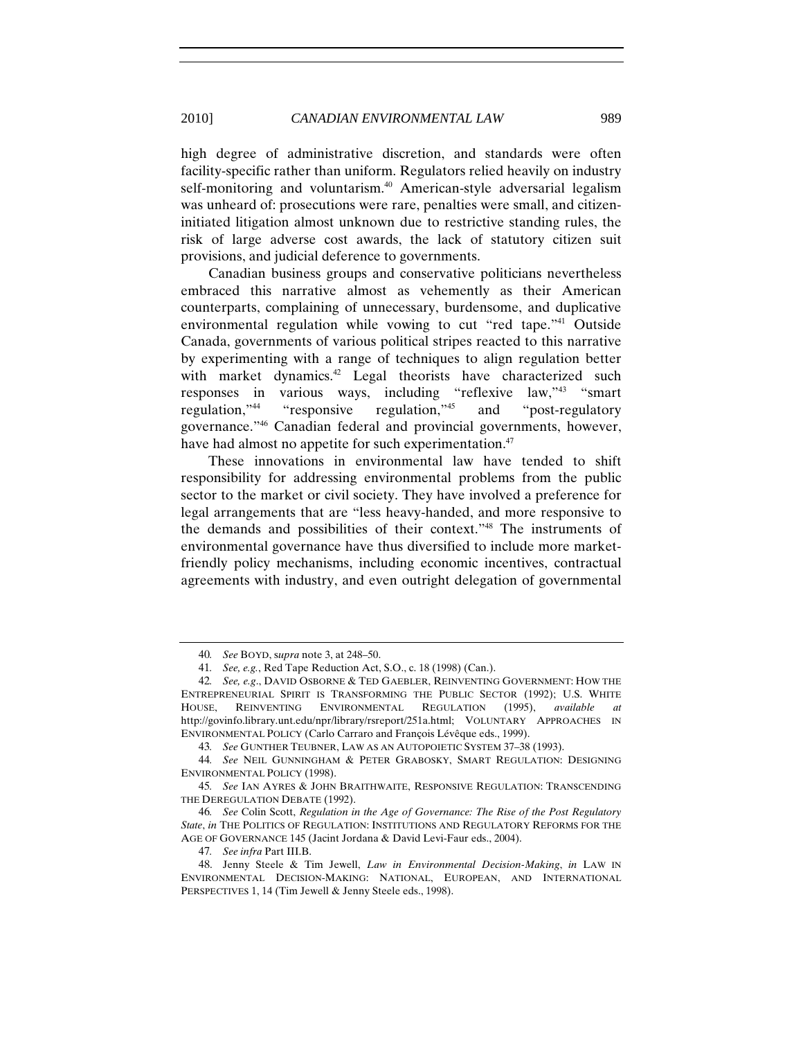high degree of administrative discretion, and standards were often facility-specific rather than uniform. Regulators relied heavily on industry self-monitoring and voluntarism.<sup>40</sup> American-style adversarial legalism was unheard of: prosecutions were rare, penalties were small, and citizeninitiated litigation almost unknown due to restrictive standing rules, the risk of large adverse cost awards, the lack of statutory citizen suit provisions, and judicial deference to governments.

Canadian business groups and conservative politicians nevertheless embraced this narrative almost as vehemently as their American counterparts, complaining of unnecessary, burdensome, and duplicative environmental regulation while vowing to cut "red tape."<sup>41</sup> Outside Canada, governments of various political stripes reacted to this narrative by experimenting with a range of techniques to align regulation better with market dynamics.<sup>42</sup> Legal theorists have characterized such responses in various ways, including "reflexive law,"43 "smart regulation,"44 "responsive regulation,"45 and "post-regulatory governance."46 Canadian federal and provincial governments, however, have had almost no appetite for such experimentation.<sup>47</sup>

These innovations in environmental law have tended to shift responsibility for addressing environmental problems from the public sector to the market or civil society. They have involved a preference for legal arrangements that are "less heavy-handed, and more responsive to the demands and possibilities of their context."48 The instruments of environmental governance have thus diversified to include more marketfriendly policy mechanisms, including economic incentives, contractual agreements with industry, and even outright delegation of governmental

<sup>40</sup>*. See* BOYD, s*upra* note 3, at 248–50.

<sup>41</sup>*. See, e.g.*, Red Tape Reduction Act, S.O., c. 18 (1998) (Can.).

<sup>42</sup>*. See, e.g*., DAVID OSBORNE & TED GAEBLER, REINVENTING GOVERNMENT: HOW THE ENTREPRENEURIAL SPIRIT IS TRANSFORMING THE PUBLIC SECTOR (1992); U.S. WHITE HOUSE, REINVENTING ENVIRONMENTAL REGULATION (1995), *available at* http://govinfo.library.unt.edu/npr/library/rsreport/251a.html; VOLUNTARY APPROACHES IN ENVIRONMENTAL POLICY (Carlo Carraro and François Lévêque eds., 1999).

<sup>43</sup>*. See* GUNTHER TEUBNER, LAW AS AN AUTOPOIETIC SYSTEM 37–38 (1993).

<sup>44</sup>*. See* NEIL GUNNINGHAM & PETER GRABOSKY, SMART REGULATION: DESIGNING ENVIRONMENTAL POLICY (1998).

<sup>45</sup>*. See* IAN AYRES & JOHN BRAITHWAITE, RESPONSIVE REGULATION: TRANSCENDING THE DEREGULATION DEBATE (1992).

<sup>46</sup>*. See* Colin Scott, *Regulation in the Age of Governance: The Rise of the Post Regulatory State*, *in* THE POLITICS OF REGULATION: INSTITUTIONS AND REGULATORY REFORMS FOR THE AGE OF GOVERNANCE 145 (Jacint Jordana & David Levi-Faur eds., 2004).

<sup>47</sup>*. See infra* Part III.B.

<sup>48.</sup> Jenny Steele & Tim Jewell, *Law in Environmental Decision-Making*, *in* LAW IN ENVIRONMENTAL DECISION-MAKING: NATIONAL, EUROPEAN, AND INTERNATIONAL PERSPECTIVES 1, 14 (Tim Jewell & Jenny Steele eds., 1998).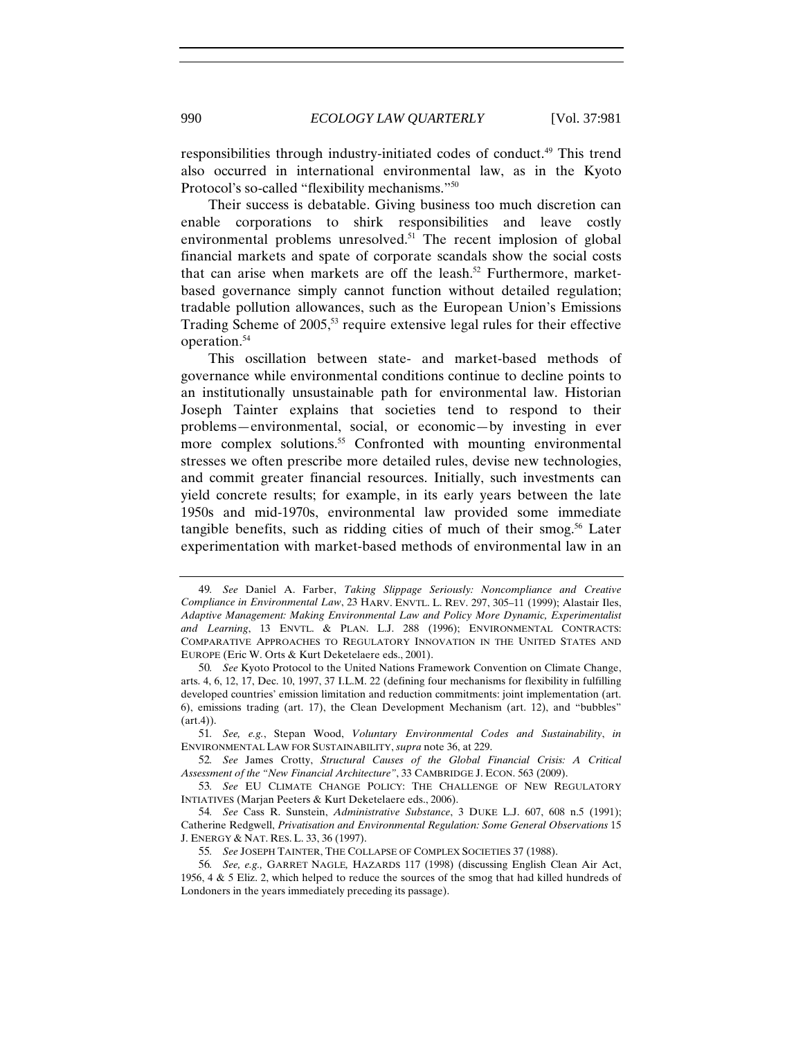responsibilities through industry-initiated codes of conduct.49 This trend also occurred in international environmental law, as in the Kyoto Protocol's so-called "flexibility mechanisms."50

Their success is debatable. Giving business too much discretion can enable corporations to shirk responsibilities and leave costly environmental problems unresolved.<sup>51</sup> The recent implosion of global financial markets and spate of corporate scandals show the social costs that can arise when markets are off the leash.<sup>52</sup> Furthermore, marketbased governance simply cannot function without detailed regulation; tradable pollution allowances, such as the European Union's Emissions Trading Scheme of 2005,<sup>53</sup> require extensive legal rules for their effective operation.54

This oscillation between state- and market-based methods of governance while environmental conditions continue to decline points to an institutionally unsustainable path for environmental law. Historian Joseph Tainter explains that societies tend to respond to their problems—environmental, social, or economic—by investing in ever more complex solutions.<sup>55</sup> Confronted with mounting environmental stresses we often prescribe more detailed rules, devise new technologies, and commit greater financial resources. Initially, such investments can yield concrete results; for example, in its early years between the late 1950s and mid-1970s, environmental law provided some immediate tangible benefits, such as ridding cities of much of their smog. $56$  Later experimentation with market-based methods of environmental law in an

<sup>49</sup>*. See* Daniel A. Farber, *Taking Slippage Seriously: Noncompliance and Creative Compliance in Environmental Law*, 23 HARV. ENVTL. L. REV. 297, 305–11 (1999); Alastair Iles, *Adaptive Management: Making Environmental Law and Policy More Dynamic, Experimentalist and Learning*, 13 ENVTL. & PLAN. L.J. 288 (1996); ENVIRONMENTAL CONTRACTS: COMPARATIVE APPROACHES TO REGULATORY INNOVATION IN THE UNITED STATES AND EUROPE (Eric W. Orts & Kurt Deketelaere eds., 2001).

<sup>50</sup>*. See* Kyoto Protocol to the United Nations Framework Convention on Climate Change, arts. 4, 6, 12, 17, Dec. 10, 1997, 37 I.L.M. 22 (defining four mechanisms for flexibility in fulfilling developed countries' emission limitation and reduction commitments: joint implementation (art. 6), emissions trading (art. 17), the Clean Development Mechanism (art. 12), and "bubbles" (art.4)).

<sup>51</sup>*. See, e.g.*, Stepan Wood, *Voluntary Environmental Codes and Sustainability*, *in* ENVIRONMENTAL LAW FOR SUSTAINABILITY, *supra* note 36, at 229.

<sup>52</sup>*. See* James Crotty, *Structural Causes of the Global Financial Crisis: A Critical Assessment of the "New Financial Architecture"*, 33 CAMBRIDGE J. ECON. 563 (2009).

<sup>53</sup>*. See* EU CLIMATE CHANGE POLICY: THE CHALLENGE OF NEW REGULATORY INTIATIVES (Marjan Peeters & Kurt Deketelaere eds., 2006).

<sup>54</sup>*. See* Cass R. Sunstein, *Administrative Substance*, 3 DUKE L.J. 607, 608 n.5 (1991); Catherine Redgwell, *Privatisation and Environmental Regulation: Some General Observations* 15 J. ENERGY & NAT. RES. L. 33, 36 (1997).

<sup>55</sup>*. See* JOSEPH TAINTER, THE COLLAPSE OF COMPLEX SOCIETIES 37 (1988).

<sup>56</sup>*. See, e.g.,* GARRET NAGLE*,* HAZARDS 117 (1998) (discussing English Clean Air Act, 1956, 4 & 5 Eliz. 2, which helped to reduce the sources of the smog that had killed hundreds of Londoners in the years immediately preceding its passage).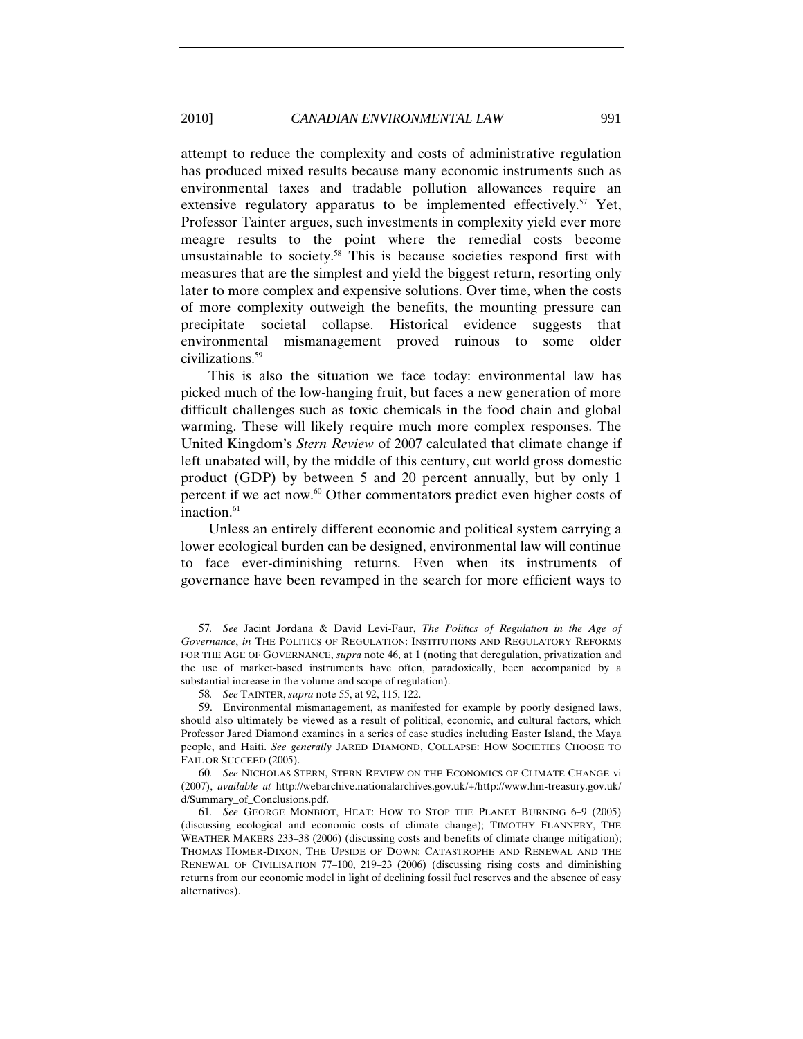attempt to reduce the complexity and costs of administrative regulation has produced mixed results because many economic instruments such as environmental taxes and tradable pollution allowances require an extensive regulatory apparatus to be implemented effectively.<sup>57</sup> Yet, Professor Tainter argues, such investments in complexity yield ever more meagre results to the point where the remedial costs become unsustainable to society.<sup>58</sup> This is because societies respond first with measures that are the simplest and yield the biggest return, resorting only later to more complex and expensive solutions. Over time, when the costs of more complexity outweigh the benefits, the mounting pressure can precipitate societal collapse. Historical evidence suggests that environmental mismanagement proved ruinous to some older civilizations.59

This is also the situation we face today: environmental law has picked much of the low-hanging fruit, but faces a new generation of more difficult challenges such as toxic chemicals in the food chain and global warming. These will likely require much more complex responses. The United Kingdom's *Stern Review* of 2007 calculated that climate change if left unabated will, by the middle of this century, cut world gross domestic product (GDP) by between 5 and 20 percent annually, but by only 1 percent if we act now.60 Other commentators predict even higher costs of inaction.<sup>61</sup>

Unless an entirely different economic and political system carrying a lower ecological burden can be designed, environmental law will continue to face ever-diminishing returns. Even when its instruments of governance have been revamped in the search for more efficient ways to

<sup>57</sup>*. See* Jacint Jordana & David Levi-Faur, *The Politics of Regulation in the Age of Governance*, *in* THE POLITICS OF REGULATION: INSTITUTIONS AND REGULATORY REFORMS FOR THE AGE OF GOVERNANCE, *supra* note 46, at 1 (noting that deregulation, privatization and the use of market-based instruments have often, paradoxically, been accompanied by a substantial increase in the volume and scope of regulation).

<sup>58</sup>*. See* TAINTER, *supra* note 55, at 92, 115, 122.

<sup>59.</sup> Environmental mismanagement, as manifested for example by poorly designed laws, should also ultimately be viewed as a result of political, economic, and cultural factors, which Professor Jared Diamond examines in a series of case studies including Easter Island, the Maya people, and Haiti. *See generally* JARED DIAMOND, COLLAPSE: HOW SOCIETIES CHOOSE TO FAIL OR SUCCEED (2005).

<sup>60</sup>*. See* NICHOLAS STERN, STERN REVIEW ON THE ECONOMICS OF CLIMATE CHANGE vi (2007), *available at* http://webarchive.nationalarchives.gov.uk/+/http://www.hm-treasury.gov.uk/ d/Summary\_of\_Conclusions.pdf.

<sup>61</sup>*. See* GEORGE MONBIOT, HEAT: HOW TO STOP THE PLANET BURNING 6–9 (2005) (discussing ecological and economic costs of climate change); TIMOTHY FLANNERY, THE WEATHER MAKERS 233–38 (2006) (discussing costs and benefits of climate change mitigation); THOMAS HOMER-DIXON, THE UPSIDE OF DOWN: CATASTROPHE AND RENEWAL AND THE RENEWAL OF CIVILISATION 77–100, 219–23 (2006) (discussing rising costs and diminishing returns from our economic model in light of declining fossil fuel reserves and the absence of easy alternatives).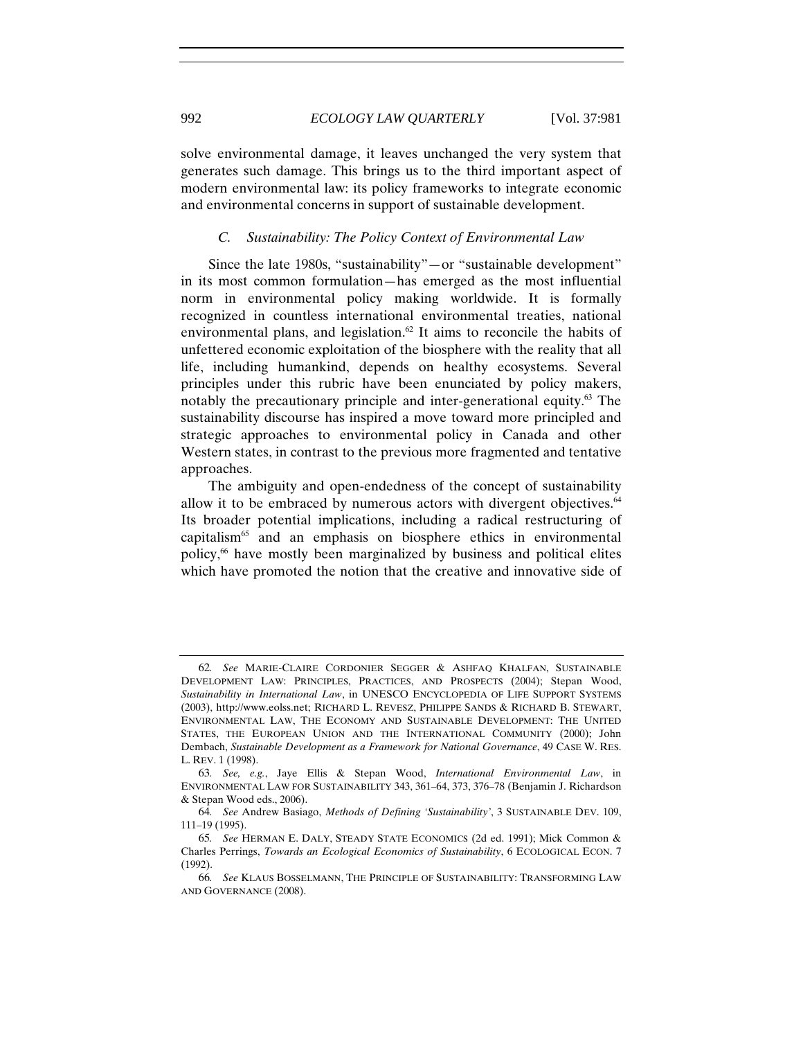solve environmental damage, it leaves unchanged the very system that generates such damage. This brings us to the third important aspect of modern environmental law: its policy frameworks to integrate economic and environmental concerns in support of sustainable development.

## *C. Sustainability: The Policy Context of Environmental Law*

Since the late 1980s, "sustainability"—or "sustainable development" in its most common formulation—has emerged as the most influential norm in environmental policy making worldwide. It is formally recognized in countless international environmental treaties, national environmental plans, and legislation.<sup>62</sup> It aims to reconcile the habits of unfettered economic exploitation of the biosphere with the reality that all life, including humankind, depends on healthy ecosystems. Several principles under this rubric have been enunciated by policy makers, notably the precautionary principle and inter-generational equity.<sup>63</sup> The sustainability discourse has inspired a move toward more principled and strategic approaches to environmental policy in Canada and other Western states, in contrast to the previous more fragmented and tentative approaches.

The ambiguity and open-endedness of the concept of sustainability allow it to be embraced by numerous actors with divergent objectives.<sup>64</sup> Its broader potential implications, including a radical restructuring of capitalism65 and an emphasis on biosphere ethics in environmental policy,66 have mostly been marginalized by business and political elites which have promoted the notion that the creative and innovative side of

<sup>62</sup>*. See* MARIE-CLAIRE CORDONIER SEGGER & ASHFAQ KHALFAN, SUSTAINABLE DEVELOPMENT LAW: PRINCIPLES, PRACTICES, AND PROSPECTS (2004); Stepan Wood, *Sustainability in International Law*, in UNESCO ENCYCLOPEDIA OF LIFE SUPPORT SYSTEMS (2003), http://www.eolss.net; RICHARD L. REVESZ, PHILIPPE SANDS & RICHARD B. STEWART, ENVIRONMENTAL LAW, THE ECONOMY AND SUSTAINABLE DEVELOPMENT: THE UNITED STATES, THE EUROPEAN UNION AND THE INTERNATIONAL COMMUNITY (2000); John Dembach, *Sustainable Development as a Framework for National Governance*, 49 CASE W. RES. L. REV. 1 (1998).

<sup>63</sup>*. See, e.g.*, Jaye Ellis & Stepan Wood, *International Environmental Law*, in ENVIRONMENTAL LAW FOR SUSTAINABILITY 343, 361–64, 373, 376–78 (Benjamin J. Richardson & Stepan Wood eds., 2006).

<sup>64</sup>*. See* Andrew Basiago, *Methods of Defining 'Sustainability'*, 3 SUSTAINABLE DEV. 109, 111–19 (1995).

<sup>65</sup>*. See* HERMAN E. DALY, STEADY STATE ECONOMICS (2d ed. 1991); Mick Common & Charles Perrings, *Towards an Ecological Economics of Sustainability*, 6 ECOLOGICAL ECON. 7 (1992).

<sup>66</sup>*. See* KLAUS BOSSELMANN, THE PRINCIPLE OF SUSTAINABILITY: TRANSFORMING LAW AND GOVERNANCE (2008).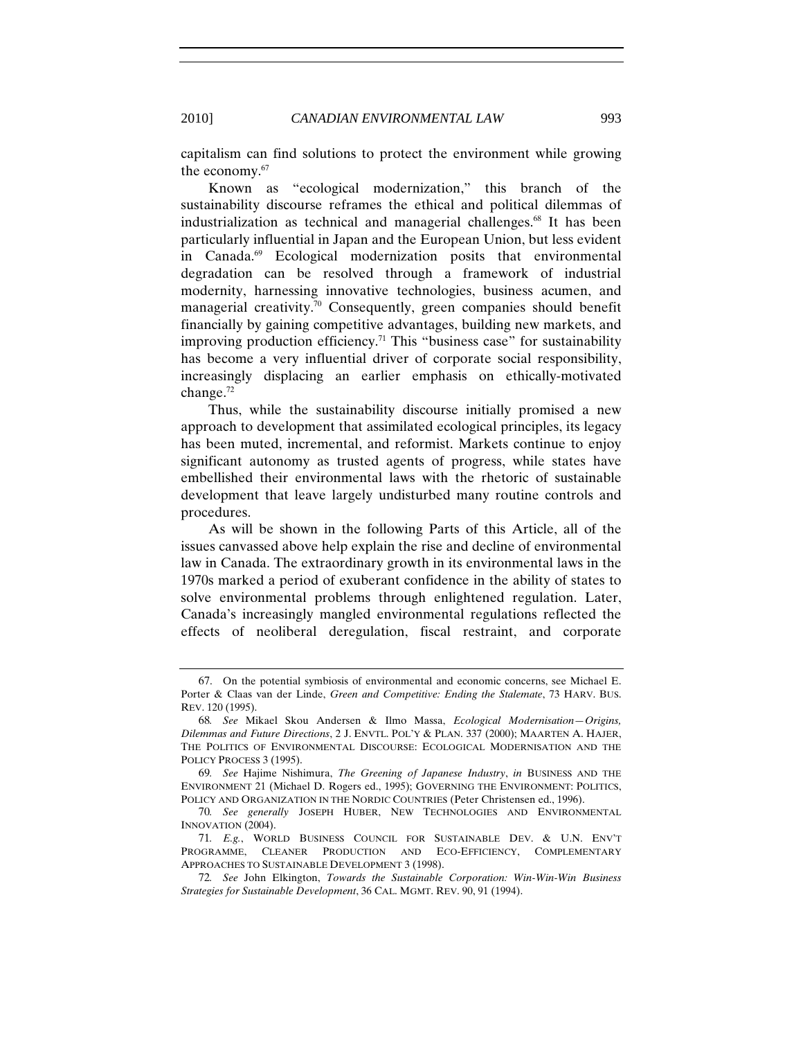capitalism can find solutions to protect the environment while growing the economy.67

Known as "ecological modernization," this branch of the sustainability discourse reframes the ethical and political dilemmas of industrialization as technical and managerial challenges.<sup>68</sup> It has been particularly influential in Japan and the European Union, but less evident in Canada.<sup>69</sup> Ecological modernization posits that environmental degradation can be resolved through a framework of industrial modernity, harnessing innovative technologies, business acumen, and managerial creativity.70 Consequently, green companies should benefit financially by gaining competitive advantages, building new markets, and improving production efficiency.<sup>71</sup> This "business case" for sustainability has become a very influential driver of corporate social responsibility, increasingly displacing an earlier emphasis on ethically-motivated change.72

Thus, while the sustainability discourse initially promised a new approach to development that assimilated ecological principles, its legacy has been muted, incremental, and reformist. Markets continue to enjoy significant autonomy as trusted agents of progress, while states have embellished their environmental laws with the rhetoric of sustainable development that leave largely undisturbed many routine controls and procedures.

As will be shown in the following Parts of this Article, all of the issues canvassed above help explain the rise and decline of environmental law in Canada. The extraordinary growth in its environmental laws in the 1970s marked a period of exuberant confidence in the ability of states to solve environmental problems through enlightened regulation. Later, Canada's increasingly mangled environmental regulations reflected the effects of neoliberal deregulation, fiscal restraint, and corporate

<sup>67.</sup> On the potential symbiosis of environmental and economic concerns, see Michael E. Porter & Claas van der Linde, *Green and Competitive: Ending the Stalemate*, 73 HARV. BUS. REV. 120 (1995).

<sup>68</sup>*. See* Mikael Skou Andersen & Ilmo Massa, *Ecological Modernisation—Origins, Dilemmas and Future Directions*, 2 J. ENVTL. POL'Y & PLAN. 337 (2000); MAARTEN A. HAJER, THE POLITICS OF ENVIRONMENTAL DISCOURSE: ECOLOGICAL MODERNISATION AND THE POLICY PROCESS 3 (1995).

<sup>69</sup>*. See* Hajime Nishimura, *The Greening of Japanese Industry*, *in* BUSINESS AND THE ENVIRONMENT 21 (Michael D. Rogers ed., 1995); GOVERNING THE ENVIRONMENT: POLITICS, POLICY AND ORGANIZATION IN THE NORDIC COUNTRIES (Peter Christensen ed., 1996).

<sup>70</sup>*. See generally* JOSEPH HUBER, NEW TECHNOLOGIES AND ENVIRONMENTAL INNOVATION (2004).

<sup>71</sup>*. E.g.*, WORLD BUSINESS COUNCIL FOR SUSTAINABLE DEV. & U.N. ENV'T PROGRAMME, CLEANER PRODUCTION AND ECO-EFFICIENCY, COMPLEMENTARY APPROACHES TO SUSTAINABLE DEVELOPMENT 3 (1998).

<sup>72</sup>*. See* John Elkington, *Towards the Sustainable Corporation: Win-Win-Win Business Strategies for Sustainable Development*, 36 CAL. MGMT. REV. 90, 91 (1994).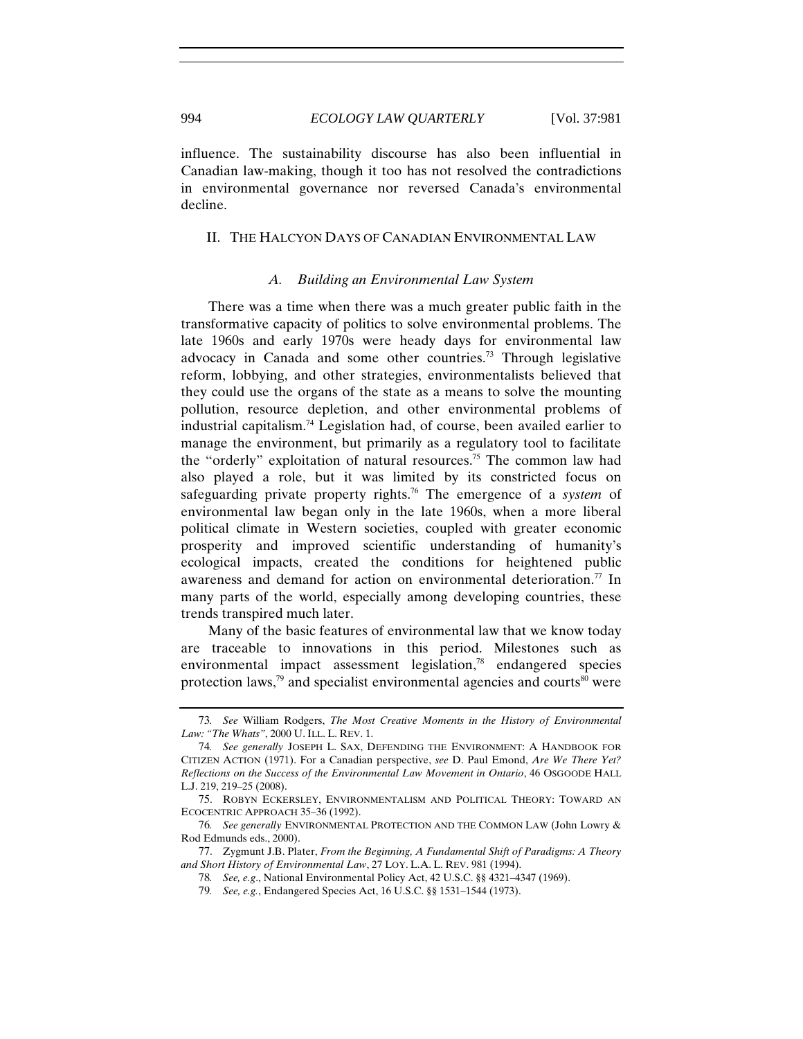influence. The sustainability discourse has also been influential in Canadian law-making, though it too has not resolved the contradictions in environmental governance nor reversed Canada's environmental decline.

# II. THE HALCYON DAYS OF CANADIAN ENVIRONMENTAL LAW

#### *A. Building an Environmental Law System*

There was a time when there was a much greater public faith in the transformative capacity of politics to solve environmental problems. The late 1960s and early 1970s were heady days for environmental law advocacy in Canada and some other countries.73 Through legislative reform, lobbying, and other strategies, environmentalists believed that they could use the organs of the state as a means to solve the mounting pollution, resource depletion, and other environmental problems of industrial capitalism.74 Legislation had, of course, been availed earlier to manage the environment, but primarily as a regulatory tool to facilitate the "orderly" exploitation of natural resources.<sup>75</sup> The common law had also played a role, but it was limited by its constricted focus on safeguarding private property rights.76 The emergence of a *system* of environmental law began only in the late 1960s, when a more liberal political climate in Western societies, coupled with greater economic prosperity and improved scientific understanding of humanity's ecological impacts, created the conditions for heightened public awareness and demand for action on environmental deterioration.<sup>77</sup> In many parts of the world, especially among developing countries, these trends transpired much later.

Many of the basic features of environmental law that we know today are traceable to innovations in this period. Milestones such as environmental impact assessment legislation,<sup>78</sup> endangered species protection laws,<sup>79</sup> and specialist environmental agencies and courts<sup>80</sup> were

<sup>73</sup>*. See* William Rodgers, *The Most Creative Moments in the History of Environmental Law: "The Whats"*, 2000 U. ILL. L. REV. 1.

<sup>74</sup>*. See generally* JOSEPH L. SAX, DEFENDING THE ENVIRONMENT: A HANDBOOK FOR CITIZEN ACTION (1971). For a Canadian perspective, *see* D. Paul Emond, *Are We There Yet? Reflections on the Success of the Environmental Law Movement in Ontario*, 46 OSGOODE HALL L.J. 219, 219–25 (2008).

<sup>75.</sup> ROBYN ECKERSLEY, ENVIRONMENTALISM AND POLITICAL THEORY: TOWARD AN ECOCENTRIC APPROACH 35–36 (1992).

<sup>76</sup>*. See generally* ENVIRONMENTAL PROTECTION AND THE COMMON LAW (John Lowry & Rod Edmunds eds., 2000).

<sup>77.</sup> Zygmunt J.B. Plater, *From the Beginning, A Fundamental Shift of Paradigms: A Theory and Short History of Environmental Law*, 27 LOY. L.A. L. REV. 981 (1994).

<sup>78</sup>*. See, e.g*., National Environmental Policy Act, 42 U.S.C. §§ 4321–4347 (1969).

<sup>79</sup>*. See, e.g.*, Endangered Species Act, 16 U.S.C. §§ 1531–1544 (1973).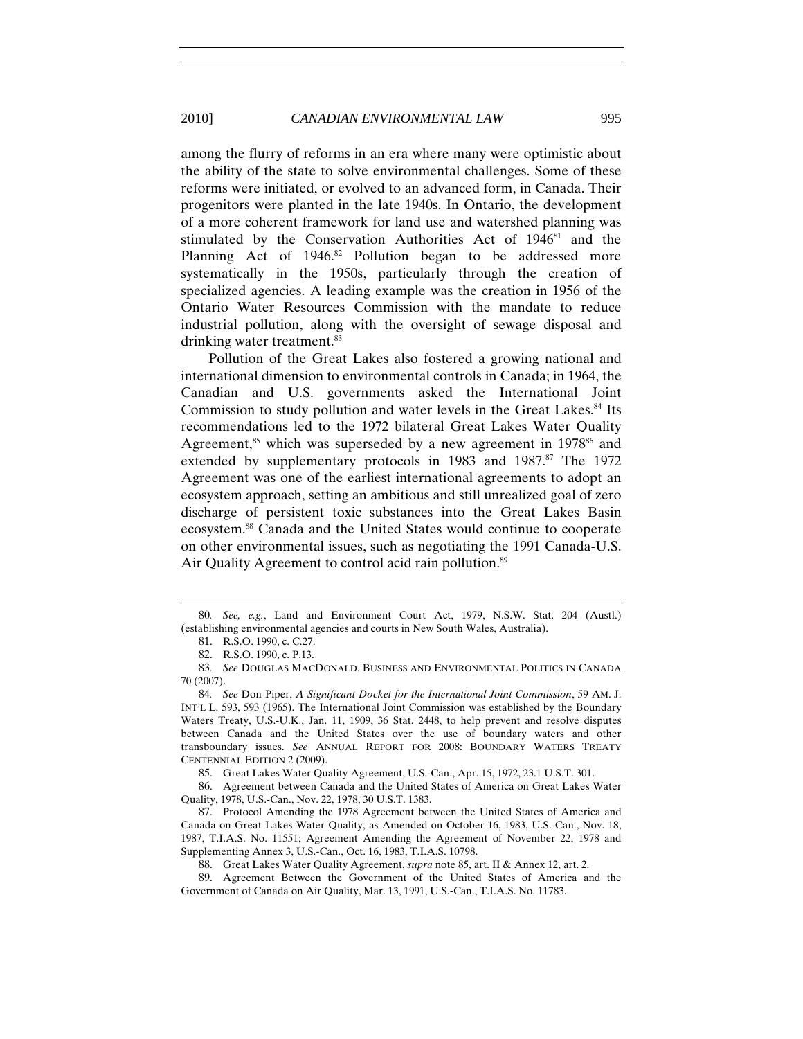among the flurry of reforms in an era where many were optimistic about the ability of the state to solve environmental challenges. Some of these reforms were initiated, or evolved to an advanced form, in Canada. Their progenitors were planted in the late 1940s. In Ontario, the development of a more coherent framework for land use and watershed planning was stimulated by the Conservation Authorities Act of 1946<sup>81</sup> and the Planning Act of 1946.<sup>82</sup> Pollution began to be addressed more systematically in the 1950s, particularly through the creation of specialized agencies. A leading example was the creation in 1956 of the Ontario Water Resources Commission with the mandate to reduce industrial pollution, along with the oversight of sewage disposal and drinking water treatment.<sup>83</sup>

Pollution of the Great Lakes also fostered a growing national and international dimension to environmental controls in Canada; in 1964, the Canadian and U.S. governments asked the International Joint Commission to study pollution and water levels in the Great Lakes.<sup>84</sup> Its recommendations led to the 1972 bilateral Great Lakes Water Quality Agreement, $85$  which was superseded by a new agreement in 1978 $86$  and extended by supplementary protocols in 1983 and 1987.<sup>87</sup> The 1972 Agreement was one of the earliest international agreements to adopt an ecosystem approach, setting an ambitious and still unrealized goal of zero discharge of persistent toxic substances into the Great Lakes Basin ecosystem.88 Canada and the United States would continue to cooperate on other environmental issues, such as negotiating the 1991 Canada-U.S. Air Quality Agreement to control acid rain pollution.<sup>89</sup>

85. Great Lakes Water Quality Agreement, U.S.-Can., Apr. 15, 1972, 23.1 U.S.T. 301.

86. Agreement between Canada and the United States of America on Great Lakes Water Quality, 1978, U.S.-Can., Nov. 22, 1978, 30 U.S.T. 1383.

<sup>80</sup>*. See, e.g.*, Land and Environment Court Act, 1979, N.S.W. Stat. 204 (Austl.) (establishing environmental agencies and courts in New South Wales, Australia).

<sup>81.</sup> R.S.O. 1990, c. C.27.

<sup>82.</sup> R.S.O. 1990, c. P.13.

<sup>83</sup>*. See* DOUGLAS MACDONALD, BUSINESS AND ENVIRONMENTAL POLITICS IN CANADA 70 (2007).

<sup>84</sup>*. See* Don Piper, *A Significant Docket for the International Joint Commission*, 59 AM. J. INT'L L. 593, 593 (1965). The International Joint Commission was established by the Boundary Waters Treaty, U.S.-U.K., Jan. 11, 1909, 36 Stat. 2448, to help prevent and resolve disputes between Canada and the United States over the use of boundary waters and other transboundary issues. *See* ANNUAL REPORT FOR 2008: BOUNDARY WATERS TREATY CENTENNIAL EDITION 2 (2009).

<sup>87.</sup> Protocol Amending the 1978 Agreement between the United States of America and Canada on Great Lakes Water Quality, as Amended on October 16, 1983, U.S.-Can., Nov. 18, 1987, T.I.A.S. No. 11551; Agreement Amending the Agreement of November 22, 1978 and Supplementing Annex 3, U.S.-Can., Oct. 16, 1983, T.I.A.S. 10798.

<sup>88.</sup> Great Lakes Water Quality Agreement, *supra* note 85, art. II & Annex 12, art. 2.

<sup>89.</sup> Agreement Between the Government of the United States of America and the Government of Canada on Air Quality, Mar. 13, 1991, U.S.-Can., T.I.A.S. No. 11783.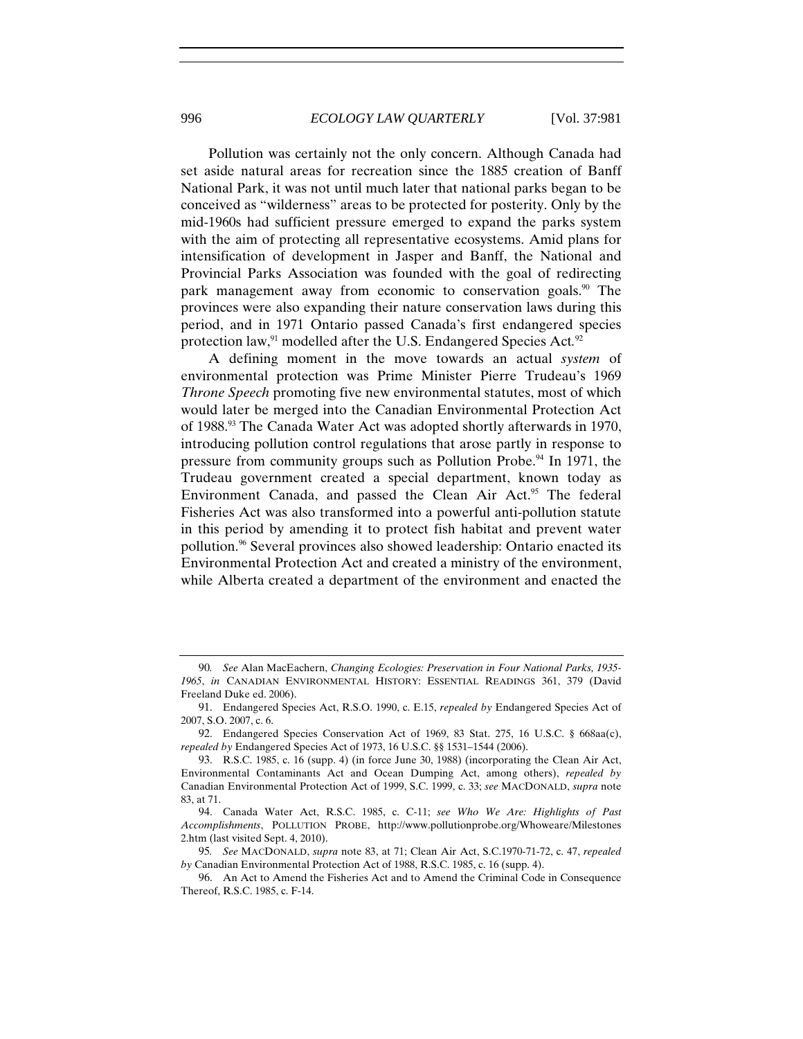Pollution was certainly not the only concern. Although Canada had set aside natural areas for recreation since the 1885 creation of Banff National Park, it was not until much later that national parks began to be conceived as "wilderness" areas to be protected for posterity. Only by the mid-1960s had sufficient pressure emerged to expand the parks system with the aim of protecting all representative ecosystems. Amid plans for intensification of development in Jasper and Banff, the National and Provincial Parks Association was founded with the goal of redirecting park management away from economic to conservation goals.<sup>90</sup> The provinces were also expanding their nature conservation laws during this period, and in 1971 Ontario passed Canada's first endangered species protection law,<sup>91</sup> modelled after the U.S. Endangered Species Act.<sup>92</sup>

A defining moment in the move towards an actual *system* of environmental protection was Prime Minister Pierre Trudeau's 1969 *Throne Speech* promoting five new environmental statutes, most of which would later be merged into the Canadian Environmental Protection Act of 1988.93 The Canada Water Act was adopted shortly afterwards in 1970, introducing pollution control regulations that arose partly in response to pressure from community groups such as Pollution Probe.<sup>94</sup> In 1971, the Trudeau government created a special department, known today as Environment Canada, and passed the Clean Air Act.<sup>95</sup> The federal Fisheries Act was also transformed into a powerful anti-pollution statute in this period by amending it to protect fish habitat and prevent water pollution.96 Several provinces also showed leadership: Ontario enacted its Environmental Protection Act and created a ministry of the environment, while Alberta created a department of the environment and enacted the

<sup>90</sup>*. See* Alan MacEachern, *Changing Ecologies: Preservation in Four National Parks, 1935- 1965*, *in* CANADIAN ENVIRONMENTAL HISTORY: ESSENTIAL READINGS 361, 379 (David Freeland Duke ed. 2006).

<sup>91.</sup> Endangered Species Act, R.S.O. 1990, c. E.15, *repealed by* Endangered Species Act of 2007, S.O. 2007, c. 6.

<sup>92.</sup> Endangered Species Conservation Act of 1969, 83 Stat. 275, 16 U.S.C. § 668aa(c), *repealed by* Endangered Species Act of 1973, 16 U.S.C. §§ 1531–1544 (2006).

<sup>93.</sup> R.S.C. 1985, c. 16 (supp. 4) (in force June 30, 1988) (incorporating the Clean Air Act, Environmental Contaminants Act and Ocean Dumping Act, among others), *repealed by* Canadian Environmental Protection Act of 1999, S.C. 1999, c. 33; *see* MACDONALD, *supra* note 83, at 71.

<sup>94.</sup> Canada Water Act, R.S.C. 1985, c. C-11; *see Who We Are: Highlights of Past Accomplishments*, POLLUTION PROBE, http://www.pollutionprobe.org/Whoweare/Milestones 2.htm (last visited Sept. 4, 2010).

<sup>95</sup>*. See* MACDONALD, *supra* note 83, at 71; Clean Air Act, S.C.1970-71-72, c. 47, *repealed by* Canadian Environmental Protection Act of 1988, R.S.C. 1985, c. 16 (supp. 4).

<sup>96.</sup> An Act to Amend the Fisheries Act and to Amend the Criminal Code in Consequence Thereof, R.S.C. 1985, c. F-14.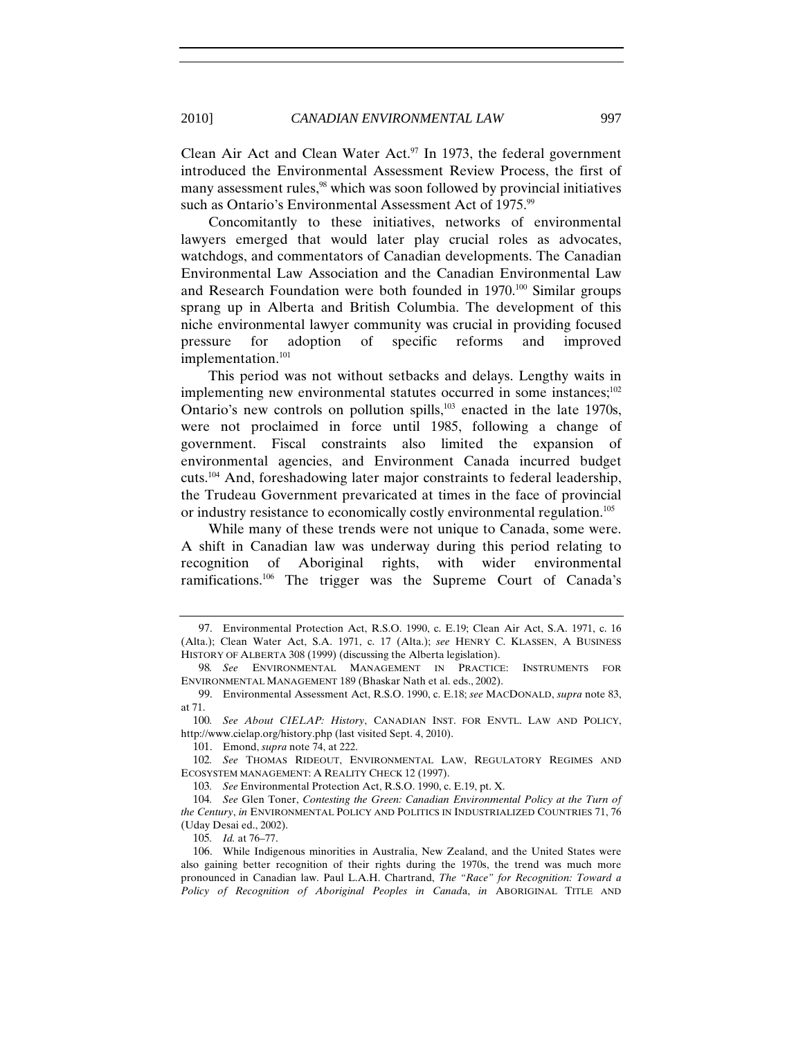Clean Air Act and Clean Water Act. $97$  In 1973, the federal government introduced the Environmental Assessment Review Process, the first of many assessment rules,<sup>98</sup> which was soon followed by provincial initiatives such as Ontario's Environmental Assessment Act of 1975.<sup>99</sup>

Concomitantly to these initiatives, networks of environmental lawyers emerged that would later play crucial roles as advocates, watchdogs, and commentators of Canadian developments. The Canadian Environmental Law Association and the Canadian Environmental Law and Research Foundation were both founded in 1970.<sup>100</sup> Similar groups sprang up in Alberta and British Columbia. The development of this niche environmental lawyer community was crucial in providing focused pressure for adoption of specific reforms and improved implementation.<sup>101</sup>

This period was not without setbacks and delays. Lengthy waits in implementing new environmental statutes occurred in some instances; $^{102}$ Ontario's new controls on pollution spills, $103$  enacted in the late 1970s, were not proclaimed in force until 1985, following a change of government. Fiscal constraints also limited the expansion of environmental agencies, and Environment Canada incurred budget cuts.104 And, foreshadowing later major constraints to federal leadership, the Trudeau Government prevaricated at times in the face of provincial or industry resistance to economically costly environmental regulation.<sup>105</sup>

While many of these trends were not unique to Canada, some were. A shift in Canadian law was underway during this period relating to recognition of Aboriginal rights, with wider environmental ramifications.106 The trigger was the Supreme Court of Canada's

105*. Id.* at 76–77.

<sup>97.</sup> Environmental Protection Act, R.S.O. 1990, c. E.19; Clean Air Act, S.A. 1971, c. 16 (Alta.); Clean Water Act, S.A. 1971, c. 17 (Alta.); *see* HENRY C. KLASSEN, A BUSINESS HISTORY OF ALBERTA 308 (1999) (discussing the Alberta legislation).

<sup>98</sup>*. See* ENVIRONMENTAL MANAGEMENT IN PRACTICE: INSTRUMENTS FOR ENVIRONMENTAL MANAGEMENT 189 (Bhaskar Nath et al. eds., 2002).

<sup>99.</sup> Environmental Assessment Act, R.S.O. 1990, c. E.18; *see* MACDONALD, *supra* note 83, at 71.

<sup>100</sup>*. See About CIELAP: History*, CANADIAN INST. FOR ENVTL. LAW AND POLICY, http://www.cielap.org/history.php (last visited Sept. 4, 2010).

<sup>101.</sup> Emond, *supra* note 74, at 222.

<sup>102</sup>*. See* THOMAS RIDEOUT, ENVIRONMENTAL LAW, REGULATORY REGIMES AND ECOSYSTEM MANAGEMENT: A REALITY CHECK 12 (1997).

<sup>103</sup>*. See* Environmental Protection Act, R.S.O. 1990, c. E.19, pt. X.

<sup>104</sup>*. See* Glen Toner, *Contesting the Green: Canadian Environmental Policy at the Turn of the Century*, *in* ENVIRONMENTAL POLICY AND POLITICS IN INDUSTRIALIZED COUNTRIES 71, 76 (Uday Desai ed., 2002).

<sup>106.</sup> While Indigenous minorities in Australia, New Zealand, and the United States were also gaining better recognition of their rights during the 1970s, the trend was much more pronounced in Canadian law. Paul L.A.H. Chartrand, *The "Race" for Recognition: Toward a Policy of Recognition of Aboriginal Peoples in Canad*a, *in* ABORIGINAL TITLE AND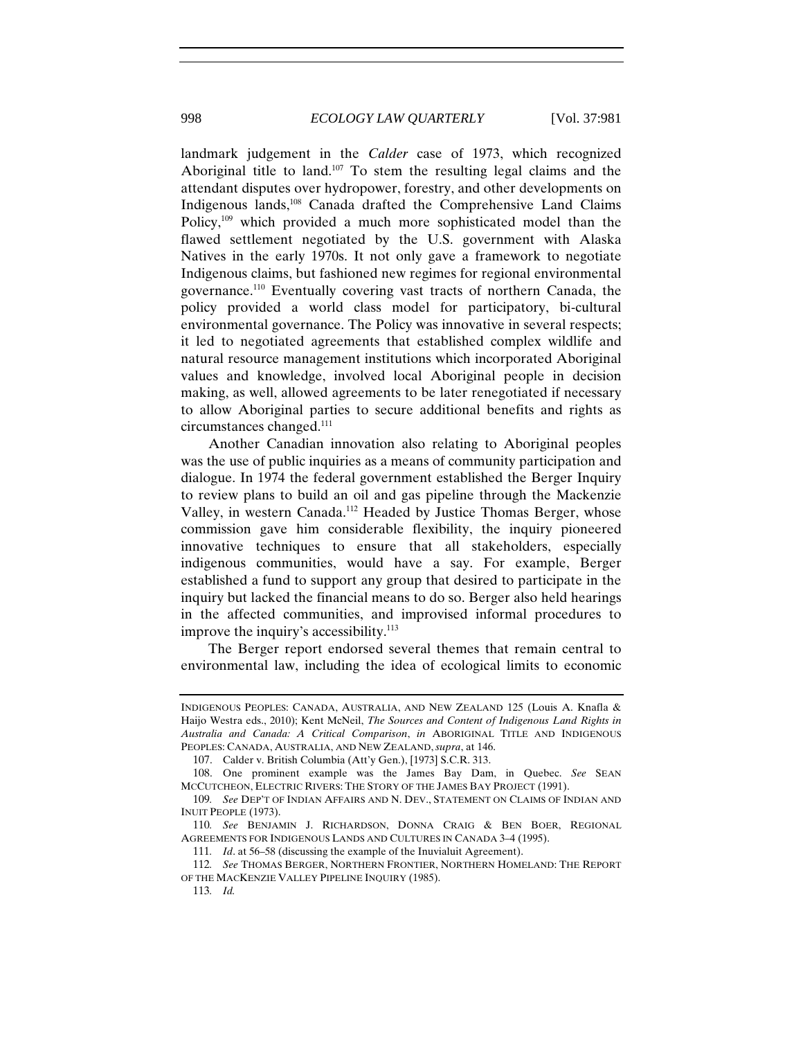landmark judgement in the *Calder* case of 1973, which recognized Aboriginal title to land.107 To stem the resulting legal claims and the attendant disputes over hydropower, forestry, and other developments on Indigenous lands,108 Canada drafted the Comprehensive Land Claims Policy,<sup>109</sup> which provided a much more sophisticated model than the flawed settlement negotiated by the U.S. government with Alaska Natives in the early 1970s. It not only gave a framework to negotiate Indigenous claims, but fashioned new regimes for regional environmental governance.110 Eventually covering vast tracts of northern Canada, the policy provided a world class model for participatory, bi-cultural environmental governance. The Policy was innovative in several respects; it led to negotiated agreements that established complex wildlife and natural resource management institutions which incorporated Aboriginal values and knowledge, involved local Aboriginal people in decision making, as well, allowed agreements to be later renegotiated if necessary to allow Aboriginal parties to secure additional benefits and rights as circumstances changed.<sup>111</sup>

Another Canadian innovation also relating to Aboriginal peoples was the use of public inquiries as a means of community participation and dialogue. In 1974 the federal government established the Berger Inquiry to review plans to build an oil and gas pipeline through the Mackenzie Valley, in western Canada.112 Headed by Justice Thomas Berger, whose commission gave him considerable flexibility, the inquiry pioneered innovative techniques to ensure that all stakeholders, especially indigenous communities, would have a say. For example, Berger established a fund to support any group that desired to participate in the inquiry but lacked the financial means to do so. Berger also held hearings in the affected communities, and improvised informal procedures to improve the inquiry's accessibility.<sup>113</sup>

The Berger report endorsed several themes that remain central to environmental law, including the idea of ecological limits to economic

INDIGENOUS PEOPLES: CANADA, AUSTRALIA, AND NEW ZEALAND 125 (Louis A. Knafla & Haijo Westra eds., 2010); Kent McNeil, *The Sources and Content of Indigenous Land Rights in Australia and Canada: A Critical Comparison*, *in* ABORIGINAL TITLE AND INDIGENOUS PEOPLES: CANADA, AUSTRALIA, AND NEW ZEALAND, *supra*, at 146.

<sup>107.</sup> Calder v. British Columbia (Att'y Gen.), [1973] S.C.R. 313.

<sup>108.</sup> One prominent example was the James Bay Dam, in Quebec. *See* SEAN MCCUTCHEON, ELECTRIC RIVERS: THE STORY OF THE JAMES BAY PROJECT (1991).

<sup>109</sup>*. See* DEP'T OF INDIAN AFFAIRS AND N. DEV., STATEMENT ON CLAIMS OF INDIAN AND INUIT PEOPLE (1973).

<sup>110</sup>*. See* BENJAMIN J. RICHARDSON, DONNA CRAIG & BEN BOER, REGIONAL AGREEMENTS FOR INDIGENOUS LANDS AND CULTURES IN CANADA 3–4 (1995).

<sup>111</sup>*. Id*. at 56–58 (discussing the example of the Inuvialuit Agreement).

<sup>112</sup>*. See* THOMAS BERGER, NORTHERN FRONTIER, NORTHERN HOMELAND: THE REPORT OF THE MACKENZIE VALLEY PIPELINE INQUIRY (1985).

<sup>113</sup>*. Id.*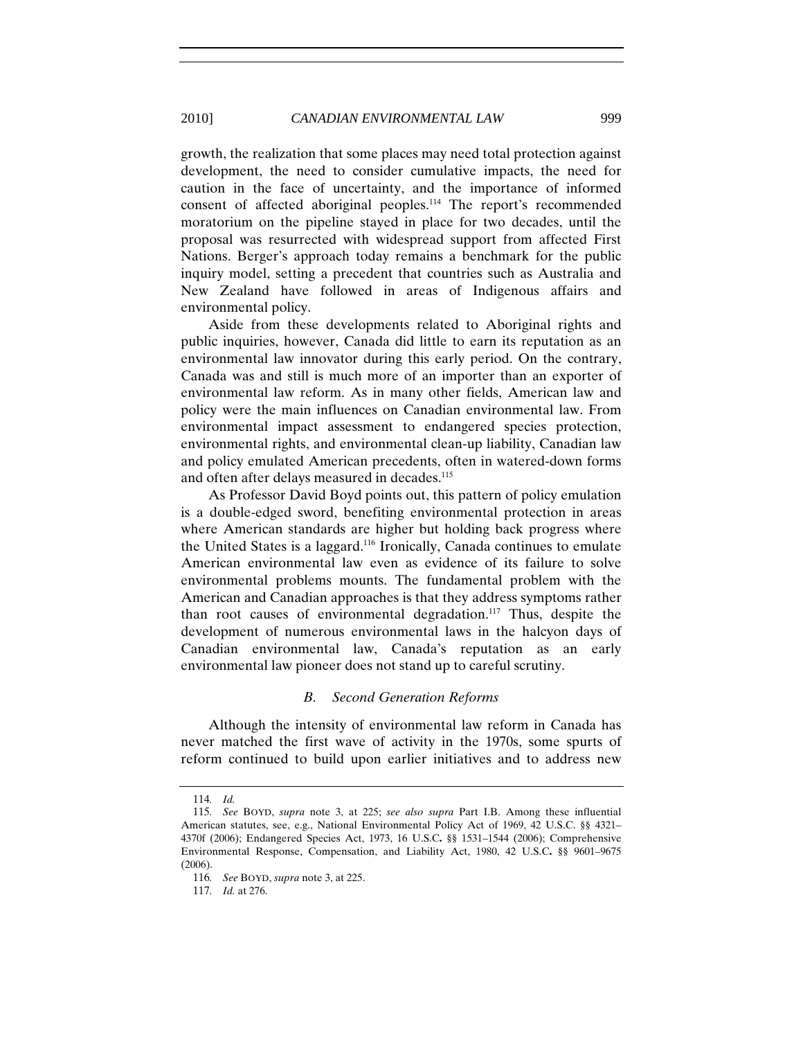growth, the realization that some places may need total protection against development, the need to consider cumulative impacts, the need for caution in the face of uncertainty, and the importance of informed consent of affected aboriginal peoples.<sup>114</sup> The report's recommended moratorium on the pipeline stayed in place for two decades, until the proposal was resurrected with widespread support from affected First Nations. Berger's approach today remains a benchmark for the public inquiry model, setting a precedent that countries such as Australia and New Zealand have followed in areas of Indigenous affairs and environmental policy.

Aside from these developments related to Aboriginal rights and public inquiries, however, Canada did little to earn its reputation as an environmental law innovator during this early period. On the contrary, Canada was and still is much more of an importer than an exporter of environmental law reform. As in many other fields, American law and policy were the main influences on Canadian environmental law. From environmental impact assessment to endangered species protection, environmental rights, and environmental clean-up liability, Canadian law and policy emulated American precedents, often in watered-down forms and often after delays measured in decades.<sup>115</sup>

As Professor David Boyd points out, this pattern of policy emulation is a double-edged sword, benefiting environmental protection in areas where American standards are higher but holding back progress where the United States is a laggard.116 Ironically, Canada continues to emulate American environmental law even as evidence of its failure to solve environmental problems mounts. The fundamental problem with the American and Canadian approaches is that they address symptoms rather than root causes of environmental degradation.<sup>117</sup> Thus, despite the development of numerous environmental laws in the halcyon days of Canadian environmental law, Canada's reputation as an early environmental law pioneer does not stand up to careful scrutiny.

#### *B. Second Generation Reforms*

Although the intensity of environmental law reform in Canada has never matched the first wave of activity in the 1970s, some spurts of reform continued to build upon earlier initiatives and to address new

<sup>114</sup>*. Id.*

<sup>115</sup>*. See* BOYD, *supra* note 3, at 225; *see also supra* Part I.B. Among these influential American statutes, see, e.g., National Environmental Policy Act of 1969, 42 U.S.C. §§ 4321– 4370f (2006); Endangered Species Act, 1973, 16 U.S.C**.** §§ 1531–1544 (2006); Comprehensive Environmental Response, Compensation, and Liability Act, 1980, 42 U.S.C**.** §§ 9601–9675 (2006).

<sup>116</sup>*. See* BOYD, *supra* note 3, at 225.

<sup>117</sup>*. Id.* at 276.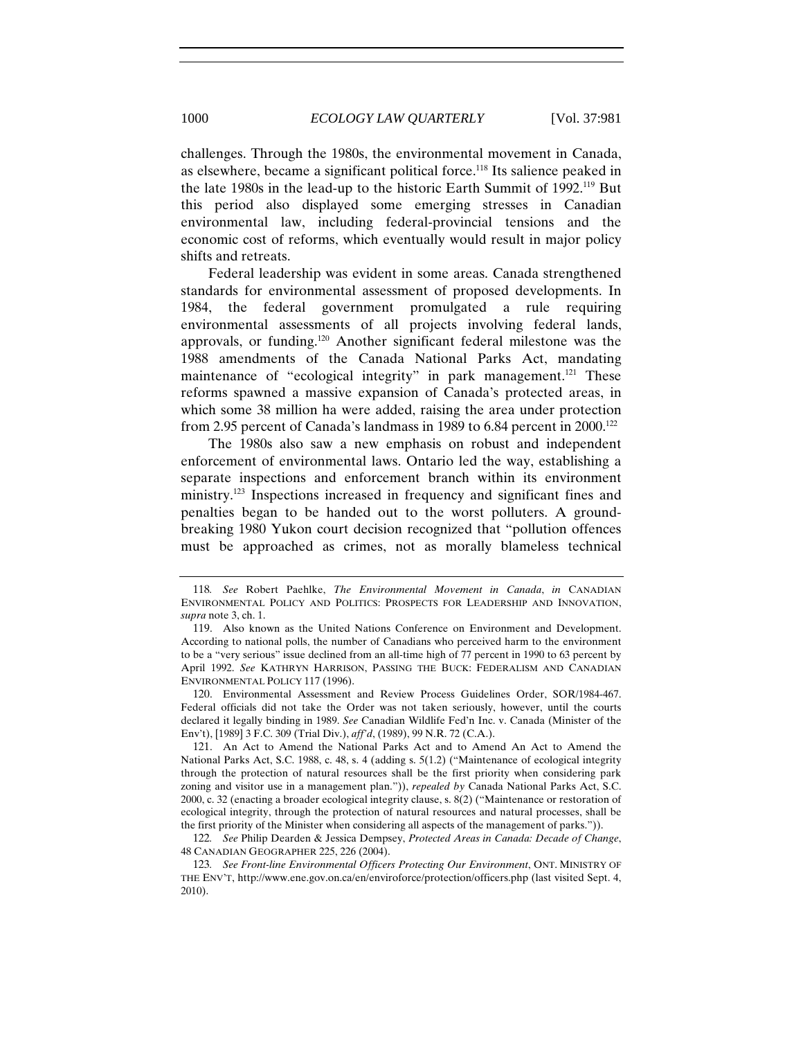challenges. Through the 1980s, the environmental movement in Canada, as elsewhere, became a significant political force.<sup>118</sup> Its salience peaked in the late 1980s in the lead-up to the historic Earth Summit of 1992.119 But this period also displayed some emerging stresses in Canadian environmental law, including federal-provincial tensions and the economic cost of reforms, which eventually would result in major policy shifts and retreats.

Federal leadership was evident in some areas. Canada strengthened standards for environmental assessment of proposed developments. In 1984, the federal government promulgated a rule requiring environmental assessments of all projects involving federal lands, approvals, or funding.120 Another significant federal milestone was the 1988 amendments of the Canada National Parks Act, mandating maintenance of "ecological integrity" in park management.<sup>121</sup> These reforms spawned a massive expansion of Canada's protected areas, in which some 38 million ha were added, raising the area under protection from 2.95 percent of Canada's landmass in 1989 to 6.84 percent in 2000.<sup>122</sup>

The 1980s also saw a new emphasis on robust and independent enforcement of environmental laws. Ontario led the way, establishing a separate inspections and enforcement branch within its environment ministry.<sup>123</sup> Inspections increased in frequency and significant fines and penalties began to be handed out to the worst polluters. A groundbreaking 1980 Yukon court decision recognized that "pollution offences must be approached as crimes, not as morally blameless technical

120. Environmental Assessment and Review Process Guidelines Order, SOR/1984-467. Federal officials did not take the Order was not taken seriously, however, until the courts declared it legally binding in 1989. *See* Canadian Wildlife Fed'n Inc. v. Canada (Minister of the Env't), [1989] 3 F.C. 309 (Trial Div.), *aff'd*, (1989), 99 N.R. 72 (C.A.).

121. An Act to Amend the National Parks Act and to Amend An Act to Amend the National Parks Act, S.C. 1988, c. 48, s. 4 (adding s. 5(1.2) ("Maintenance of ecological integrity through the protection of natural resources shall be the first priority when considering park zoning and visitor use in a management plan.")), *repealed by* Canada National Parks Act, S.C. 2000, c. 32 (enacting a broader ecological integrity clause, s. 8(2) ("Maintenance or restoration of ecological integrity, through the protection of natural resources and natural processes, shall be the first priority of the Minister when considering all aspects of the management of parks.")).

122*. See* Philip Dearden & Jessica Dempsey, *Protected Areas in Canada: Decade of Change*, 48 CANADIAN GEOGRAPHER 225, 226 (2004).

123*. See Front-line Environmental Officers Protecting Our Environment*, ONT. MINISTRY OF THE ENV'T, http://www.ene.gov.on.ca/en/enviroforce/protection/officers.php (last visited Sept. 4, 2010).

<sup>118</sup>*. See* Robert Paehlke, *The Environmental Movement in Canada*, *in* CANADIAN ENVIRONMENTAL POLICY AND POLITICS: PROSPECTS FOR LEADERSHIP AND INNOVATION, *supra* note 3, ch. 1.

<sup>119.</sup> Also known as the United Nations Conference on Environment and Development. According to national polls, the number of Canadians who perceived harm to the environment to be a "very serious" issue declined from an all-time high of 77 percent in 1990 to 63 percent by April 1992. *See* KATHRYN HARRISON, PASSING THE BUCK: FEDERALISM AND CANADIAN ENVIRONMENTAL POLICY 117 (1996).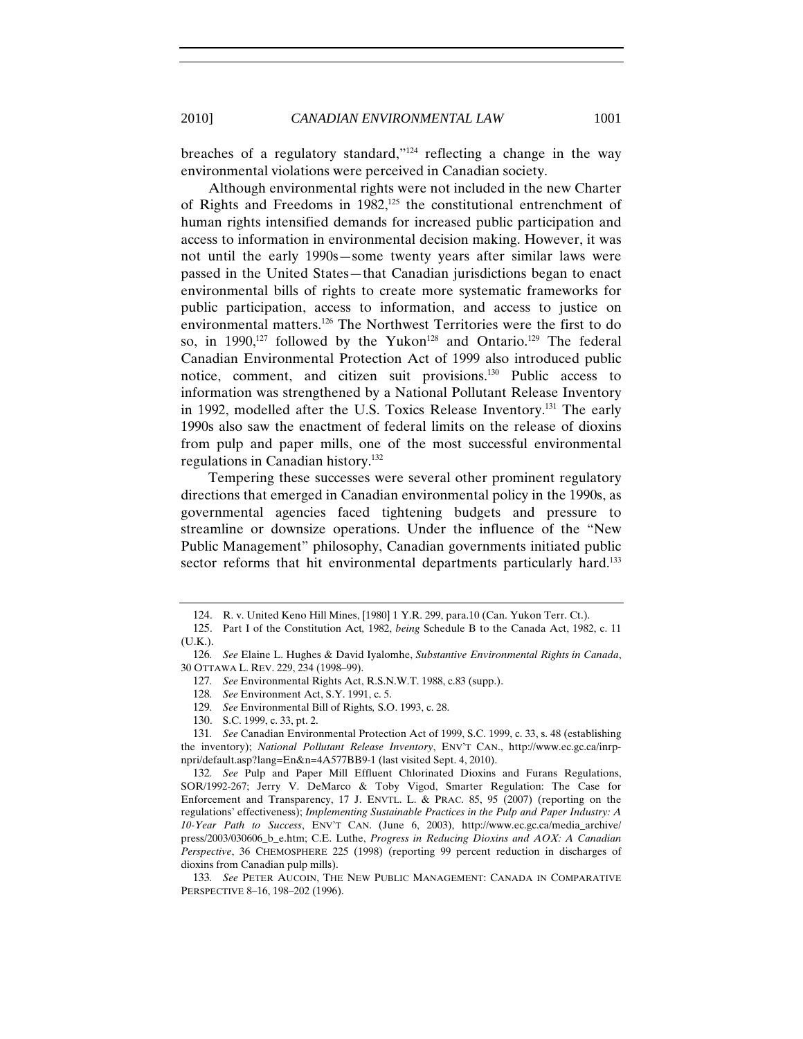breaches of a regulatory standard,"124 reflecting a change in the way environmental violations were perceived in Canadian society.

Although environmental rights were not included in the new Charter of Rights and Freedoms in 1982,125 the constitutional entrenchment of human rights intensified demands for increased public participation and access to information in environmental decision making. However, it was not until the early 1990s—some twenty years after similar laws were passed in the United States—that Canadian jurisdictions began to enact environmental bills of rights to create more systematic frameworks for public participation, access to information, and access to justice on environmental matters.126 The Northwest Territories were the first to do so, in 1990,<sup>127</sup> followed by the Yukon<sup>128</sup> and Ontario.<sup>129</sup> The federal Canadian Environmental Protection Act of 1999 also introduced public notice, comment, and citizen suit provisions.130 Public access to information was strengthened by a National Pollutant Release Inventory in 1992, modelled after the U.S. Toxics Release Inventory.131 The early 1990s also saw the enactment of federal limits on the release of dioxins from pulp and paper mills, one of the most successful environmental regulations in Canadian history.132

Tempering these successes were several other prominent regulatory directions that emerged in Canadian environmental policy in the 1990s, as governmental agencies faced tightening budgets and pressure to streamline or downsize operations. Under the influence of the "New Public Management" philosophy, Canadian governments initiated public sector reforms that hit environmental departments particularly hard.<sup>133</sup>

<sup>124.</sup> R. v. United Keno Hill Mines, [1980] 1 Y.R. 299, para.10 (Can. Yukon Terr. Ct.).

<sup>125.</sup> Part I of the Constitution Act*,* 1982, *being* Schedule B to the Canada Act, 1982, c. 11 (U.K.).

<sup>126</sup>*. See* Elaine L. Hughes & David Iyalomhe, *Substantive Environmental Rights in Canada*, 30 OTTAWA L. REV. 229, 234 (1998–99).

<sup>127</sup>*. See* Environmental Rights Act, R.S.N.W.T. 1988, c.83 (supp.).

<sup>128</sup>*. See* Environment Act, S.Y. 1991, c. 5.

<sup>129</sup>*. See* Environmental Bill of Rights*,* S.O. 1993, c. 28.

<sup>130.</sup> S.C. 1999, c. 33, pt. 2.

<sup>131</sup>*. See* Canadian Environmental Protection Act of 1999, S.C. 1999, c. 33, s. 48 (establishing the inventory); *National Pollutant Release Inventory*, ENV'T CAN., http://www.ec.gc.ca/inrpnpri/default.asp?lang=En&n=4A577BB9-1 (last visited Sept. 4, 2010).

<sup>132</sup>*. See* Pulp and Paper Mill Effluent Chlorinated Dioxins and Furans Regulations, SOR/1992-267; Jerry V. DeMarco & Toby Vigod, Smarter Regulation: The Case for Enforcement and Transparency, 17 J. ENVTL. L. & PRAC. 85, 95 (2007) (reporting on the regulations' effectiveness); *Implementing Sustainable Practices in the Pulp and Paper Industry: A 10-Year Path to Success*, ENV'T CAN. (June 6, 2003), http://www.ec.gc.ca/media\_archive/ press/2003/030606\_b\_e.htm; C.E. Luthe, *Progress in Reducing Dioxins and AOX: A Canadian Perspective*, 36 CHEMOSPHERE 225 (1998) (reporting 99 percent reduction in discharges of dioxins from Canadian pulp mills).

<sup>133</sup>*. See* PETER AUCOIN, THE NEW PUBLIC MANAGEMENT: CANADA IN COMPARATIVE PERSPECTIVE 8–16, 198–202 (1996).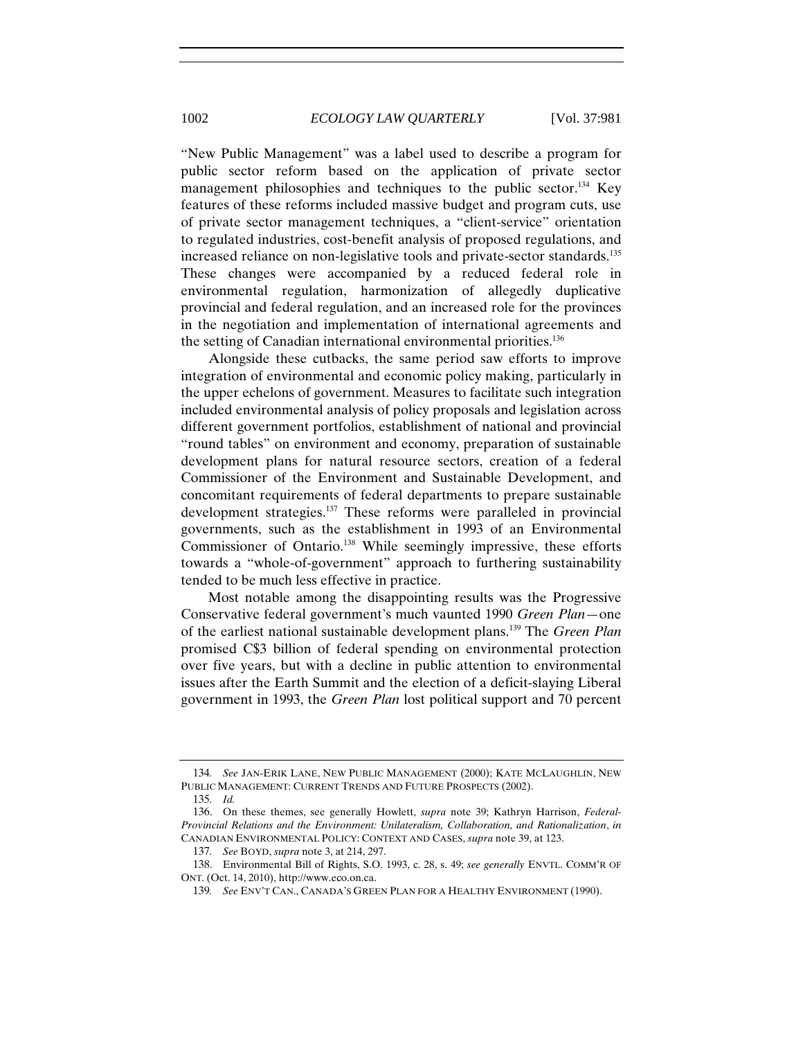"New Public Management" was a label used to describe a program for public sector reform based on the application of private sector management philosophies and techniques to the public sector.<sup>134</sup> Key features of these reforms included massive budget and program cuts, use of private sector management techniques, a "client-service" orientation to regulated industries, cost-benefit analysis of proposed regulations, and increased reliance on non-legislative tools and private-sector standards.135 These changes were accompanied by a reduced federal role in environmental regulation, harmonization of allegedly duplicative provincial and federal regulation, and an increased role for the provinces in the negotiation and implementation of international agreements and the setting of Canadian international environmental priorities.<sup>136</sup>

Alongside these cutbacks, the same period saw efforts to improve integration of environmental and economic policy making, particularly in the upper echelons of government. Measures to facilitate such integration included environmental analysis of policy proposals and legislation across different government portfolios, establishment of national and provincial "round tables" on environment and economy, preparation of sustainable development plans for natural resource sectors, creation of a federal Commissioner of the Environment and Sustainable Development, and concomitant requirements of federal departments to prepare sustainable development strategies.137 These reforms were paralleled in provincial governments, such as the establishment in 1993 of an Environmental Commissioner of Ontario.<sup>138</sup> While seemingly impressive, these efforts towards a "whole-of-government" approach to furthering sustainability tended to be much less effective in practice.

Most notable among the disappointing results was the Progressive Conservative federal government's much vaunted 1990 *Green Plan*—one of the earliest national sustainable development plans.139 The *Green Plan* promised C\$3 billion of federal spending on environmental protection over five years, but with a decline in public attention to environmental issues after the Earth Summit and the election of a deficit-slaying Liberal government in 1993, the *Green Plan* lost political support and 70 percent

<sup>134</sup>*. See* JAN-ERIK LANE, NEW PUBLIC MANAGEMENT (2000); KATE MCLAUGHLIN, NEW PUBLIC MANAGEMENT: CURRENT TRENDS AND FUTURE PROSPECTS (2002).

<sup>135</sup>*. Id.*

<sup>136.</sup> On these themes, see generally Howlett, *supra* note 39; Kathryn Harrison, *Federal-Provincial Relations and the Environment: Unilateralism, Collaboration, and Rationalization*, *in* CANADIAN ENVIRONMENTAL POLICY: CONTEXT AND CASES, *supra* note 39, at 123.

<sup>137</sup>*. See* BOYD, *supra* note 3, at 214, 297.

<sup>138.</sup> Environmental Bill of Rights, S.O. 1993, c. 28, s. 49; *see generally* ENVTL. COMM'R OF ONT. (Oct. 14, 2010), http://www.eco.on.ca.

<sup>139</sup>*. See* ENV'T CAN., CANADA'S GREEN PLAN FOR A HEALTHY ENVIRONMENT (1990).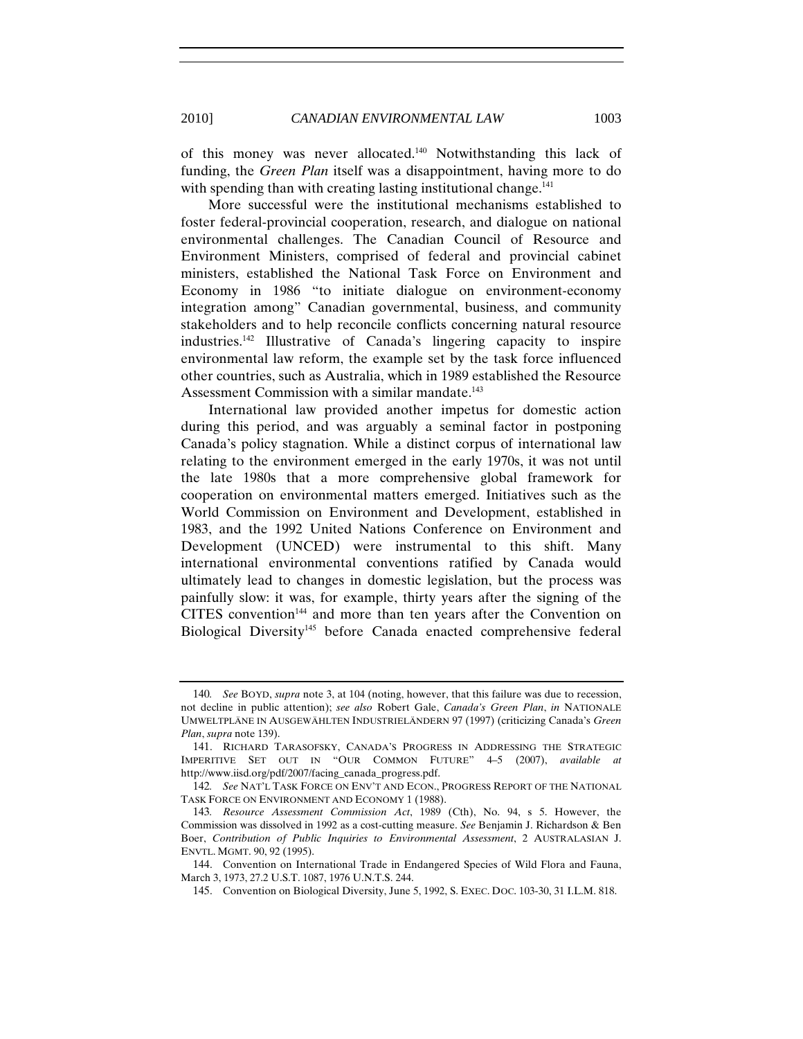of this money was never allocated.140 Notwithstanding this lack of funding, the *Green Plan* itself was a disappointment, having more to do with spending than with creating lasting institutional change.<sup>141</sup>

More successful were the institutional mechanisms established to foster federal-provincial cooperation, research, and dialogue on national environmental challenges. The Canadian Council of Resource and Environment Ministers, comprised of federal and provincial cabinet ministers, established the National Task Force on Environment and Economy in 1986 "to initiate dialogue on environment-economy integration among" Canadian governmental, business, and community stakeholders and to help reconcile conflicts concerning natural resource industries.142 Illustrative of Canada's lingering capacity to inspire environmental law reform, the example set by the task force influenced other countries, such as Australia, which in 1989 established the Resource Assessment Commission with a similar mandate.<sup>143</sup>

International law provided another impetus for domestic action during this period, and was arguably a seminal factor in postponing Canada's policy stagnation. While a distinct corpus of international law relating to the environment emerged in the early 1970s, it was not until the late 1980s that a more comprehensive global framework for cooperation on environmental matters emerged. Initiatives such as the World Commission on Environment and Development, established in 1983, and the 1992 United Nations Conference on Environment and Development (UNCED) were instrumental to this shift. Many international environmental conventions ratified by Canada would ultimately lead to changes in domestic legislation, but the process was painfully slow: it was, for example, thirty years after the signing of the CITES convention<sup>144</sup> and more than ten years after the Convention on Biological Diversity<sup>145</sup> before Canada enacted comprehensive federal

<sup>140</sup>*. See* BOYD, *supra* note 3, at 104 (noting, however, that this failure was due to recession, not decline in public attention); *see also* Robert Gale, *Canada's Green Plan*, *in* NATIONALE UMWELTPLÄNE IN AUSGEWÄHLTEN INDUSTRIELÄNDERN 97 (1997) (criticizing Canada's *Green Plan*, *supra* note 139).

<sup>141.</sup> RICHARD TARASOFSKY, CANADA'S PROGRESS IN ADDRESSING THE STRATEGIC IMPERITIVE SET OUT IN "OUR COMMON FUTURE" 4–5 (2007), *available at*  http://www.iisd.org/pdf/2007/facing\_canada\_progress.pdf.

<sup>142</sup>*. See* NAT'L TASK FORCE ON ENV'T AND ECON., PROGRESS REPORT OF THE NATIONAL TASK FORCE ON ENVIRONMENT AND ECONOMY 1 (1988).

<sup>143</sup>*. Resource Assessment Commission Act*, 1989 (Cth), No. 94, s 5. However, the Commission was dissolved in 1992 as a cost-cutting measure. *See* Benjamin J. Richardson & Ben Boer, *Contribution of Public Inquiries to Environmental Assessment*, 2 AUSTRALASIAN J. ENVTL. MGMT. 90, 92 (1995).

<sup>144.</sup> Convention on International Trade in Endangered Species of Wild Flora and Fauna, March 3, 1973, 27.2 U.S.T. 1087, 1976 U.N.T.S. 244.

<sup>145.</sup> Convention on Biological Diversity, June 5, 1992, S. EXEC. DOC. 103-30, 31 I.L.M. 818.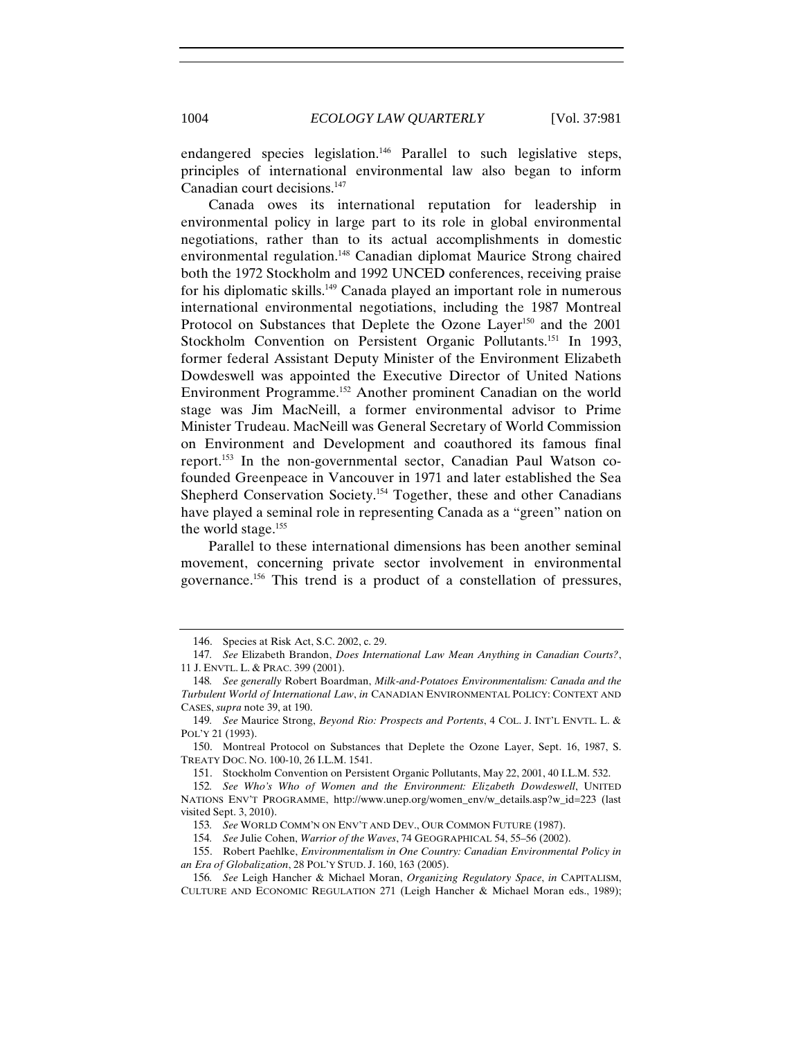endangered species legislation.<sup>146</sup> Parallel to such legislative steps, principles of international environmental law also began to inform Canadian court decisions.147

Canada owes its international reputation for leadership in environmental policy in large part to its role in global environmental negotiations, rather than to its actual accomplishments in domestic environmental regulation.<sup>148</sup> Canadian diplomat Maurice Strong chaired both the 1972 Stockholm and 1992 UNCED conferences, receiving praise for his diplomatic skills.149 Canada played an important role in numerous international environmental negotiations, including the 1987 Montreal Protocol on Substances that Deplete the Ozone Layer<sup>150</sup> and the 2001 Stockholm Convention on Persistent Organic Pollutants.<sup>151</sup> In 1993, former federal Assistant Deputy Minister of the Environment Elizabeth Dowdeswell was appointed the Executive Director of United Nations Environment Programme.152 Another prominent Canadian on the world stage was Jim MacNeill, a former environmental advisor to Prime Minister Trudeau. MacNeill was General Secretary of World Commission on Environment and Development and coauthored its famous final report.153 In the non-governmental sector, Canadian Paul Watson cofounded Greenpeace in Vancouver in 1971 and later established the Sea Shepherd Conservation Society.<sup>154</sup> Together, these and other Canadians have played a seminal role in representing Canada as a "green" nation on the world stage.<sup>155</sup>

Parallel to these international dimensions has been another seminal movement, concerning private sector involvement in environmental governance.156 This trend is a product of a constellation of pressures,

<sup>146.</sup> Species at Risk Act, S.C. 2002, c. 29.

<sup>147</sup>*. See* Elizabeth Brandon, *Does International Law Mean Anything in Canadian Courts?*, 11 J. ENVTL. L. & PRAC. 399 (2001).

<sup>148</sup>*. See generally* Robert Boardman, *Milk-and-Potatoes Environmentalism: Canada and the Turbulent World of International Law*, *in* CANADIAN ENVIRONMENTAL POLICY: CONTEXT AND CASES, *supra* note 39, at 190.

<sup>149</sup>*. See* Maurice Strong, *Beyond Rio: Prospects and Portents*, 4 COL. J. INT'L ENVTL. L. & POL'Y 21 (1993).

<sup>150.</sup> Montreal Protocol on Substances that Deplete the Ozone Layer, Sept. 16, 1987, S. TREATY DOC. NO. 100-10, 26 I.L.M. 1541.

<sup>151.</sup> Stockholm Convention on Persistent Organic Pollutants, May 22, 2001, 40 I.L.M. 532.

<sup>152</sup>*. See Who's Who of Women and the Environment: Elizabeth Dowdeswell*, UNITED NATIONS ENV'T PROGRAMME, http://www.unep.org/women\_env/w\_details.asp?w\_id=223 (last visited Sept. 3, 2010).

<sup>153</sup>*. See* WORLD COMM'N ON ENV'T AND DEV., OUR COMMON FUTURE (1987).

<sup>154</sup>*. See* Julie Cohen, *Warrior of the Waves*, 74 GEOGRAPHICAL 54, 55–56 (2002).

<sup>155.</sup> Robert Paehlke, *Environmentalism in One Country: Canadian Environmental Policy in an Era of Globalization*, 28 POL'Y STUD. J. 160, 163 (2005).

<sup>156</sup>*. See* Leigh Hancher & Michael Moran, *Organizing Regulatory Space*, *in* CAPITALISM, CULTURE AND ECONOMIC REGULATION 271 (Leigh Hancher & Michael Moran eds., 1989);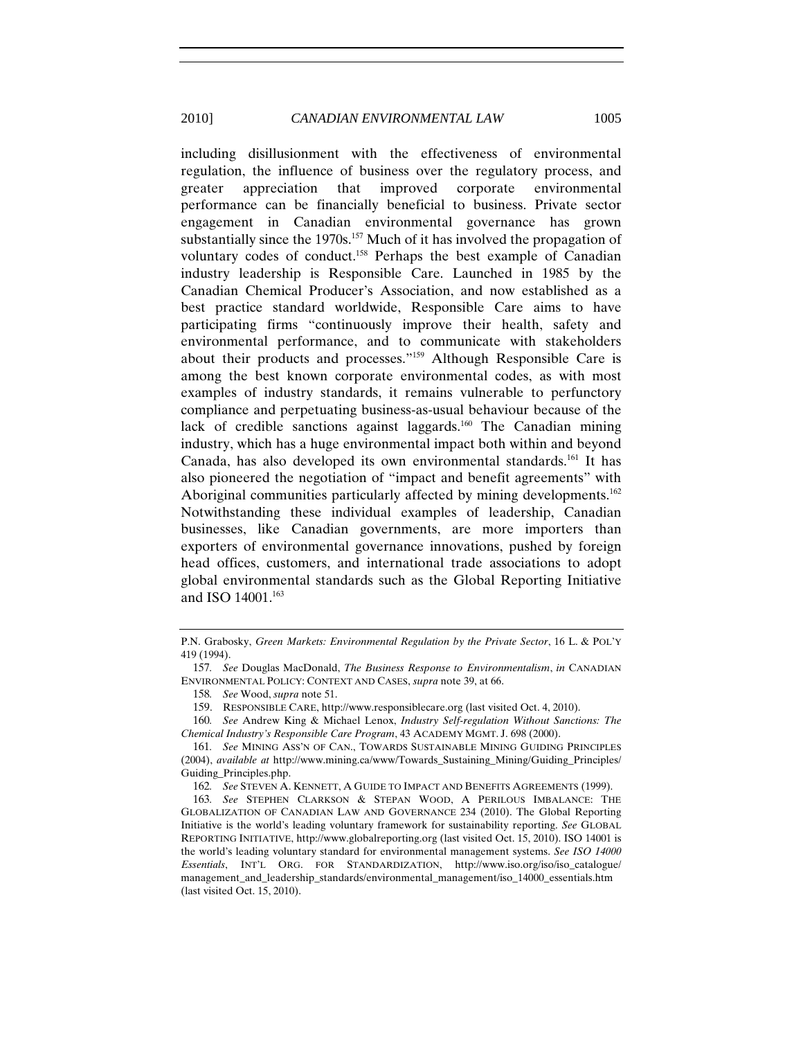including disillusionment with the effectiveness of environmental regulation, the influence of business over the regulatory process, and greater appreciation that improved corporate environmental performance can be financially beneficial to business. Private sector engagement in Canadian environmental governance has grown substantially since the  $1970s$ .<sup>157</sup> Much of it has involved the propagation of voluntary codes of conduct.158 Perhaps the best example of Canadian industry leadership is Responsible Care. Launched in 1985 by the Canadian Chemical Producer's Association, and now established as a best practice standard worldwide, Responsible Care aims to have participating firms "continuously improve their health, safety and environmental performance, and to communicate with stakeholders about their products and processes."159 Although Responsible Care is among the best known corporate environmental codes, as with most examples of industry standards, it remains vulnerable to perfunctory compliance and perpetuating business-as-usual behaviour because of the lack of credible sanctions against laggards.<sup>160</sup> The Canadian mining industry, which has a huge environmental impact both within and beyond Canada, has also developed its own environmental standards.<sup>161</sup> It has also pioneered the negotiation of "impact and benefit agreements" with Aboriginal communities particularly affected by mining developments.<sup>162</sup> Notwithstanding these individual examples of leadership, Canadian businesses, like Canadian governments, are more importers than exporters of environmental governance innovations, pushed by foreign head offices, customers, and international trade associations to adopt global environmental standards such as the Global Reporting Initiative and ISO 14001.<sup>163</sup>

P.N. Grabosky, *Green Markets: Environmental Regulation by the Private Sector*, 16 L. & POL'Y 419 (1994).

<sup>157</sup>*. See* Douglas MacDonald, *The Business Response to Environmentalism*, *in* CANADIAN ENVIRONMENTAL POLICY: CONTEXT AND CASES, *supra* note 39, at 66.

<sup>158</sup>*. See* Wood, *supra* note 51.

<sup>159.</sup> RESPONSIBLE CARE, http://www.responsiblecare.org (last visited Oct. 4, 2010).

<sup>160</sup>*. See* Andrew King & Michael Lenox, *Industry Self-regulation Without Sanctions: The Chemical Industry's Responsible Care Program*, 43 ACADEMY MGMT. J. 698 (2000).

<sup>161</sup>*. See* MINING ASS'N OF CAN., TOWARDS SUSTAINABLE MINING GUIDING PRINCIPLES (2004), *available at* http://www.mining.ca/www/Towards\_Sustaining\_Mining/Guiding\_Principles/ Guiding\_Principles.php.

<sup>162</sup>*. See* STEVEN A. KENNETT, A GUIDE TO IMPACT AND BENEFITS AGREEMENTS (1999).

<sup>163</sup>*. See* STEPHEN CLARKSON & STEPAN WOOD, A PERILOUS IMBALANCE: THE GLOBALIZATION OF CANADIAN LAW AND GOVERNANCE 234 (2010). The Global Reporting Initiative is the world's leading voluntary framework for sustainability reporting. *See* GLOBAL REPORTING INITIATIVE, http://www.globalreporting.org (last visited Oct. 15, 2010). ISO 14001 is the world's leading voluntary standard for environmental management systems. *See ISO 14000 Essentials*, INT'L ORG. FOR STANDARDIZATION, http://www.iso.org/iso/iso\_catalogue/ management\_and\_leadership\_standards/environmental\_management/iso\_14000\_essentials.htm (last visited Oct. 15, 2010).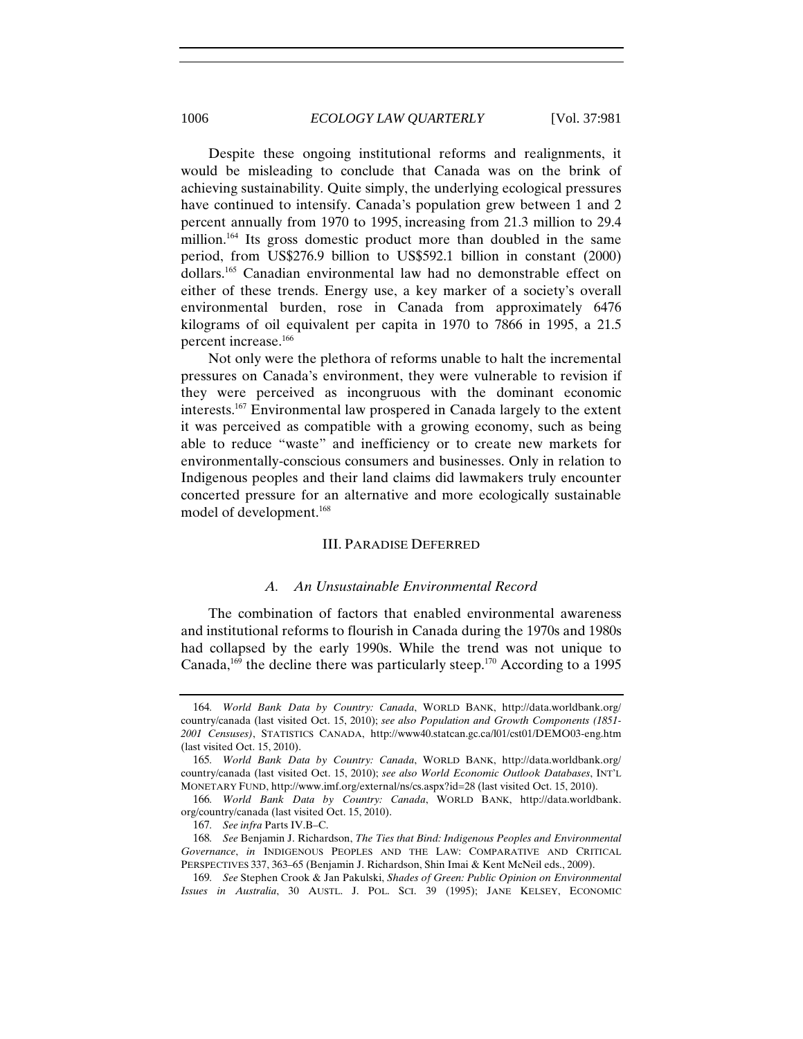Despite these ongoing institutional reforms and realignments, it would be misleading to conclude that Canada was on the brink of achieving sustainability. Quite simply, the underlying ecological pressures have continued to intensify. Canada's population grew between 1 and 2 percent annually from 1970 to 1995, increasing from 21.3 million to 29.4 million.<sup>164</sup> Its gross domestic product more than doubled in the same period, from US\$276.9 billion to US\$592.1 billion in constant (2000) dollars.165 Canadian environmental law had no demonstrable effect on either of these trends. Energy use, a key marker of a society's overall environmental burden, rose in Canada from approximately 6476 kilograms of oil equivalent per capita in 1970 to 7866 in 1995, a 21.5 percent increase.166

Not only were the plethora of reforms unable to halt the incremental pressures on Canada's environment, they were vulnerable to revision if they were perceived as incongruous with the dominant economic interests.167 Environmental law prospered in Canada largely to the extent it was perceived as compatible with a growing economy, such as being able to reduce "waste" and inefficiency or to create new markets for environmentally-conscious consumers and businesses. Only in relation to Indigenous peoples and their land claims did lawmakers truly encounter concerted pressure for an alternative and more ecologically sustainable model of development.168

## III. PARADISE DEFERRED

#### *A. An Unsustainable Environmental Record*

The combination of factors that enabled environmental awareness and institutional reforms to flourish in Canada during the 1970s and 1980s had collapsed by the early 1990s. While the trend was not unique to Canada,<sup>169</sup> the decline there was particularly steep.<sup>170</sup> According to a 1995

<sup>164</sup>*. World Bank Data by Country: Canada*, WORLD BANK, http://data.worldbank.org/ country/canada (last visited Oct. 15, 2010); *see also Population and Growth Components (1851- 2001 Censuses)*, STATISTICS CANADA, http://www40.statcan.gc.ca/l01/cst01/DEMO03-eng.htm (last visited Oct. 15, 2010).

<sup>165</sup>*. World Bank Data by Country: Canada*, WORLD BANK, http://data.worldbank.org/ country/canada (last visited Oct. 15, 2010); *see also World Economic Outlook Databases*, INT'L MONETARY FUND, http://www.imf.org/external/ns/cs.aspx?id=28 (last visited Oct. 15, 2010).

<sup>166</sup>*. World Bank Data by Country: Canada*, WORLD BANK, http://data.worldbank. org/country/canada (last visited Oct. 15, 2010).

<sup>167</sup>*. See infra* Parts IV.B–C.

<sup>168</sup>*. See* Benjamin J. Richardson, *The Ties that Bind: Indigenous Peoples and Environmental Governance*, *in* INDIGENOUS PEOPLES AND THE LAW: COMPARATIVE AND CRITICAL PERSPECTIVES 337, 363–65 (Benjamin J. Richardson, Shin Imai & Kent McNeil eds., 2009).

<sup>169</sup>*. See* Stephen Crook & Jan Pakulski, *Shades of Green: Public Opinion on Environmental Issues in Australia*, 30 AUSTL. J. POL. SCI. 39 (1995); JANE KELSEY, ECONOMIC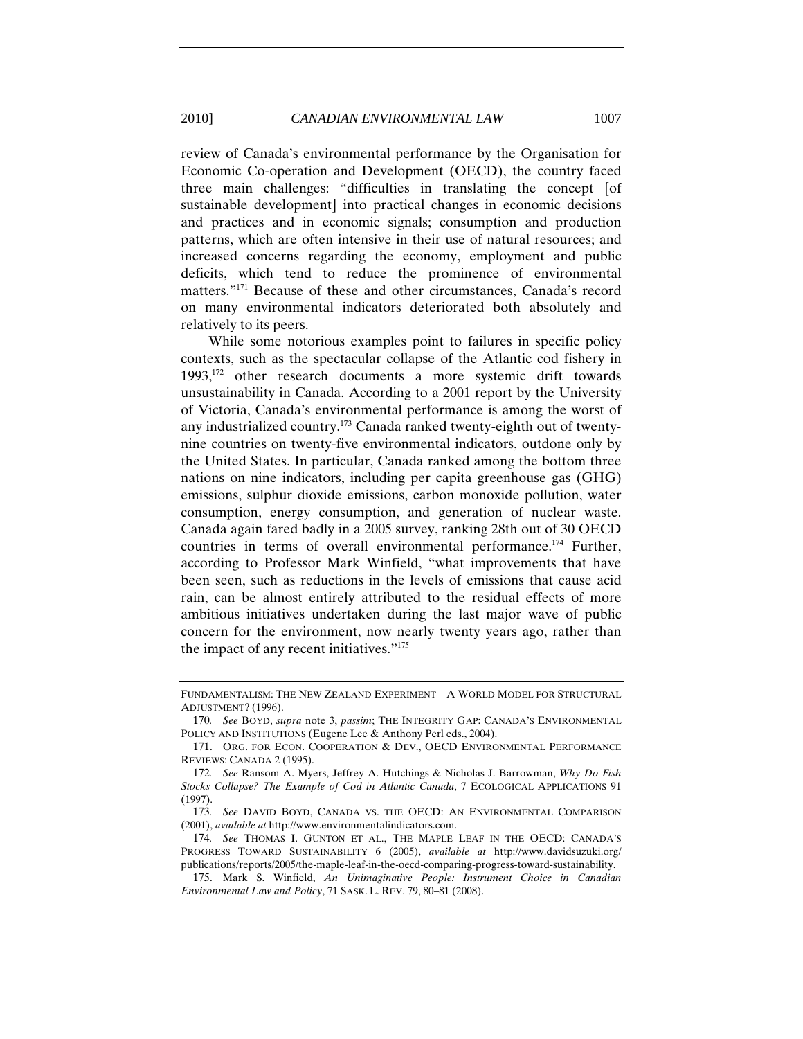review of Canada's environmental performance by the Organisation for Economic Co-operation and Development (OECD), the country faced three main challenges: "difficulties in translating the concept [of sustainable development] into practical changes in economic decisions and practices and in economic signals; consumption and production patterns, which are often intensive in their use of natural resources; and increased concerns regarding the economy, employment and public deficits, which tend to reduce the prominence of environmental matters."171 Because of these and other circumstances, Canada's record on many environmental indicators deteriorated both absolutely and relatively to its peers.

While some notorious examples point to failures in specific policy contexts, such as the spectacular collapse of the Atlantic cod fishery in 1993,172 other research documents a more systemic drift towards unsustainability in Canada. According to a 2001 report by the University of Victoria, Canada's environmental performance is among the worst of any industrialized country.173 Canada ranked twenty-eighth out of twentynine countries on twenty-five environmental indicators, outdone only by the United States. In particular, Canada ranked among the bottom three nations on nine indicators, including per capita greenhouse gas (GHG) emissions, sulphur dioxide emissions, carbon monoxide pollution, water consumption, energy consumption, and generation of nuclear waste. Canada again fared badly in a 2005 survey, ranking 28th out of 30 OECD countries in terms of overall environmental performance.<sup>174</sup> Further, according to Professor Mark Winfield, "what improvements that have been seen, such as reductions in the levels of emissions that cause acid rain, can be almost entirely attributed to the residual effects of more ambitious initiatives undertaken during the last major wave of public concern for the environment, now nearly twenty years ago, rather than the impact of any recent initiatives."175

FUNDAMENTALISM: THE NEW ZEALAND EXPERIMENT – A WORLD MODEL FOR STRUCTURAL ADJUSTMENT? (1996).

<sup>170</sup>*. See* BOYD, *supra* note 3, *passim*; THE INTEGRITY GAP: CANADA'S ENVIRONMENTAL POLICY AND INSTITUTIONS (Eugene Lee & Anthony Perl eds., 2004).

<sup>171.</sup> ORG. FOR ECON. COOPERATION & DEV., OECD ENVIRONMENTAL PERFORMANCE REVIEWS: CANADA 2 (1995).

<sup>172</sup>*. See* Ransom A. Myers, Jeffrey A. Hutchings & Nicholas J. Barrowman, *Why Do Fish Stocks Collapse? The Example of Cod in Atlantic Canada*, 7 ECOLOGICAL APPLICATIONS 91 (1997).

<sup>173</sup>*. See* DAVID BOYD, CANADA VS. THE OECD: AN ENVIRONMENTAL COMPARISON (2001), *available at* http://www.environmentalindicators.com.

<sup>174</sup>*. See* THOMAS I. GUNTON ET AL., THE MAPLE LEAF IN THE OECD: CANADA'S PROGRESS TOWARD SUSTAINABILITY 6 (2005), *available at* http://www.davidsuzuki.org/ publications/reports/2005/the-maple-leaf-in-the-oecd-comparing-progress-toward-sustainability.

<sup>175.</sup> Mark S. Winfield, *An Unimaginative People: Instrument Choice in Canadian Environmental Law and Policy*, 71 SASK. L. REV. 79, 80–81 (2008).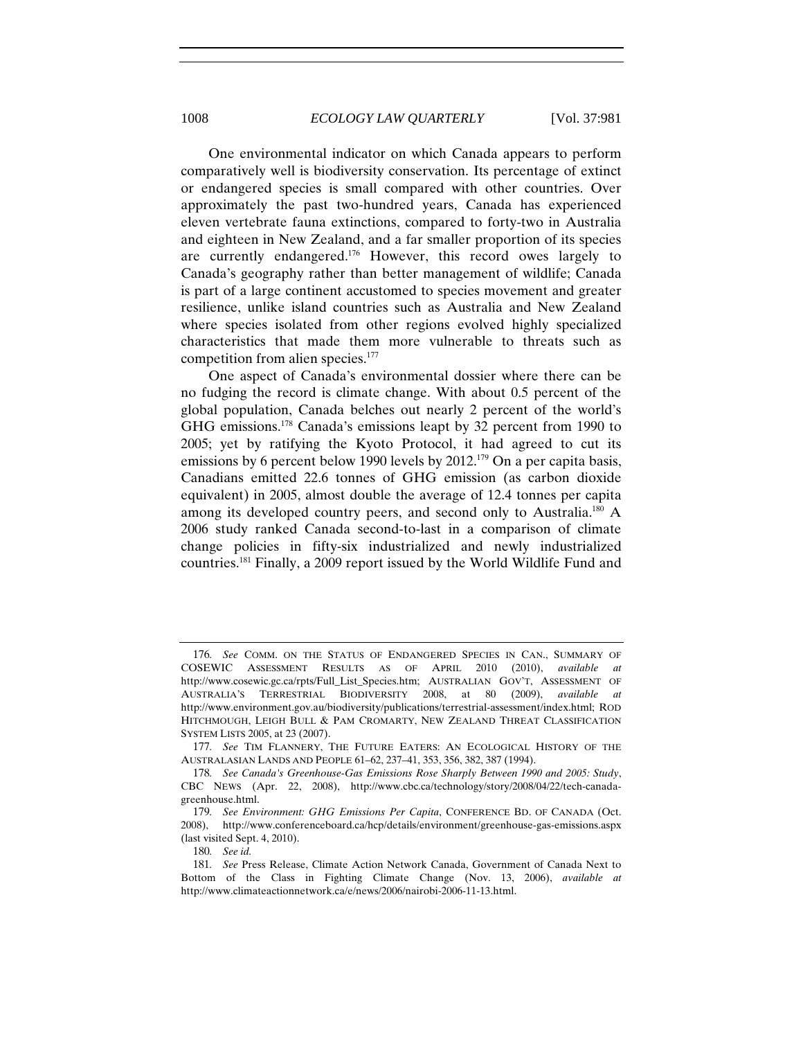One environmental indicator on which Canada appears to perform comparatively well is biodiversity conservation. Its percentage of extinct or endangered species is small compared with other countries. Over approximately the past two-hundred years, Canada has experienced eleven vertebrate fauna extinctions, compared to forty-two in Australia and eighteen in New Zealand, and a far smaller proportion of its species are currently endangered.176 However, this record owes largely to Canada's geography rather than better management of wildlife; Canada is part of a large continent accustomed to species movement and greater resilience, unlike island countries such as Australia and New Zealand where species isolated from other regions evolved highly specialized characteristics that made them more vulnerable to threats such as competition from alien species.177

One aspect of Canada's environmental dossier where there can be no fudging the record is climate change. With about 0.5 percent of the global population, Canada belches out nearly 2 percent of the world's GHG emissions.178 Canada's emissions leapt by 32 percent from 1990 to 2005; yet by ratifying the Kyoto Protocol, it had agreed to cut its emissions by 6 percent below 1990 levels by 2012.<sup>179</sup> On a per capita basis, Canadians emitted 22.6 tonnes of GHG emission (as carbon dioxide equivalent) in 2005, almost double the average of 12.4 tonnes per capita among its developed country peers, and second only to Australia.<sup>180</sup> A 2006 study ranked Canada second-to-last in a comparison of climate change policies in fifty-six industrialized and newly industrialized countries.181 Finally, a 2009 report issued by the World Wildlife Fund and

<sup>176</sup>*. See* COMM. ON THE STATUS OF ENDANGERED SPECIES IN CAN., SUMMARY OF COSEWIC ASSESSMENT RESULTS AS OF APRIL 2010 (2010), *available at*  http://www.cosewic.gc.ca/rpts/Full\_List\_Species.htm; AUSTRALIAN GOV'T, ASSESSMENT OF AUSTRALIA'S TERRESTRIAL BIODIVERSITY 2008, at 80 (2009), *available at* http://www.environment.gov.au/biodiversity/publications/terrestrial-assessment/index.html; ROD HITCHMOUGH, LEIGH BULL & PAM CROMARTY, NEW ZEALAND THREAT CLASSIFICATION SYSTEM LISTS 2005, at 23 (2007).

<sup>177</sup>*. See* TIM FLANNERY, THE FUTURE EATERS: AN ECOLOGICAL HISTORY OF THE AUSTRALASIAN LANDS AND PEOPLE 61–62, 237–41, 353, 356, 382, 387 (1994).

<sup>178</sup>*. See Canada's Greenhouse-Gas Emissions Rose Sharply Between 1990 and 2005: Study*, CBC NEWS (Apr. 22, 2008), http://www.cbc.ca/technology/story/2008/04/22/tech-canadagreenhouse.html.

<sup>179</sup>*. See Environment: GHG Emissions Per Capita*, CONFERENCE BD. OF CANADA (Oct. 2008), http://www.conferenceboard.ca/hcp/details/environment/greenhouse-gas-emissions.aspx (last visited Sept. 4, 2010).

<sup>180</sup>*. See id.*

<sup>181</sup>*. See* Press Release, Climate Action Network Canada, Government of Canada Next to Bottom of the Class in Fighting Climate Change (Nov. 13, 2006), *available at* http://www.climateactionnetwork.ca/e/news/2006/nairobi-2006-11-13.html.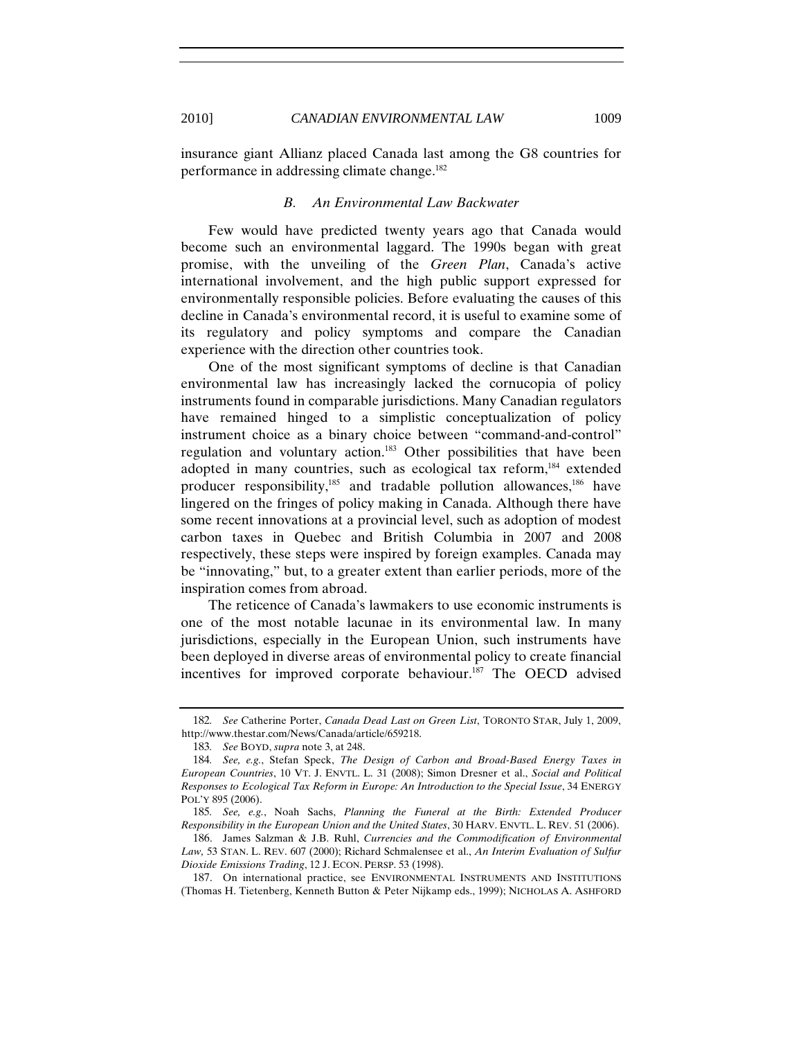insurance giant Allianz placed Canada last among the G8 countries for performance in addressing climate change.182

#### *B. An Environmental Law Backwater*

Few would have predicted twenty years ago that Canada would become such an environmental laggard. The 1990s began with great promise, with the unveiling of the *Green Plan*, Canada's active international involvement, and the high public support expressed for environmentally responsible policies. Before evaluating the causes of this decline in Canada's environmental record, it is useful to examine some of its regulatory and policy symptoms and compare the Canadian experience with the direction other countries took.

One of the most significant symptoms of decline is that Canadian environmental law has increasingly lacked the cornucopia of policy instruments found in comparable jurisdictions. Many Canadian regulators have remained hinged to a simplistic conceptualization of policy instrument choice as a binary choice between "command-and-control" regulation and voluntary action.183 Other possibilities that have been adopted in many countries, such as ecological tax reform,<sup>184</sup> extended producer responsibility, $185$  and tradable pollution allowances, $186$  have lingered on the fringes of policy making in Canada. Although there have some recent innovations at a provincial level, such as adoption of modest carbon taxes in Quebec and British Columbia in 2007 and 2008 respectively, these steps were inspired by foreign examples. Canada may be "innovating," but, to a greater extent than earlier periods, more of the inspiration comes from abroad.

The reticence of Canada's lawmakers to use economic instruments is one of the most notable lacunae in its environmental law. In many jurisdictions, especially in the European Union, such instruments have been deployed in diverse areas of environmental policy to create financial incentives for improved corporate behaviour.<sup>187</sup> The OECD advised

<sup>182</sup>*. See* Catherine Porter, *Canada Dead Last on Green List*, TORONTO STAR, July 1, 2009, http://www.thestar.com/News/Canada/article/659218.

<sup>183</sup>*. See* BOYD, *supra* note 3, at 248.

<sup>184</sup>*. See, e.g.*, Stefan Speck, *The Design of Carbon and Broad-Based Energy Taxes in European Countries*, 10 VT. J. ENVTL. L. 31 (2008); Simon Dresner et al., *Social and Political Responses to Ecological Tax Reform in Europe: An Introduction to the Special Issue*, 34 ENERGY POL'Y 895 (2006).

<sup>185</sup>*. See, e.g.*, Noah Sachs, *Planning the Funeral at the Birth: Extended Producer Responsibility in the European Union and the United States*, 30 HARV. ENVTL. L. REV. 51 (2006).

<sup>186.</sup> James Salzman & J.B. Ruhl, *Currencies and the Commodification of Environmental Law,* 53 STAN. L. REV. 607 (2000); Richard Schmalensee et al., *An Interim Evaluation of Sulfur Dioxide Emissions Trading*, 12 J. ECON. PERSP. 53 (1998).

<sup>187.</sup> On international practice, see ENVIRONMENTAL INSTRUMENTS AND INSTITUTIONS (Thomas H. Tietenberg, Kenneth Button & Peter Nijkamp eds., 1999); NICHOLAS A. ASHFORD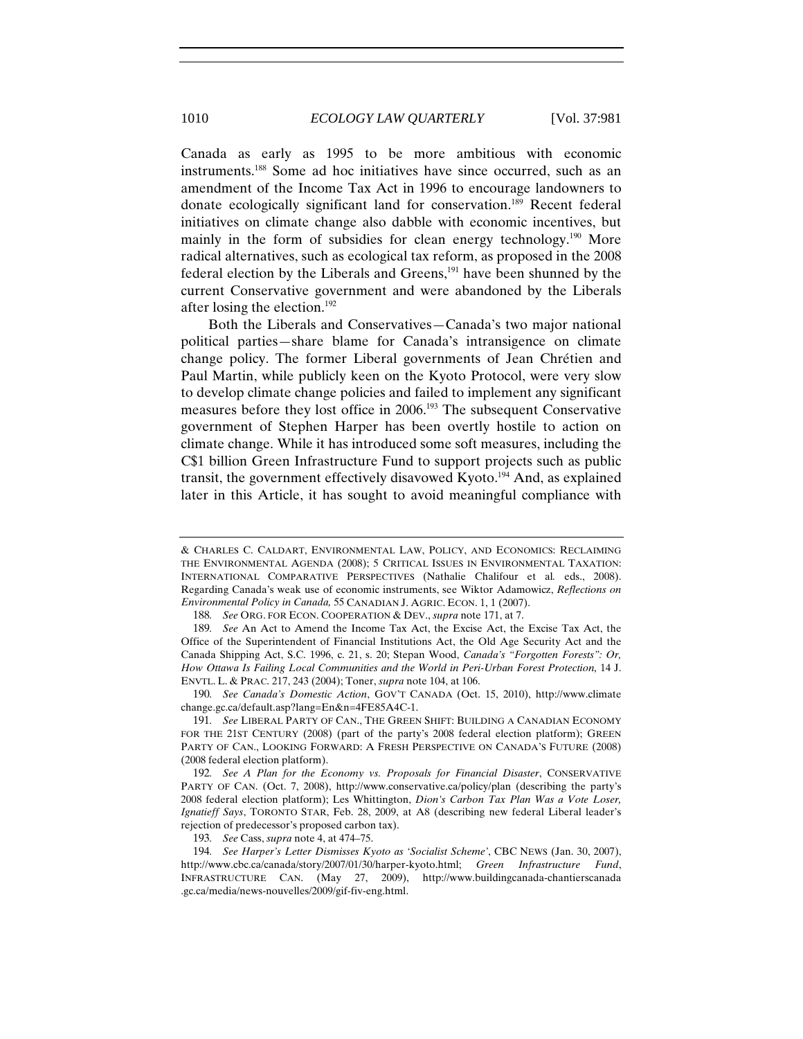Canada as early as 1995 to be more ambitious with economic instruments.188 Some ad hoc initiatives have since occurred, such as an amendment of the Income Tax Act in 1996 to encourage landowners to donate ecologically significant land for conservation.189 Recent federal initiatives on climate change also dabble with economic incentives, but mainly in the form of subsidies for clean energy technology.<sup>190</sup> More radical alternatives, such as ecological tax reform, as proposed in the 2008 federal election by the Liberals and Greens,191 have been shunned by the current Conservative government and were abandoned by the Liberals after losing the election.192

Both the Liberals and Conservatives—Canada's two major national political parties—share blame for Canada's intransigence on climate change policy. The former Liberal governments of Jean Chrétien and Paul Martin, while publicly keen on the Kyoto Protocol, were very slow to develop climate change policies and failed to implement any significant measures before they lost office in 2006.193 The subsequent Conservative government of Stephen Harper has been overtly hostile to action on climate change. While it has introduced some soft measures, including the C\$1 billion Green Infrastructure Fund to support projects such as public transit, the government effectively disavowed Kyoto.<sup>194</sup> And, as explained later in this Article, it has sought to avoid meaningful compliance with

<sup>&</sup>amp; CHARLES C. CALDART, ENVIRONMENTAL LAW, POLICY, AND ECONOMICS: RECLAIMING THE ENVIRONMENTAL AGENDA (2008); 5 CRITICAL ISSUES IN ENVIRONMENTAL TAXATION: INTERNATIONAL COMPARATIVE PERSPECTIVES (Nathalie Chalifour et al*.* eds., 2008). Regarding Canada's weak use of economic instruments, see Wiktor Adamowicz, *Reflections on Environmental Policy in Canada,* 55 CANADIAN J. AGRIC. ECON. 1, 1 (2007).

<sup>188</sup>*. See* ORG. FOR ECON. COOPERATION & DEV., *supra* note 171, at 7.

<sup>189</sup>*. See* An Act to Amend the Income Tax Act, the Excise Act, the Excise Tax Act, the Office of the Superintendent of Financial Institutions Act, the Old Age Security Act and the Canada Shipping Act, S.C. 1996, c. 21, s. 20; Stepan Wood, *Canada's "Forgotten Forests": Or,*  How Ottawa Is Failing Local Communities and the World in Peri-Urban Forest Protection, 14 J. ENVTL. L. & PRAC. 217, 243 (2004); Toner, *supra* note 104, at 106.

<sup>190</sup>*. See Canada's Domestic Action*, GOV'T CANADA (Oct. 15, 2010), http://www.climate change.gc.ca/default.asp?lang=En&n=4FE85A4C-1.

<sup>191</sup>*. See* LIBERAL PARTY OF CAN., THE GREEN SHIFT: BUILDING A CANADIAN ECONOMY FOR THE 21ST CENTURY (2008) (part of the party's 2008 federal election platform); GREEN PARTY OF CAN., LOOKING FORWARD: A FRESH PERSPECTIVE ON CANADA'S FUTURE (2008) (2008 federal election platform).

<sup>192</sup>*. See A Plan for the Economy vs. Proposals for Financial Disaster*, CONSERVATIVE PARTY OF CAN. (Oct. 7, 2008), http://www.conservative.ca/policy/plan (describing the party's 2008 federal election platform); Les Whittington, *Dion's Carbon Tax Plan Was a Vote Loser, Ignatieff Says*, TORONTO STAR, Feb. 28, 2009, at A8 (describing new federal Liberal leader's rejection of predecessor's proposed carbon tax).

<sup>193</sup>*. See* Cass, *supra* note 4, at 474–75.

<sup>194</sup>*. See Harper's Letter Dismisses Kyoto as 'Socialist Scheme'*, CBC NEWS (Jan. 30, 2007), http://www.cbc.ca/canada/story/2007/01/30/harper-kyoto.html; *Green Infrastructure Fund*, INFRASTRUCTURE CAN. (May 27, 2009), http://www.buildingcanada-chantierscanada .gc.ca/media/news-nouvelles/2009/gif-fiv-eng.html.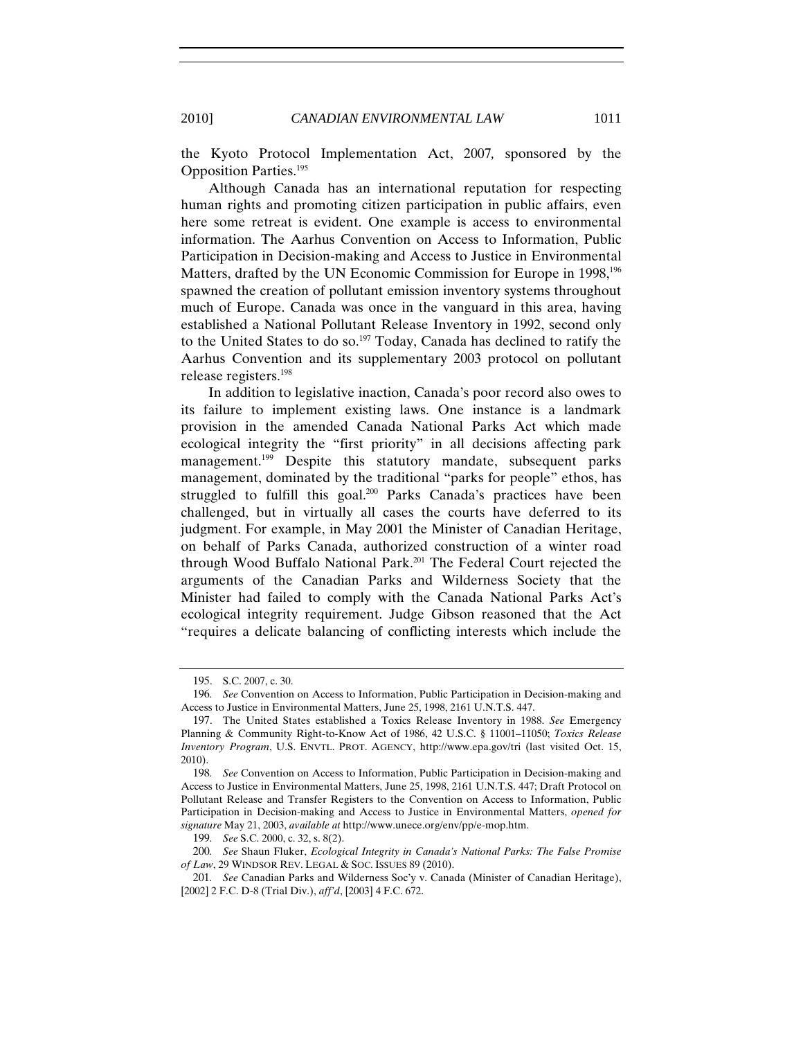the Kyoto Protocol Implementation Act, 2007*,* sponsored by the

Opposition Parties.195 Although Canada has an international reputation for respecting human rights and promoting citizen participation in public affairs, even here some retreat is evident. One example is access to environmental information. The Aarhus Convention on Access to Information, Public Participation in Decision-making and Access to Justice in Environmental Matters, drafted by the UN Economic Commission for Europe in 1998,<sup>196</sup> spawned the creation of pollutant emission inventory systems throughout much of Europe. Canada was once in the vanguard in this area, having established a National Pollutant Release Inventory in 1992, second only to the United States to do so.<sup>197</sup> Today, Canada has declined to ratify the Aarhus Convention and its supplementary 2003 protocol on pollutant release registers.198

In addition to legislative inaction, Canada's poor record also owes to its failure to implement existing laws. One instance is a landmark provision in the amended Canada National Parks Act which made ecological integrity the "first priority" in all decisions affecting park management.<sup>199</sup> Despite this statutory mandate, subsequent parks management, dominated by the traditional "parks for people" ethos, has struggled to fulfill this goal.<sup>200</sup> Parks Canada's practices have been challenged, but in virtually all cases the courts have deferred to its judgment. For example, in May 2001 the Minister of Canadian Heritage, on behalf of Parks Canada, authorized construction of a winter road through Wood Buffalo National Park.<sup>201</sup> The Federal Court rejected the arguments of the Canadian Parks and Wilderness Society that the Minister had failed to comply with the Canada National Parks Act's ecological integrity requirement. Judge Gibson reasoned that the Act "requires a delicate balancing of conflicting interests which include the

<sup>195.</sup> S.C. 2007, c. 30.

<sup>196</sup>*. See* Convention on Access to Information, Public Participation in Decision-making and Access to Justice in Environmental Matters, June 25, 1998, 2161 U.N.T.S. 447.

<sup>197.</sup> The United States established a Toxics Release Inventory in 1988. *See* Emergency Planning & Community Right-to-Know Act of 1986, 42 U.S.C. § 11001–11050; *Toxics Release Inventory Program*, U.S. ENVTL. PROT. AGENCY, http://www.epa.gov/tri (last visited Oct. 15, 2010).

<sup>198</sup>*. See* Convention on Access to Information, Public Participation in Decision-making and Access to Justice in Environmental Matters, June 25, 1998, 2161 U.N.T.S. 447; Draft Protocol on Pollutant Release and Transfer Registers to the Convention on Access to Information, Public Participation in Decision-making and Access to Justice in Environmental Matters, *opened for signature* May 21, 2003, *available at* http://www.unece.org/env/pp/e-mop.htm.

<sup>199</sup>*. See* S.C. 2000, c. 32, s. 8(2).

<sup>200</sup>*. See* Shaun Fluker, *Ecological Integrity in Canada's National Parks: The False Promise of Law*, 29 WINDSOR REV. LEGAL & SOC. ISSUES 89 (2010).

<sup>201</sup>*. See* Canadian Parks and Wilderness Soc'y v. Canada (Minister of Canadian Heritage), [2002] 2 F.C. D-8 (Trial Div.), *aff'd*, [2003] 4 F.C. 672.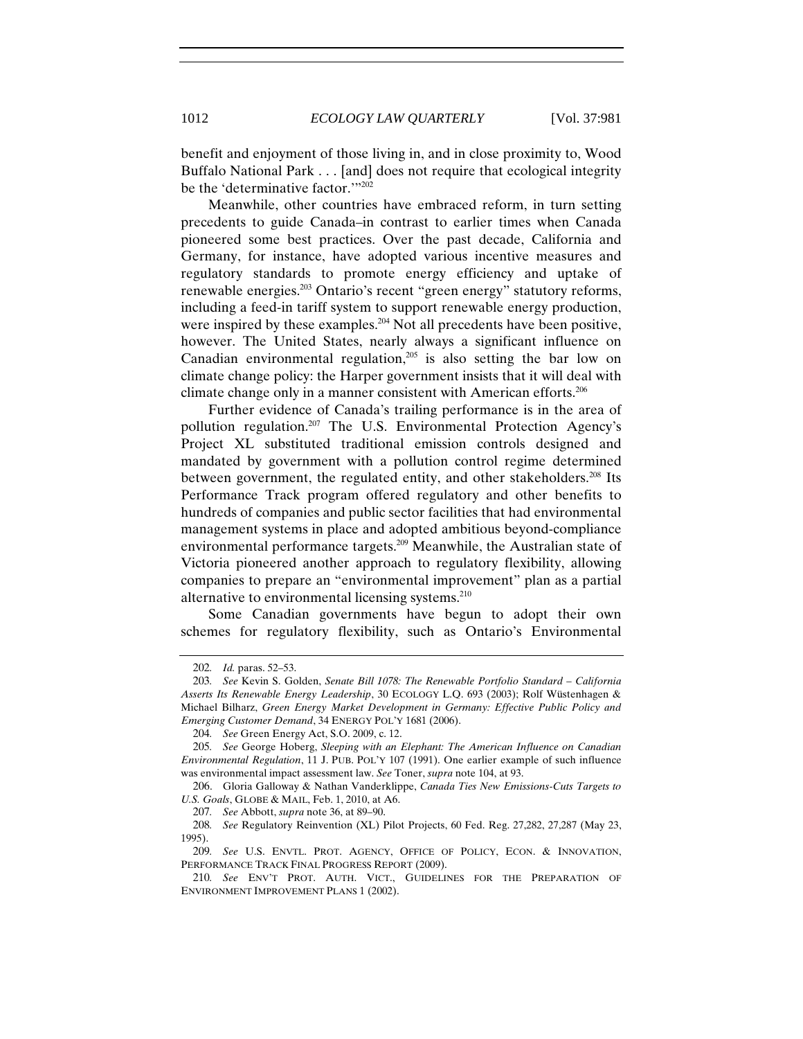benefit and enjoyment of those living in, and in close proximity to, Wood Buffalo National Park . . . [and] does not require that ecological integrity be the 'determinative factor.'"<sup>202</sup>

Meanwhile, other countries have embraced reform, in turn setting precedents to guide Canada–in contrast to earlier times when Canada pioneered some best practices. Over the past decade, California and Germany, for instance, have adopted various incentive measures and regulatory standards to promote energy efficiency and uptake of renewable energies.203 Ontario's recent "green energy" statutory reforms, including a feed-in tariff system to support renewable energy production, were inspired by these examples.<sup>204</sup> Not all precedents have been positive, however. The United States, nearly always a significant influence on Canadian environmental regulation,<sup>205</sup> is also setting the bar low on climate change policy: the Harper government insists that it will deal with climate change only in a manner consistent with American efforts.206

Further evidence of Canada's trailing performance is in the area of pollution regulation.207 The U.S. Environmental Protection Agency's Project XL substituted traditional emission controls designed and mandated by government with a pollution control regime determined between government, the regulated entity, and other stakeholders.<sup>208</sup> Its Performance Track program offered regulatory and other benefits to hundreds of companies and public sector facilities that had environmental management systems in place and adopted ambitious beyond-compliance environmental performance targets.209 Meanwhile, the Australian state of Victoria pioneered another approach to regulatory flexibility, allowing companies to prepare an "environmental improvement" plan as a partial alternative to environmental licensing systems.<sup>210</sup>

Some Canadian governments have begun to adopt their own schemes for regulatory flexibility, such as Ontario's Environmental

<sup>202</sup>*. Id.* paras. 52–53.

<sup>203</sup>*. See* Kevin S. Golden, *Senate Bill 1078: The Renewable Portfolio Standard – California Asserts Its Renewable Energy Leadership*, 30 ECOLOGY L.Q. 693 (2003); Rolf Wüstenhagen & Michael Bilharz, *Green Energy Market Development in Germany: Effective Public Policy and Emerging Customer Demand*, 34 ENERGY POL'Y 1681 (2006).

<sup>204</sup>*. See* Green Energy Act, S.O. 2009, c. 12.

<sup>205</sup>*. See* George Hoberg, *Sleeping with an Elephant: The American Influence on Canadian Environmental Regulation*, 11 J. PUB. POL'Y 107 (1991). One earlier example of such influence was environmental impact assessment law. *See* Toner, *supra* note 104, at 93.

<sup>206.</sup> Gloria Galloway & Nathan Vanderklippe, *Canada Ties New Emissions-Cuts Targets to U.S. Goals*, GLOBE & MAIL, Feb. 1, 2010, at A6.

<sup>207</sup>*. See* Abbott, *supra* note 36, at 89–90.

<sup>208</sup>*. See* Regulatory Reinvention (XL) Pilot Projects, 60 Fed. Reg. 27,282, 27,287 (May 23, 1995).

<sup>209</sup>*. See* U.S. ENVTL. PROT. AGENCY, OFFICE OF POLICY, ECON. & INNOVATION, PERFORMANCE TRACK FINAL PROGRESS REPORT (2009).

<sup>210</sup>*. See* ENV'T PROT. AUTH. VICT., GUIDELINES FOR THE PREPARATION OF ENVIRONMENT IMPROVEMENT PLANS 1 (2002).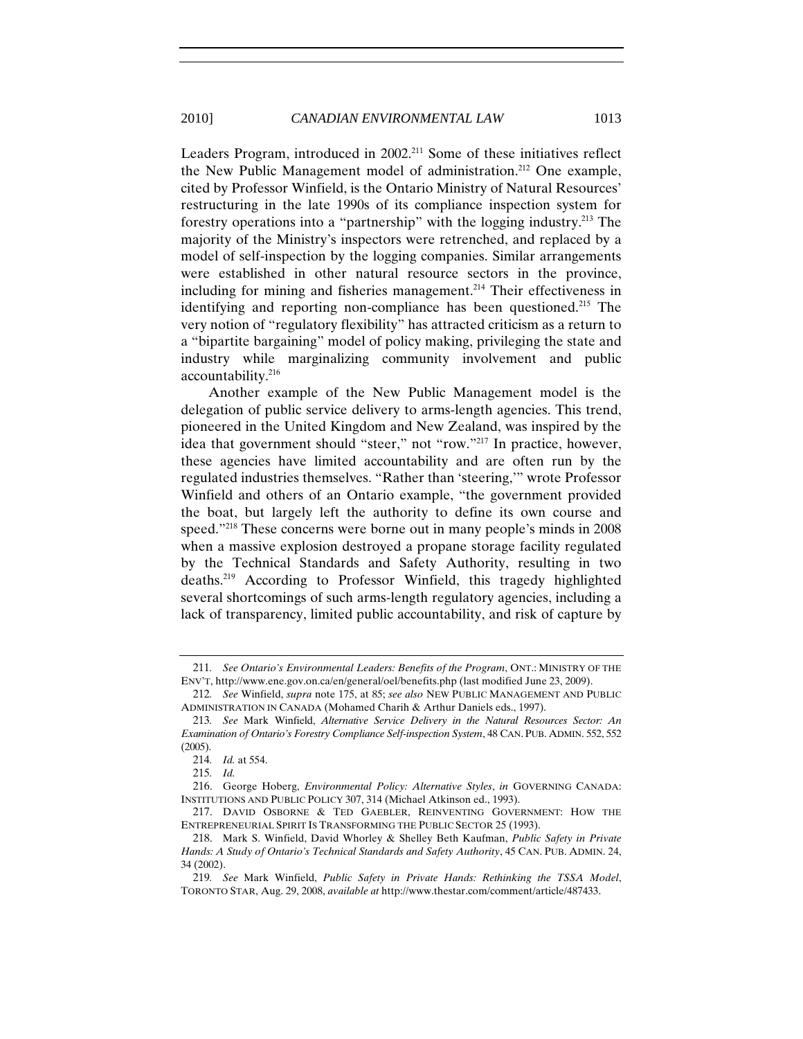Leaders Program, introduced in 2002.<sup>211</sup> Some of these initiatives reflect the New Public Management model of administration.<sup>212</sup> One example, cited by Professor Winfield, is the Ontario Ministry of Natural Resources' restructuring in the late 1990s of its compliance inspection system for forestry operations into a "partnership" with the logging industry.213 The majority of the Ministry's inspectors were retrenched, and replaced by a model of self-inspection by the logging companies. Similar arrangements were established in other natural resource sectors in the province, including for mining and fisheries management.<sup>214</sup> Their effectiveness in identifying and reporting non-compliance has been questioned.<sup>215</sup> The very notion of "regulatory flexibility" has attracted criticism as a return to a "bipartite bargaining" model of policy making, privileging the state and industry while marginalizing community involvement and public accountability.216

Another example of the New Public Management model is the delegation of public service delivery to arms-length agencies. This trend, pioneered in the United Kingdom and New Zealand, was inspired by the idea that government should "steer," not "row."217 In practice, however, these agencies have limited accountability and are often run by the regulated industries themselves. "Rather than 'steering,'" wrote Professor Winfield and others of an Ontario example, "the government provided the boat, but largely left the authority to define its own course and speed."<sup>218</sup> These concerns were borne out in many people's minds in 2008 when a massive explosion destroyed a propane storage facility regulated by the Technical Standards and Safety Authority, resulting in two deaths.219 According to Professor Winfield, this tragedy highlighted several shortcomings of such arms-length regulatory agencies, including a lack of transparency, limited public accountability, and risk of capture by

<sup>211</sup>*. See Ontario's Environmental Leaders: Benefits of the Program*, ONT.: MINISTRY OF THE ENV'T, http://www.ene.gov.on.ca/en/general/oel/benefits.php (last modified June 23, 2009).

<sup>212</sup>*. See* Winfield, *supra* note 175, at 85; *see also* NEW PUBLIC MANAGEMENT AND PUBLIC ADMINISTRATION IN CANADA (Mohamed Charih & Arthur Daniels eds., 1997).

<sup>213</sup>*. See* Mark Winfield, *Alternative Service Delivery in the Natural Resources Sector: An Examination of Ontario's Forestry Compliance Self-inspection System*, 48 CAN. PUB. ADMIN. 552, 552 (2005).

<sup>214</sup>*. Id.* at 554.

<sup>215</sup>*. Id.*

<sup>216.</sup> George Hoberg, *Environmental Policy: Alternative Styles*, *in* GOVERNING CANADA: INSTITUTIONS AND PUBLIC POLICY 307, 314 (Michael Atkinson ed., 1993).

<sup>217.</sup> DAVID OSBORNE & TED GAEBLER, REINVENTING GOVERNMENT: HOW THE ENTREPRENEURIAL SPIRIT IS TRANSFORMING THE PUBLIC SECTOR 25 (1993).

<sup>218.</sup> Mark S. Winfield, David Whorley & Shelley Beth Kaufman, *Public Safety in Private Hands: A Study of Ontario's Technical Standards and Safety Authority*, 45 CAN. PUB. ADMIN. 24, 34 (2002).

<sup>219</sup>*. See* Mark Winfield, *Public Safety in Private Hands: Rethinking the TSSA Model*, TORONTO STAR, Aug. 29, 2008, *available at* http://www.thestar.com/comment/article/487433.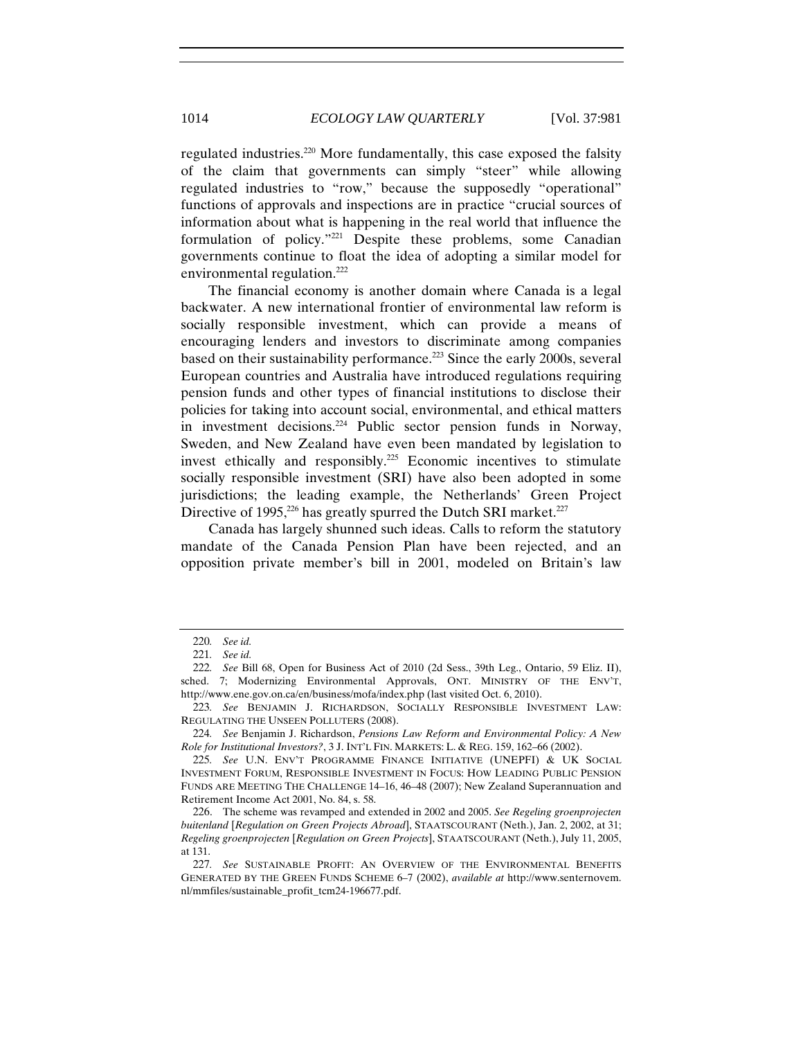regulated industries.220 More fundamentally, this case exposed the falsity of the claim that governments can simply "steer" while allowing regulated industries to "row," because the supposedly "operational" functions of approvals and inspections are in practice "crucial sources of information about what is happening in the real world that influence the formulation of policy."221 Despite these problems, some Canadian governments continue to float the idea of adopting a similar model for environmental regulation.<sup>222</sup>

The financial economy is another domain where Canada is a legal backwater. A new international frontier of environmental law reform is socially responsible investment, which can provide a means of encouraging lenders and investors to discriminate among companies based on their sustainability performance.223 Since the early 2000s, several European countries and Australia have introduced regulations requiring pension funds and other types of financial institutions to disclose their policies for taking into account social, environmental, and ethical matters in investment decisions.<sup>224</sup> Public sector pension funds in Norway, Sweden, and New Zealand have even been mandated by legislation to invest ethically and responsibly.225 Economic incentives to stimulate socially responsible investment (SRI) have also been adopted in some jurisdictions; the leading example, the Netherlands' Green Project Directive of 1995,<sup>226</sup> has greatly spurred the Dutch SRI market.<sup>227</sup>

Canada has largely shunned such ideas. Calls to reform the statutory mandate of the Canada Pension Plan have been rejected, and an opposition private member's bill in 2001, modeled on Britain's law

<sup>220</sup>*. See id.*

<sup>221</sup>*. See id.*

<sup>222</sup>*. See* Bill 68, Open for Business Act of 2010 (2d Sess., 39th Leg., Ontario, 59 Eliz. II), sched. 7; Modernizing Environmental Approvals, ONT. MINISTRY OF THE ENV'T, http://www.ene.gov.on.ca/en/business/mofa/index.php (last visited Oct. 6, 2010).

<sup>223</sup>*. See* BENJAMIN J. RICHARDSON, SOCIALLY RESPONSIBLE INVESTMENT LAW: REGULATING THE UNSEEN POLLUTERS (2008).

<sup>224</sup>*. See* Benjamin J. Richardson, *Pensions Law Reform and Environmental Policy: A New Role for Institutional Investors?*, 3 J. INT'L FIN. MARKETS: L. & REG. 159, 162–66 (2002).

<sup>225</sup>*. See* U.N. ENV'T PROGRAMME FINANCE INITIATIVE (UNEPFI) & UK SOCIAL INVESTMENT FORUM, RESPONSIBLE INVESTMENT IN FOCUS: HOW LEADING PUBLIC PENSION FUNDS ARE MEETING THE CHALLENGE 14–16, 46–48 (2007); New Zealand Superannuation and Retirement Income Act 2001, No. 84, s. 58.

<sup>226.</sup> The scheme was revamped and extended in 2002 and 2005. *See Regeling groenprojecten buitenland* [*Regulation on Green Projects Abroad*], STAATSCOURANT (Neth.), Jan. 2, 2002, at 31; *Regeling groenprojecten* [*Regulation on Green Projects*], STAATSCOURANT (Neth.), July 11, 2005, at 131.

<sup>227</sup>*. See* SUSTAINABLE PROFIT: AN OVERVIEW OF THE ENVIRONMENTAL BENEFITS GENERATED BY THE GREEN FUNDS SCHEME 6–7 (2002), *available at* http://www.senternovem. nl/mmfiles/sustainable\_profit\_tcm24-196677.pdf.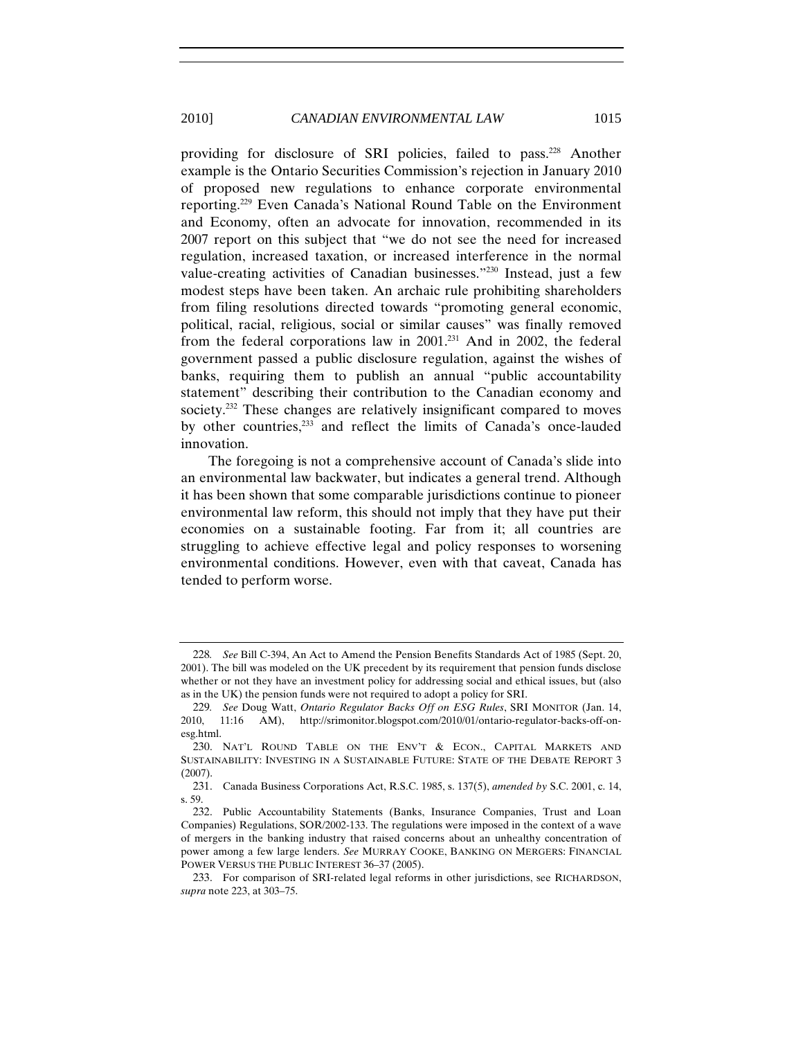providing for disclosure of SRI policies, failed to pass.228 Another example is the Ontario Securities Commission's rejection in January 2010 of proposed new regulations to enhance corporate environmental reporting.229 Even Canada's National Round Table on the Environment and Economy, often an advocate for innovation, recommended in its 2007 report on this subject that "we do not see the need for increased regulation, increased taxation, or increased interference in the normal value-creating activities of Canadian businesses."230 Instead, just a few modest steps have been taken. An archaic rule prohibiting shareholders from filing resolutions directed towards "promoting general economic, political, racial, religious, social or similar causes" was finally removed from the federal corporations law in  $2001$ .<sup>231</sup> And in 2002, the federal government passed a public disclosure regulation, against the wishes of banks, requiring them to publish an annual "public accountability statement" describing their contribution to the Canadian economy and society.<sup>232</sup> These changes are relatively insignificant compared to moves by other countries,<sup>233</sup> and reflect the limits of Canada's once-lauded innovation.

The foregoing is not a comprehensive account of Canada's slide into an environmental law backwater, but indicates a general trend. Although it has been shown that some comparable jurisdictions continue to pioneer environmental law reform, this should not imply that they have put their economies on a sustainable footing. Far from it; all countries are struggling to achieve effective legal and policy responses to worsening environmental conditions. However, even with that caveat, Canada has tended to perform worse.

<sup>228</sup>*. See* Bill C-394, An Act to Amend the Pension Benefits Standards Act of 1985 (Sept. 20, 2001). The bill was modeled on the UK precedent by its requirement that pension funds disclose whether or not they have an investment policy for addressing social and ethical issues, but (also as in the UK) the pension funds were not required to adopt a policy for SRI.

<sup>229</sup>*. See* Doug Watt, *Ontario Regulator Backs Off on ESG Rules*, SRI MONITOR (Jan. 14, 2010, 11:16 AM), http://srimonitor.blogspot.com/2010/01/ontario-regulator-backs-off-onesg.html.

<sup>230.</sup> NAT'L ROUND TABLE ON THE ENV'T & ECON., CAPITAL MARKETS AND SUSTAINABILITY: INVESTING IN A SUSTAINABLE FUTURE: STATE OF THE DEBATE REPORT 3 (2007).

<sup>231.</sup> Canada Business Corporations Act, R.S.C. 1985, s. 137(5), *amended by* S.C. 2001, c. 14, s. 59.

<sup>232.</sup> Public Accountability Statements (Banks, Insurance Companies, Trust and Loan Companies) Regulations, SOR/2002-133. The regulations were imposed in the context of a wave of mergers in the banking industry that raised concerns about an unhealthy concentration of power among a few large lenders. *See* MURRAY COOKE, BANKING ON MERGERS: FINANCIAL POWER VERSUS THE PUBLIC INTEREST 36–37 (2005).

<sup>233.</sup> For comparison of SRI-related legal reforms in other jurisdictions, see RICHARDSON, *supra* note 223, at 303–75.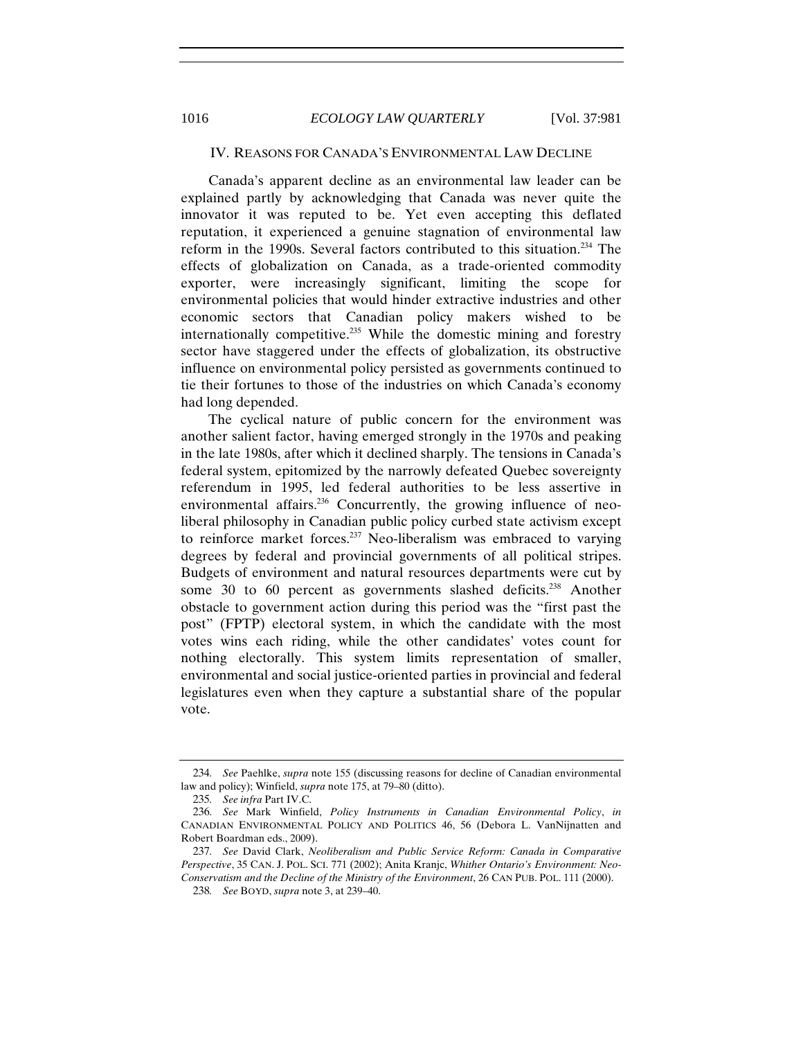## IV. REASONS FOR CANADA'S ENVIRONMENTAL LAW DECLINE

Canada's apparent decline as an environmental law leader can be explained partly by acknowledging that Canada was never quite the innovator it was reputed to be. Yet even accepting this deflated reputation, it experienced a genuine stagnation of environmental law reform in the 1990s. Several factors contributed to this situation.234 The effects of globalization on Canada, as a trade-oriented commodity exporter, were increasingly significant, limiting the scope for environmental policies that would hinder extractive industries and other economic sectors that Canadian policy makers wished to be internationally competitive.<sup>235</sup> While the domestic mining and forestry sector have staggered under the effects of globalization, its obstructive influence on environmental policy persisted as governments continued to tie their fortunes to those of the industries on which Canada's economy had long depended.

The cyclical nature of public concern for the environment was another salient factor, having emerged strongly in the 1970s and peaking in the late 1980s, after which it declined sharply. The tensions in Canada's federal system, epitomized by the narrowly defeated Quebec sovereignty referendum in 1995, led federal authorities to be less assertive in environmental affairs.<sup>236</sup> Concurrently, the growing influence of neoliberal philosophy in Canadian public policy curbed state activism except to reinforce market forces.237 Neo-liberalism was embraced to varying degrees by federal and provincial governments of all political stripes. Budgets of environment and natural resources departments were cut by some 30 to 60 percent as governments slashed deficits.<sup>238</sup> Another obstacle to government action during this period was the "first past the post" (FPTP) electoral system, in which the candidate with the most votes wins each riding, while the other candidates' votes count for nothing electorally. This system limits representation of smaller, environmental and social justice-oriented parties in provincial and federal legislatures even when they capture a substantial share of the popular vote.

<sup>234</sup>*. See* Paehlke, *supra* note 155 (discussing reasons for decline of Canadian environmental law and policy); Winfield, *supra* note 175, at 79–80 (ditto).

<sup>235</sup>*. See infra* Part IV.C.

<sup>236</sup>*. See* Mark Winfield, *Policy Instruments in Canadian Environmental Policy*, *in* CANADIAN ENVIRONMENTAL POLICY AND POLITICS 46, 56 (Debora L. VanNijnatten and Robert Boardman eds., 2009).

<sup>237</sup>*. See* David Clark, *Neoliberalism and Public Service Reform: Canada in Comparative Perspective*, 35 CAN. J. POL. SCI. 771 (2002); Anita Kranjc, *Whither Ontario's Environment: Neo-Conservatism and the Decline of the Ministry of the Environment*, 26 CAN PUB. POL. 111 (2000).

<sup>238</sup>*. See* BOYD, *supra* note 3, at 239–40.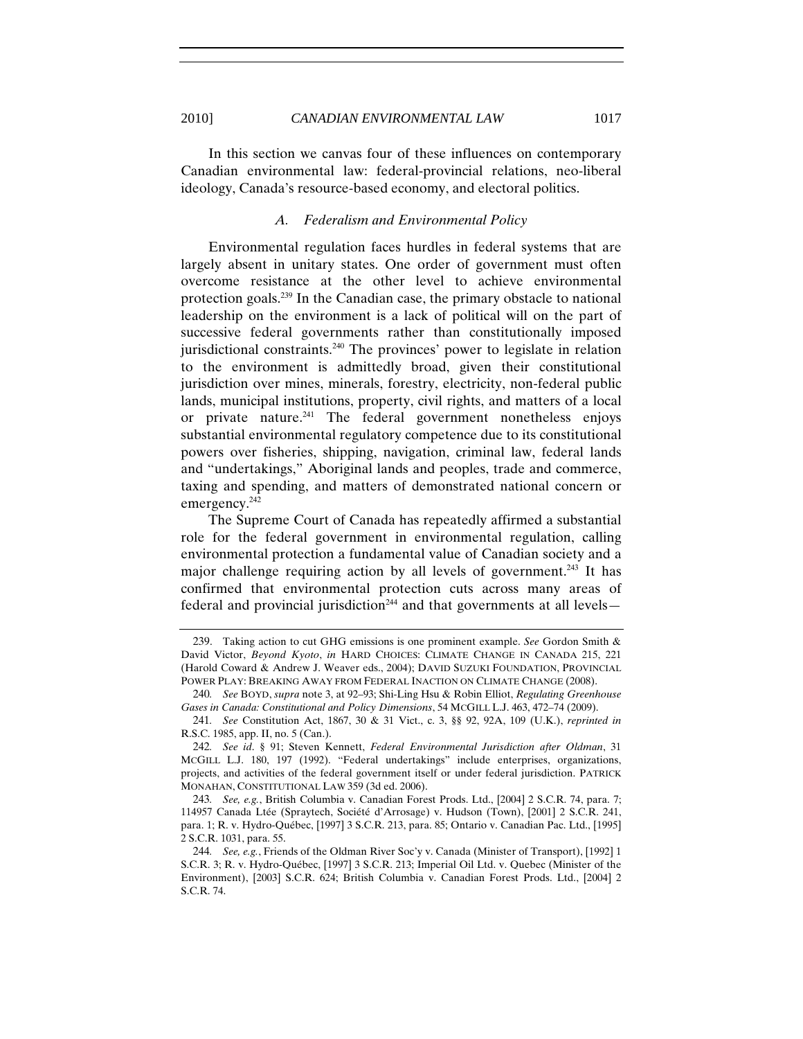In this section we canvas four of these influences on contemporary Canadian environmental law: federal-provincial relations, neo-liberal ideology, Canada's resource-based economy, and electoral politics.

## *A. Federalism and Environmental Policy*

Environmental regulation faces hurdles in federal systems that are largely absent in unitary states. One order of government must often overcome resistance at the other level to achieve environmental protection goals.239 In the Canadian case, the primary obstacle to national leadership on the environment is a lack of political will on the part of successive federal governments rather than constitutionally imposed jurisdictional constraints.<sup>240</sup> The provinces' power to legislate in relation to the environment is admittedly broad, given their constitutional jurisdiction over mines, minerals, forestry, electricity, non-federal public lands, municipal institutions, property, civil rights, and matters of a local or private nature.<sup>241</sup> The federal government nonetheless enjoys substantial environmental regulatory competence due to its constitutional powers over fisheries, shipping, navigation, criminal law, federal lands and "undertakings," Aboriginal lands and peoples, trade and commerce, taxing and spending, and matters of demonstrated national concern or emergency.<sup>242</sup>

The Supreme Court of Canada has repeatedly affirmed a substantial role for the federal government in environmental regulation, calling environmental protection a fundamental value of Canadian society and a major challenge requiring action by all levels of government.<sup>243</sup> It has confirmed that environmental protection cuts across many areas of federal and provincial jurisdiction<sup>244</sup> and that governments at all levels $-$ 

<sup>239.</sup> Taking action to cut GHG emissions is one prominent example. *See* Gordon Smith & David Victor, *Beyond Kyoto*, *in* HARD CHOICES: CLIMATE CHANGE IN CANADA 215, 221 (Harold Coward & Andrew J. Weaver eds., 2004); DAVID SUZUKI FOUNDATION, PROVINCIAL POWER PLAY: BREAKING AWAY FROM FEDERAL INACTION ON CLIMATE CHANGE (2008).

<sup>240</sup>*. See* BOYD, *supra* note 3, at 92–93; Shi-Ling Hsu & Robin Elliot, *Regulating Greenhouse Gases in Canada: Constitutional and Policy Dimensions*, 54 MCGILL L.J. 463, 472–74 (2009).

<sup>241</sup>*. See* Constitution Act, 1867, 30 & 31 Vict., c. 3, §§ 92, 92A, 109 (U.K.), *reprinted in*  R.S.C. 1985, app. II, no. 5 (Can.).

<sup>242</sup>*. See id*. § 91; Steven Kennett, *Federal Environmental Jurisdiction after Oldman*, 31 MCGILL L.J. 180, 197 (1992). "Federal undertakings" include enterprises, organizations, projects, and activities of the federal government itself or under federal jurisdiction. PATRICK MONAHAN, CONSTITUTIONAL LAW 359 (3d ed. 2006).

<sup>243</sup>*. See, e.g.*, British Columbia v. Canadian Forest Prods. Ltd., [2004] 2 S.C.R. 74, para. 7; 114957 Canada Ltée (Spraytech, Société d'Arrosage) v. Hudson (Town), [2001] 2 S.C.R. 241, para. 1; R. v. Hydro-Québec, [1997] 3 S.C.R. 213, para. 85; Ontario v. Canadian Pac. Ltd., [1995] 2 S.C.R. 1031, para. 55.

<sup>244</sup>*. See, e.g.*, Friends of the Oldman River Soc'y v. Canada (Minister of Transport), [1992] 1 S.C.R. 3; R. v. Hydro-Québec, [1997] 3 S.C.R. 213; Imperial Oil Ltd. v. Quebec (Minister of the Environment), [2003] S.C.R. 624; British Columbia v. Canadian Forest Prods. Ltd., [2004] 2 S.C.R. 74.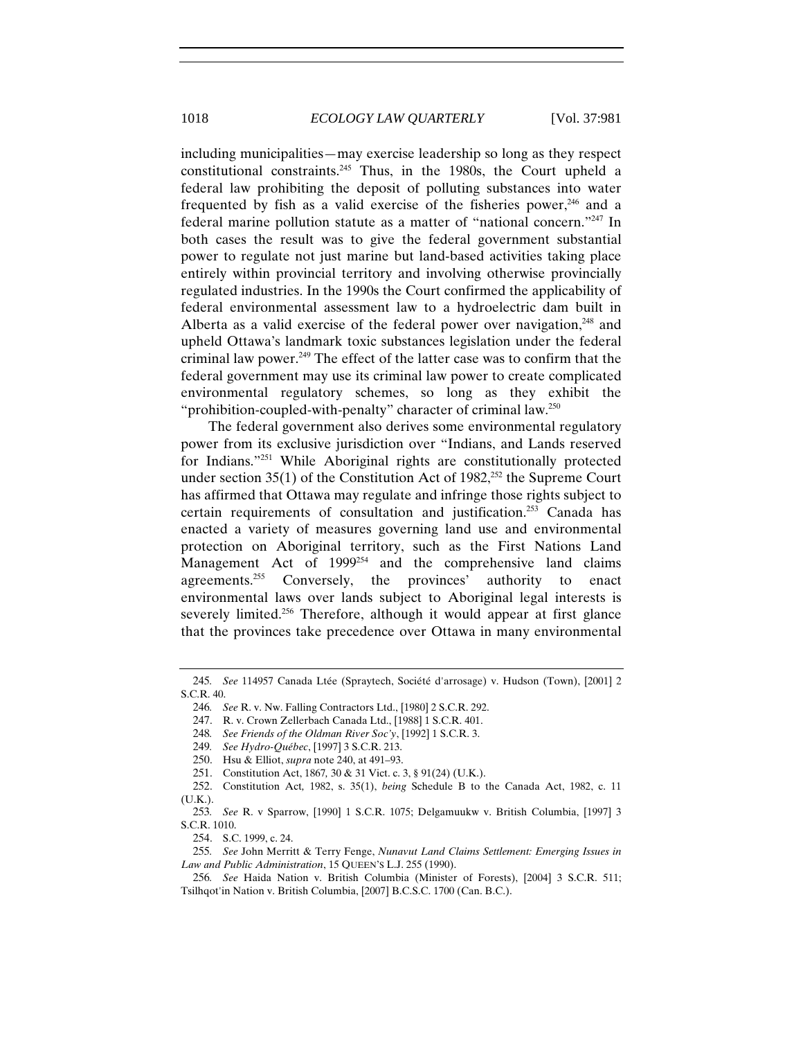including municipalities—may exercise leadership so long as they respect constitutional constraints.245 Thus, in the 1980s, the Court upheld a federal law prohibiting the deposit of polluting substances into water frequented by fish as a valid exercise of the fisheries power, $246$  and a federal marine pollution statute as a matter of "national concern."247 In both cases the result was to give the federal government substantial power to regulate not just marine but land-based activities taking place entirely within provincial territory and involving otherwise provincially regulated industries. In the 1990s the Court confirmed the applicability of federal environmental assessment law to a hydroelectric dam built in Alberta as a valid exercise of the federal power over navigation, $248$  and upheld Ottawa's landmark toxic substances legislation under the federal criminal law power.249 The effect of the latter case was to confirm that the federal government may use its criminal law power to create complicated environmental regulatory schemes, so long as they exhibit the "prohibition-coupled-with-penalty" character of criminal law.250

The federal government also derives some environmental regulatory power from its exclusive jurisdiction over "Indians, and Lands reserved for Indians."251 While Aboriginal rights are constitutionally protected under section  $35(1)$  of the Constitution Act of  $1982$ ,<sup>252</sup> the Supreme Court has affirmed that Ottawa may regulate and infringe those rights subject to certain requirements of consultation and justification.<sup>253</sup> Canada has enacted a variety of measures governing land use and environmental protection on Aboriginal territory, such as the First Nations Land Management Act of 1999<sup>254</sup> and the comprehensive land claims agreements.<sup>255</sup> Conversely, the provinces' authority to enact environmental laws over lands subject to Aboriginal legal interests is severely limited.<sup>256</sup> Therefore, although it would appear at first glance that the provinces take precedence over Ottawa in many environmental

<sup>245</sup>*. See* 114957 Canada Ltée (Spraytech, Société d'arrosage) v. Hudson (Town), [2001] 2 S.C.R. 40.

<sup>246</sup>*. See* R. v. Nw. Falling Contractors Ltd., [1980] 2 S.C.R. 292.

<sup>247.</sup> R. v. Crown Zellerbach Canada Ltd., [1988] 1 S.C.R. 401.

<sup>248</sup>*. See Friends of the Oldman River Soc'y*, [1992] 1 S.C.R. 3.

<sup>249</sup>*. See Hydro-Québec*, [1997] 3 S.C.R. 213.

<sup>250.</sup> Hsu & Elliot, *supra* note 240, at 491–93.

<sup>251.</sup> Constitution Act, 1867*,* 30 & 31 Vict. c. 3, § 91(24) (U.K.).

<sup>252.</sup> Constitution Act*,* 1982, s. 35(1), *being* Schedule B to the Canada Act, 1982, c. 11 (U.K.).

<sup>253</sup>*. See* R. v Sparrow, [1990] 1 S.C.R. 1075; Delgamuukw v. British Columbia, [1997] 3 S.C.R. 1010.

<sup>254.</sup> S.C. 1999, c. 24.

<sup>255</sup>*. See* John Merritt & Terry Fenge, *Nunavut Land Claims Settlement: Emerging Issues in Law and Public Administration*, 15 QUEEN'S L.J. 255 (1990).

<sup>256</sup>*. See* Haida Nation v. British Columbia (Minister of Forests), [2004] 3 S.C.R. 511; Tsilhqot'in Nation v. British Columbia, [2007] B.C.S.C. 1700 (Can. B.C.).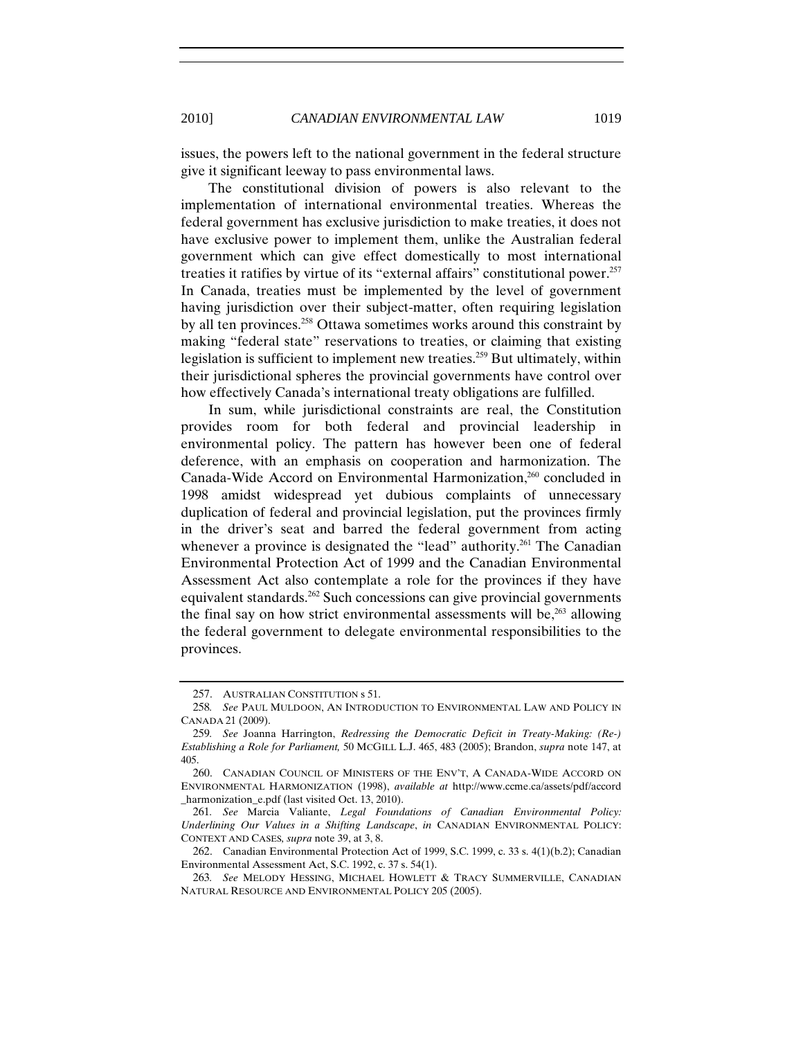issues, the powers left to the national government in the federal structure give it significant leeway to pass environmental laws.

The constitutional division of powers is also relevant to the implementation of international environmental treaties. Whereas the federal government has exclusive jurisdiction to make treaties, it does not have exclusive power to implement them, unlike the Australian federal government which can give effect domestically to most international treaties it ratifies by virtue of its "external affairs" constitutional power.<sup>257</sup> In Canada, treaties must be implemented by the level of government having jurisdiction over their subject-matter, often requiring legislation by all ten provinces.<sup>258</sup> Ottawa sometimes works around this constraint by making "federal state" reservations to treaties, or claiming that existing legislation is sufficient to implement new treaties.<sup>259</sup> But ultimately, within their jurisdictional spheres the provincial governments have control over how effectively Canada's international treaty obligations are fulfilled.

In sum, while jurisdictional constraints are real, the Constitution provides room for both federal and provincial leadership in environmental policy. The pattern has however been one of federal deference, with an emphasis on cooperation and harmonization. The Canada-Wide Accord on Environmental Harmonization,<sup>260</sup> concluded in 1998 amidst widespread yet dubious complaints of unnecessary duplication of federal and provincial legislation, put the provinces firmly in the driver's seat and barred the federal government from acting whenever a province is designated the "lead" authority.<sup>261</sup> The Canadian Environmental Protection Act of 1999 and the Canadian Environmental Assessment Act also contemplate a role for the provinces if they have equivalent standards.<sup>262</sup> Such concessions can give provincial governments the final say on how strict environmental assessments will be, $263$  allowing the federal government to delegate environmental responsibilities to the provinces.

<sup>257.</sup> AUSTRALIAN CONSTITUTION s 51.

<sup>258</sup>*. See* PAUL MULDOON, AN INTRODUCTION TO ENVIRONMENTAL LAW AND POLICY IN CANADA 21 (2009).

<sup>259</sup>*. See* Joanna Harrington, *Redressing the Democratic Deficit in Treaty-Making: (Re-) Establishing a Role for Parliament,* 50 MCGILL L.J. 465, 483 (2005); Brandon, *supra* note 147, at 405.

<sup>260.</sup> CANADIAN COUNCIL OF MINISTERS OF THE ENV'T, A CANADA-WIDE ACCORD ON ENVIRONMENTAL HARMONIZATION (1998), *available at* http://www.ccme.ca/assets/pdf/accord \_harmonization\_e.pdf (last visited Oct. 13, 2010).

<sup>261</sup>*. See* Marcia Valiante, *Legal Foundations of Canadian Environmental Policy: Underlining Our Values in a Shifting Landscape*, *in* CANADIAN ENVIRONMENTAL POLICY: CONTEXT AND CASES*, supra* note 39, at 3, 8.

<sup>262.</sup> Canadian Environmental Protection Act of 1999, S.C. 1999, c. 33 s. 4(1)(b.2); Canadian Environmental Assessment Act, S.C. 1992, c. 37 s. 54(1).

<sup>263</sup>*. See* MELODY HESSING, MICHAEL HOWLETT & TRACY SUMMERVILLE, CANADIAN NATURAL RESOURCE AND ENVIRONMENTAL POLICY 205 (2005).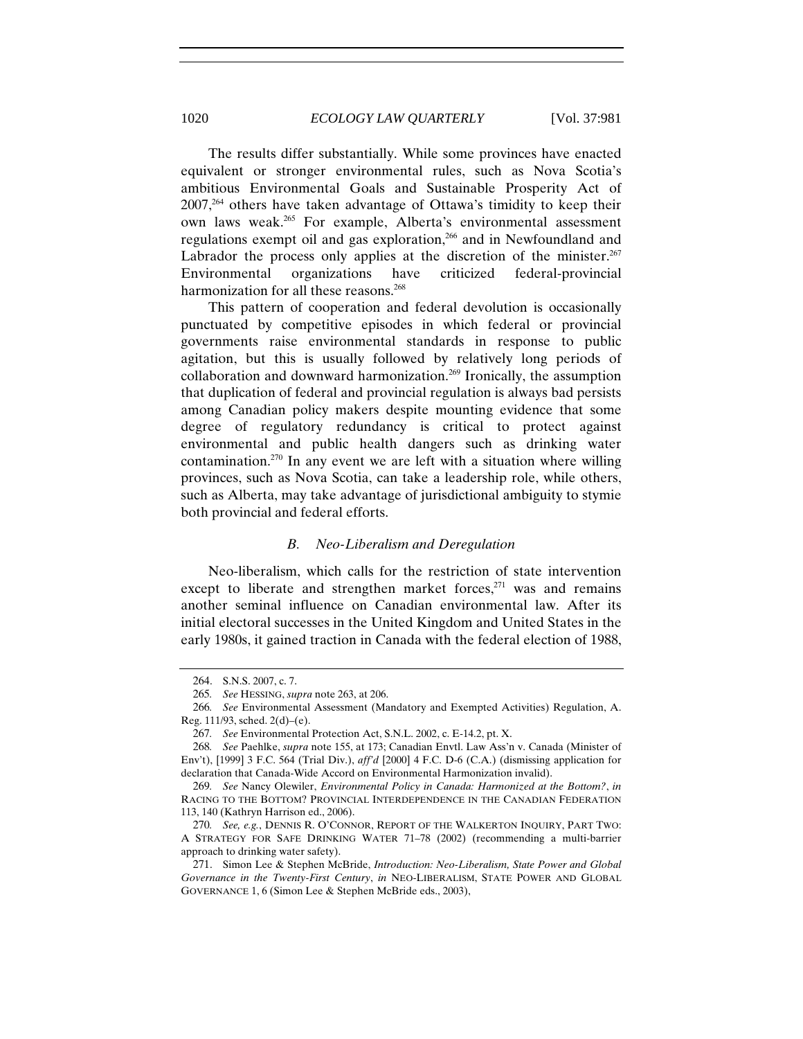The results differ substantially. While some provinces have enacted equivalent or stronger environmental rules, such as Nova Scotia's ambitious Environmental Goals and Sustainable Prosperity Act of 2007,264 others have taken advantage of Ottawa's timidity to keep their own laws weak.<sup>265</sup> For example, Alberta's environmental assessment regulations exempt oil and gas exploration,<sup>266</sup> and in Newfoundland and Labrador the process only applies at the discretion of the minister.<sup>267</sup> Environmental organizations have criticized federal-provincial harmonization for all these reasons.<sup>268</sup>

This pattern of cooperation and federal devolution is occasionally punctuated by competitive episodes in which federal or provincial governments raise environmental standards in response to public agitation, but this is usually followed by relatively long periods of collaboration and downward harmonization.<sup>269</sup> Ironically, the assumption that duplication of federal and provincial regulation is always bad persists among Canadian policy makers despite mounting evidence that some degree of regulatory redundancy is critical to protect against environmental and public health dangers such as drinking water contamination.<sup>270</sup> In any event we are left with a situation where willing provinces, such as Nova Scotia, can take a leadership role, while others, such as Alberta, may take advantage of jurisdictional ambiguity to stymie both provincial and federal efforts.

## *B. Neo-Liberalism and Deregulation*

Neo-liberalism, which calls for the restriction of state intervention except to liberate and strengthen market forces, $271$  was and remains another seminal influence on Canadian environmental law. After its initial electoral successes in the United Kingdom and United States in the early 1980s, it gained traction in Canada with the federal election of 1988,

<sup>264.</sup> S.N.S. 2007, c. 7.

<sup>265</sup>*. See* HESSING, *supra* note 263, at 206.

<sup>266</sup>*. See* Environmental Assessment (Mandatory and Exempted Activities) Regulation, A. Reg. 111/93, sched. 2(d)–(e).

<sup>267</sup>*. See* Environmental Protection Act, S.N.L. 2002, c. E-14.2, pt. X.

<sup>268</sup>*. See* Paehlke, *supra* note 155, at 173; Canadian Envtl. Law Ass'n v. Canada (Minister of Env't), [1999] 3 F.C. 564 (Trial Div.), *aff'd* [2000] 4 F.C. D-6 (C.A.) (dismissing application for declaration that Canada-Wide Accord on Environmental Harmonization invalid).

<sup>269</sup>*. See* Nancy Olewiler, *Environmental Policy in Canada: Harmonized at the Bottom?*, *in* RACING TO THE BOTTOM? PROVINCIAL INTERDEPENDENCE IN THE CANADIAN FEDERATION 113, 140 (Kathryn Harrison ed., 2006).

<sup>270</sup>*. See, e.g.*, DENNIS R. O'CONNOR, REPORT OF THE WALKERTON INQUIRY, PART TWO: A STRATEGY FOR SAFE DRINKING WATER 71–78 (2002) (recommending a multi-barrier approach to drinking water safety).

<sup>271.</sup> Simon Lee & Stephen McBride, *Introduction: Neo-Liberalism, State Power and Global Governance in the Twenty-First Century*, *in* NEO-LIBERALISM, STATE POWER AND GLOBAL GOVERNANCE 1, 6 (Simon Lee & Stephen McBride eds., 2003),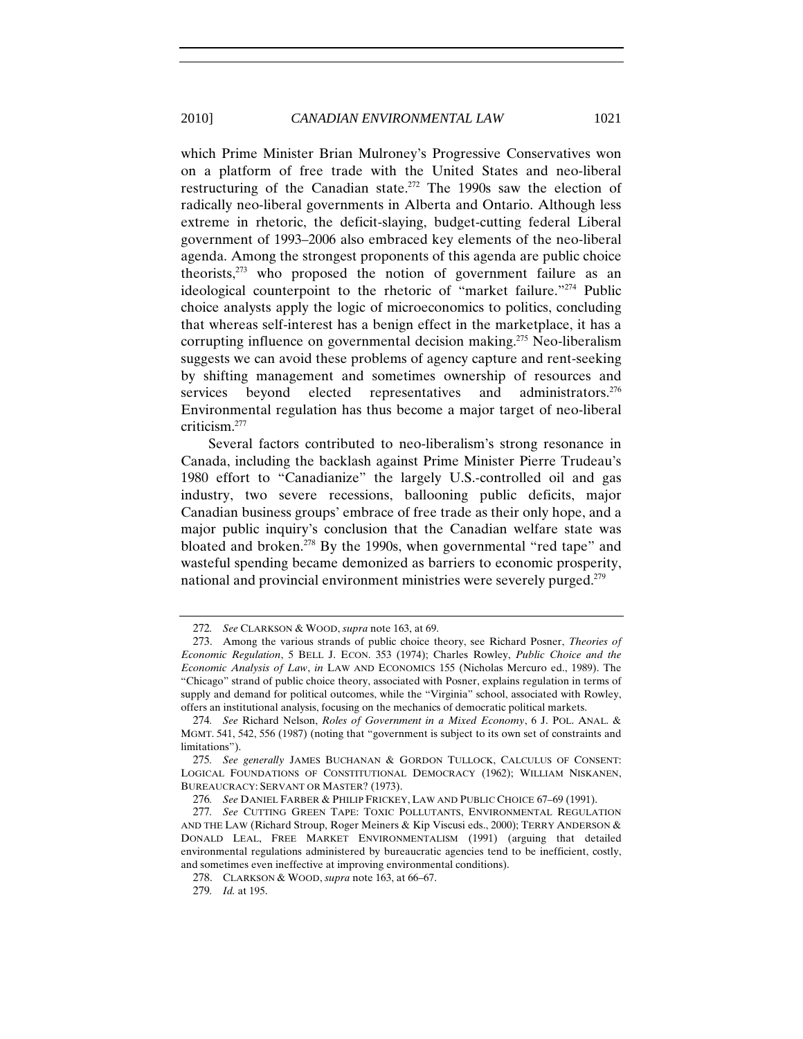which Prime Minister Brian Mulroney's Progressive Conservatives won on a platform of free trade with the United States and neo-liberal restructuring of the Canadian state.<sup>272</sup> The 1990s saw the election of radically neo-liberal governments in Alberta and Ontario. Although less extreme in rhetoric, the deficit-slaying, budget-cutting federal Liberal government of 1993–2006 also embraced key elements of the neo-liberal agenda. Among the strongest proponents of this agenda are public choice theorists, $273$  who proposed the notion of government failure as an ideological counterpoint to the rhetoric of "market failure."<sup>274</sup> Public choice analysts apply the logic of microeconomics to politics, concluding that whereas self-interest has a benign effect in the marketplace, it has a corrupting influence on governmental decision making.<sup>275</sup> Neo-liberalism suggests we can avoid these problems of agency capture and rent-seeking by shifting management and sometimes ownership of resources and services beyond elected representatives and administrators.<sup>276</sup> Environmental regulation has thus become a major target of neo-liberal criticism.277

Several factors contributed to neo-liberalism's strong resonance in Canada, including the backlash against Prime Minister Pierre Trudeau's 1980 effort to "Canadianize" the largely U.S.-controlled oil and gas industry, two severe recessions, ballooning public deficits, major Canadian business groups' embrace of free trade as their only hope, and a major public inquiry's conclusion that the Canadian welfare state was bloated and broken.<sup>278</sup> By the 1990s, when governmental "red tape" and wasteful spending became demonized as barriers to economic prosperity, national and provincial environment ministries were severely purged.<sup>279</sup>

<sup>272</sup>*. See* CLARKSON & WOOD, *supra* note 163, at 69.

<sup>273.</sup> Among the various strands of public choice theory, see Richard Posner, *Theories of Economic Regulation*, 5 BELL J. ECON. 353 (1974); Charles Rowley, *Public Choice and the Economic Analysis of Law*, *in* LAW AND ECONOMICS 155 (Nicholas Mercuro ed., 1989). The "Chicago" strand of public choice theory, associated with Posner, explains regulation in terms of supply and demand for political outcomes, while the "Virginia" school, associated with Rowley, offers an institutional analysis, focusing on the mechanics of democratic political markets.

<sup>274</sup>*. See* Richard Nelson, *Roles of Government in a Mixed Economy*, 6 J. POL. ANAL. & MGMT. 541, 542, 556 (1987) (noting that "government is subject to its own set of constraints and limitations").

<sup>275</sup>*. See generally* JAMES BUCHANAN & GORDON TULLOCK, CALCULUS OF CONSENT: LOGICAL FOUNDATIONS OF CONSTITUTIONAL DEMOCRACY (1962); WILLIAM NISKANEN, BUREAUCRACY: SERVANT OR MASTER? (1973).

<sup>276</sup>*. See* DANIEL FARBER & PHILIP FRICKEY, LAW AND PUBLIC CHOICE 67–69 (1991).

<sup>277</sup>*. See* CUTTING GREEN TAPE: TOXIC POLLUTANTS, ENVIRONMENTAL REGULATION AND THE LAW (Richard Stroup, Roger Meiners & Kip Viscusi eds., 2000); TERRY ANDERSON & DONALD LEAL, FREE MARKET ENVIRONMENTALISM (1991) (arguing that detailed environmental regulations administered by bureaucratic agencies tend to be inefficient, costly, and sometimes even ineffective at improving environmental conditions).

<sup>278.</sup> CLARKSON & WOOD, *supra* note 163, at 66–67.

<sup>279</sup>*. Id.* at 195.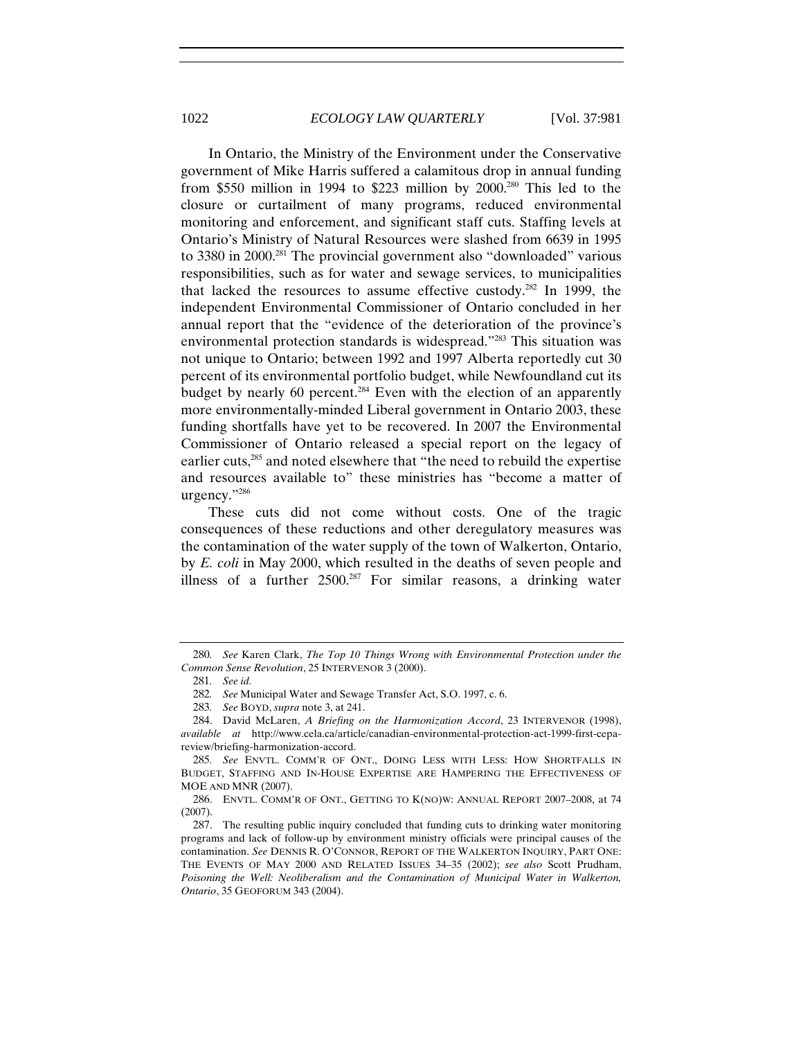In Ontario, the Ministry of the Environment under the Conservative government of Mike Harris suffered a calamitous drop in annual funding from \$550 million in 1994 to \$223 million by  $2000^{280}$  This led to the closure or curtailment of many programs, reduced environmental monitoring and enforcement, and significant staff cuts. Staffing levels at Ontario's Ministry of Natural Resources were slashed from 6639 in 1995 to 3380 in 2000.281 The provincial government also "downloaded" various responsibilities, such as for water and sewage services, to municipalities that lacked the resources to assume effective custody.<sup>282</sup> In 1999, the independent Environmental Commissioner of Ontario concluded in her annual report that the "evidence of the deterioration of the province's environmental protection standards is widespread."283 This situation was not unique to Ontario; between 1992 and 1997 Alberta reportedly cut 30 percent of its environmental portfolio budget, while Newfoundland cut its budget by nearly 60 percent.<sup>284</sup> Even with the election of an apparently more environmentally-minded Liberal government in Ontario 2003, these funding shortfalls have yet to be recovered. In 2007 the Environmental Commissioner of Ontario released a special report on the legacy of earlier cuts,285 and noted elsewhere that "the need to rebuild the expertise and resources available to" these ministries has "become a matter of urgency."286

These cuts did not come without costs. One of the tragic consequences of these reductions and other deregulatory measures was the contamination of the water supply of the town of Walkerton, Ontario, by *E. coli* in May 2000, which resulted in the deaths of seven people and illness of a further  $2500.^{287}$  For similar reasons, a drinking water

<sup>280</sup>*. See* Karen Clark, *The Top 10 Things Wrong with Environmental Protection under the Common Sense Revolution*, 25 INTERVENOR 3 (2000).

<sup>281</sup>*. See id.*

<sup>282</sup>*. See* Municipal Water and Sewage Transfer Act, S.O. 1997, c. 6.

<sup>283</sup>*. See* BOYD, *supra* note 3, at 241.

<sup>284.</sup> David McLaren, *A Briefing on the Harmonization Accord*, 23 INTERVENOR (1998), *available at* http://www.cela.ca/article/canadian-environmental-protection-act-1999-first-cepareview/briefing-harmonization-accord.

<sup>285</sup>*. See* ENVTL. COMM'R OF ONT., DOING LESS WITH LESS: HOW SHORTFALLS IN BUDGET, STAFFING AND IN-HOUSE EXPERTISE ARE HAMPERING THE EFFECTIVENESS OF MOE AND MNR (2007).

<sup>286.</sup> ENVTL. COMM'R OF ONT., GETTING TO K(NO)W: ANNUAL REPORT 2007–2008, at 74 (2007).

<sup>287.</sup> The resulting public inquiry concluded that funding cuts to drinking water monitoring programs and lack of follow-up by environment ministry officials were principal causes of the contamination. *See* DENNIS R. O'CONNOR, REPORT OF THE WALKERTON INQUIRY, PART ONE: THE EVENTS OF MAY 2000 AND RELATED ISSUES 34–35 (2002); *see also* Scott Prudham, Poisoning the Well: Neoliberalism and the Contamination of Municipal Water in Walkerton, *Ontario*, 35 GEOFORUM 343 (2004).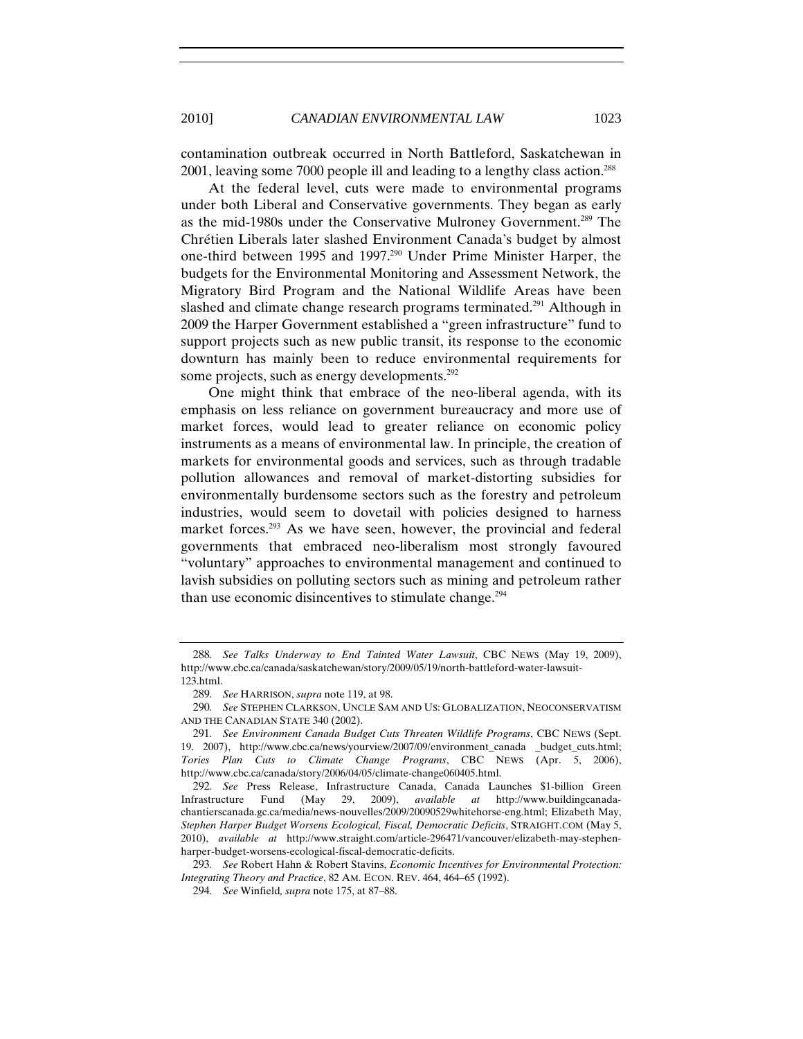contamination outbreak occurred in North Battleford, Saskatchewan in 2001, leaving some 7000 people ill and leading to a lengthy class action.<sup>288</sup>

At the federal level, cuts were made to environmental programs under both Liberal and Conservative governments. They began as early as the mid-1980s under the Conservative Mulroney Government.289 The Chrétien Liberals later slashed Environment Canada's budget by almost one-third between 1995 and 1997.290 Under Prime Minister Harper, the budgets for the Environmental Monitoring and Assessment Network, the Migratory Bird Program and the National Wildlife Areas have been slashed and climate change research programs terminated.<sup>291</sup> Although in 2009 the Harper Government established a "green infrastructure" fund to support projects such as new public transit, its response to the economic downturn has mainly been to reduce environmental requirements for some projects, such as energy developments.<sup>292</sup>

One might think that embrace of the neo-liberal agenda, with its emphasis on less reliance on government bureaucracy and more use of market forces, would lead to greater reliance on economic policy instruments as a means of environmental law. In principle, the creation of markets for environmental goods and services, such as through tradable pollution allowances and removal of market-distorting subsidies for environmentally burdensome sectors such as the forestry and petroleum industries, would seem to dovetail with policies designed to harness market forces.<sup>293</sup> As we have seen, however, the provincial and federal governments that embraced neo-liberalism most strongly favoured "voluntary" approaches to environmental management and continued to lavish subsidies on polluting sectors such as mining and petroleum rather than use economic disincentives to stimulate change.<sup>294</sup>

<sup>288</sup>*. See Talks Underway to End Tainted Water Lawsuit*, CBC NEWS (May 19, 2009), http://www.cbc.ca/canada/saskatchewan/story/2009/05/19/north-battleford-water-lawsuit-123.html.

<sup>289</sup>*. See* HARRISON, *supra* note 119, at 98.

<sup>290</sup>*. See* STEPHEN CLARKSON, UNCLE SAM AND US: GLOBALIZATION, NEOCONSERVATISM AND THE CANADIAN STATE 340 (2002).

<sup>291</sup>*. See Environment Canada Budget Cuts Threaten Wildlife Programs*, CBC NEWS (Sept. 19. 2007), http://www.cbc.ca/news/yourview/2007/09/environment\_canada \_budget\_cuts.html; *Tories Plan Cuts to Climate Change Programs*, CBC NEWS (Apr. 5, 2006), http://www.cbc.ca/canada/story/2006/04/05/climate-change060405.html.

<sup>292</sup>*. See* Press Release, Infrastructure Canada, Canada Launches \$1-billion Green Infrastructure Fund (May 29, 2009), *available at* http://www.buildingcanadachantierscanada.gc.ca/media/news-nouvelles/2009/20090529whitehorse-eng.html; Elizabeth May, *Stephen Harper Budget Worsens Ecological, Fiscal, Democratic Deficits*, STRAIGHT.COM (May 5, 2010), *available at* http://www.straight.com/article-296471/vancouver/elizabeth-may-stephenharper-budget-worsens-ecological-fiscal-democratic-deficits.

<sup>293</sup>*. See* Robert Hahn & Robert Stavins, *Economic Incentives for Environmental Protection: Integrating Theory and Practice*, 82 AM. ECON. REV. 464, 464–65 (1992).

<sup>294</sup>*. See* Winfield*, supra* note 175, at 87–88.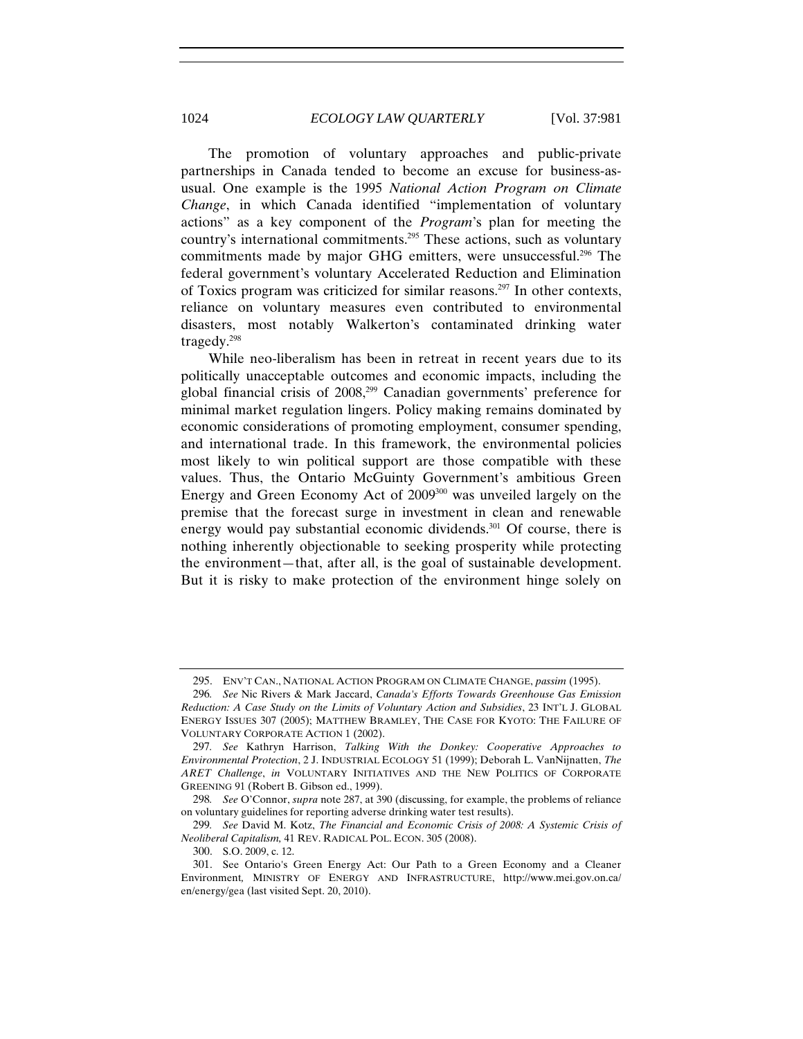The promotion of voluntary approaches and public-private partnerships in Canada tended to become an excuse for business-asusual. One example is the 1995 *National Action Program on Climate Change*, in which Canada identified "implementation of voluntary actions" as a key component of the *Program*'s plan for meeting the country's international commitments.295 These actions, such as voluntary commitments made by major GHG emitters, were unsuccessful.<sup>296</sup> The federal government's voluntary Accelerated Reduction and Elimination of Toxics program was criticized for similar reasons.297 In other contexts, reliance on voluntary measures even contributed to environmental disasters, most notably Walkerton's contaminated drinking water tragedy.298

While neo-liberalism has been in retreat in recent years due to its politically unacceptable outcomes and economic impacts, including the global financial crisis of 2008,299 Canadian governments' preference for minimal market regulation lingers. Policy making remains dominated by economic considerations of promoting employment, consumer spending, and international trade. In this framework, the environmental policies most likely to win political support are those compatible with these values. Thus, the Ontario McGuinty Government's ambitious Green Energy and Green Economy Act of 2009<sup>300</sup> was unveiled largely on the premise that the forecast surge in investment in clean and renewable energy would pay substantial economic dividends.<sup>301</sup> Of course, there is nothing inherently objectionable to seeking prosperity while protecting the environment—that, after all, is the goal of sustainable development. But it is risky to make protection of the environment hinge solely on

<sup>295.</sup> ENV'T CAN., NATIONAL ACTION PROGRAM ON CLIMATE CHANGE, *passim* (1995).

<sup>296</sup>*. See* Nic Rivers & Mark Jaccard, *Canada's Efforts Towards Greenhouse Gas Emission Reduction: A Case Study on the Limits of Voluntary Action and Subsidies*, 23 INT'L J. GLOBAL ENERGY ISSUES 307 (2005); MATTHEW BRAMLEY, THE CASE FOR KYOTO: THE FAILURE OF VOLUNTARY CORPORATE ACTION 1 (2002).

<sup>297</sup>*. See* Kathryn Harrison, *Talking With the Donkey: Cooperative Approaches to Environmental Protection*, 2 J. INDUSTRIAL ECOLOGY 51 (1999); Deborah L. VanNijnatten, *The ARET Challenge*, *in* VOLUNTARY INITIATIVES AND THE NEW POLITICS OF CORPORATE GREENING 91 (Robert B. Gibson ed., 1999).

<sup>298</sup>*. See* O'Connor, *supra* note 287, at 390 (discussing, for example, the problems of reliance on voluntary guidelines for reporting adverse drinking water test results).

<sup>299</sup>*. See* David M. Kotz, *The Financial and Economic Crisis of 2008: A Systemic Crisis of Neoliberal Capitalism,* 41 REV. RADICAL POL. ECON. 305 (2008).

<sup>300.</sup> S.O. 2009, c. 12.

<sup>301.</sup> See Ontario's Green Energy Act: Our Path to a Green Economy and a Cleaner Environment*,* MINISTRY OF ENERGY AND INFRASTRUCTURE, http://www.mei.gov.on.ca/ en/energy/gea (last visited Sept. 20, 2010).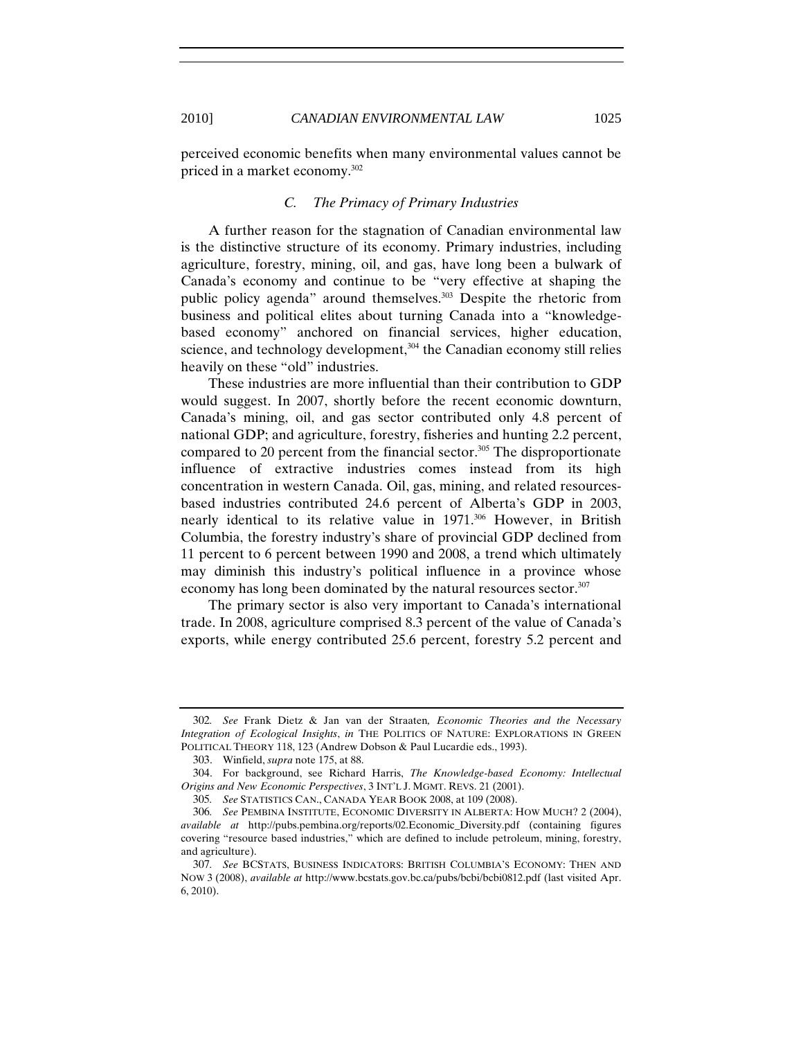perceived economic benefits when many environmental values cannot be priced in a market economy.302

#### *C. The Primacy of Primary Industries*

A further reason for the stagnation of Canadian environmental law is the distinctive structure of its economy. Primary industries, including agriculture, forestry, mining, oil, and gas, have long been a bulwark of Canada's economy and continue to be "very effective at shaping the public policy agenda" around themselves.<sup>303</sup> Despite the rhetoric from business and political elites about turning Canada into a "knowledgebased economy" anchored on financial services, higher education, science, and technology development, $304$  the Canadian economy still relies heavily on these "old" industries.

These industries are more influential than their contribution to GDP would suggest. In 2007, shortly before the recent economic downturn, Canada's mining, oil, and gas sector contributed only 4.8 percent of national GDP; and agriculture, forestry, fisheries and hunting 2.2 percent, compared to 20 percent from the financial sector. $305$  The disproportionate influence of extractive industries comes instead from its high concentration in western Canada. Oil, gas, mining, and related resourcesbased industries contributed 24.6 percent of Alberta's GDP in 2003, nearly identical to its relative value in 1971.<sup>306</sup> However, in British Columbia, the forestry industry's share of provincial GDP declined from 11 percent to 6 percent between 1990 and 2008, a trend which ultimately may diminish this industry's political influence in a province whose economy has long been dominated by the natural resources sector.<sup>307</sup>

The primary sector is also very important to Canada's international trade. In 2008, agriculture comprised 8.3 percent of the value of Canada's exports, while energy contributed 25.6 percent, forestry 5.2 percent and

<sup>302</sup>*. See* Frank Dietz & Jan van der Straaten*, Economic Theories and the Necessary Integration of Ecological Insights*, *in* THE POLITICS OF NATURE: EXPLORATIONS IN GREEN POLITICAL THEORY 118, 123 (Andrew Dobson & Paul Lucardie eds., 1993).

<sup>303.</sup> Winfield, *supra* note 175, at 88.

<sup>304.</sup> For background, see Richard Harris, *The Knowledge-based Economy: Intellectual Origins and New Economic Perspectives*, 3 INT'L J. MGMT. REVS. 21 (2001).

<sup>305</sup>*. See* STATISTICS CAN., CANADA YEAR BOOK 2008, at 109 (2008).

<sup>306</sup>*. See* PEMBINA INSTITUTE, ECONOMIC DIVERSITY IN ALBERTA: HOW MUCH? 2 (2004), *available at* http://pubs.pembina.org/reports/02.Economic\_Diversity.pdf (containing figures covering "resource based industries," which are defined to include petroleum, mining, forestry, and agriculture).

<sup>307</sup>*. See* BCSTATS, BUSINESS INDICATORS: BRITISH COLUMBIA'S ECONOMY: THEN AND NOW 3 (2008), *available at* http://www.bcstats.gov.bc.ca/pubs/bcbi/bcbi0812.pdf (last visited Apr. 6, 2010).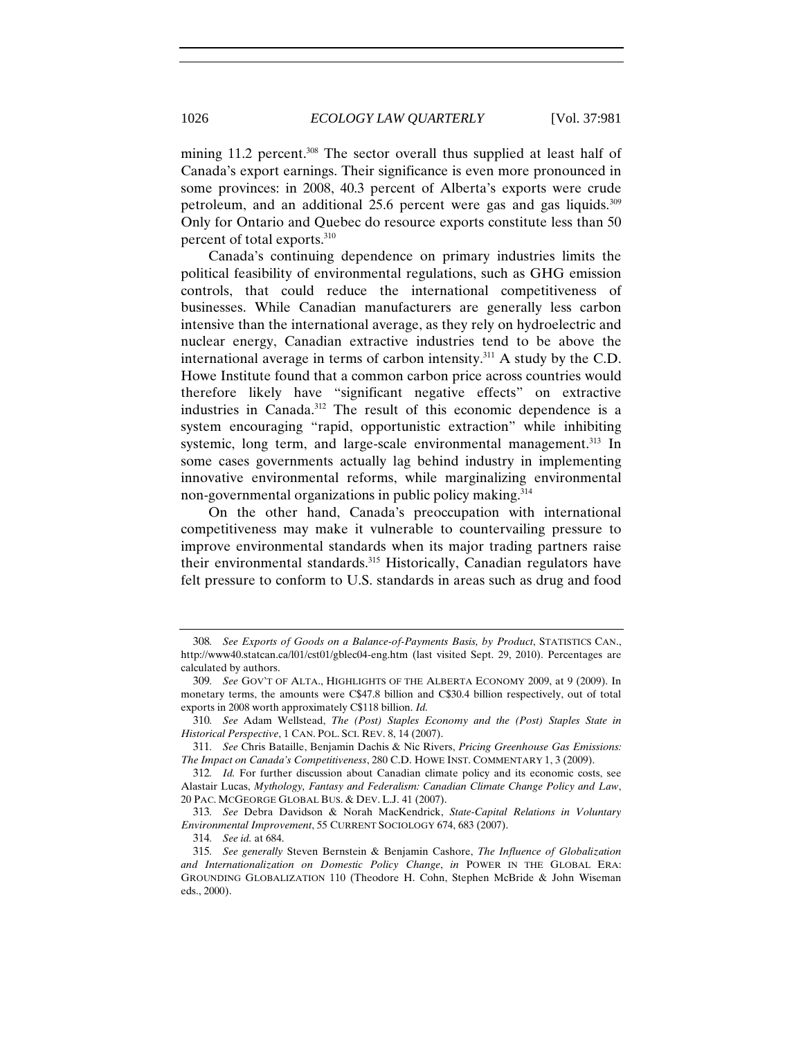mining 11.2 percent.<sup>308</sup> The sector overall thus supplied at least half of Canada's export earnings. Their significance is even more pronounced in some provinces: in 2008, 40.3 percent of Alberta's exports were crude petroleum, and an additional 25.6 percent were gas and gas liquids.309 Only for Ontario and Quebec do resource exports constitute less than 50 percent of total exports.310

Canada's continuing dependence on primary industries limits the political feasibility of environmental regulations, such as GHG emission controls, that could reduce the international competitiveness of businesses. While Canadian manufacturers are generally less carbon intensive than the international average, as they rely on hydroelectric and nuclear energy, Canadian extractive industries tend to be above the international average in terms of carbon intensity.311 A study by the C.D. Howe Institute found that a common carbon price across countries would therefore likely have "significant negative effects" on extractive industries in Canada.312 The result of this economic dependence is a system encouraging "rapid, opportunistic extraction" while inhibiting systemic, long term, and large-scale environmental management.<sup>313</sup> In some cases governments actually lag behind industry in implementing innovative environmental reforms, while marginalizing environmental non-governmental organizations in public policy making.<sup>314</sup>

On the other hand, Canada's preoccupation with international competitiveness may make it vulnerable to countervailing pressure to improve environmental standards when its major trading partners raise their environmental standards.<sup>315</sup> Historically, Canadian regulators have felt pressure to conform to U.S. standards in areas such as drug and food

<sup>308</sup>*. See Exports of Goods on a Balance-of-Payments Basis, by Product*, STATISTICS CAN., http://www40.statcan.ca/l01/cst01/gblec04-eng.htm (last visited Sept. 29, 2010). Percentages are calculated by authors.

<sup>309</sup>*. See* GOV'T OF ALTA., HIGHLIGHTS OF THE ALBERTA ECONOMY 2009, at 9 (2009). In monetary terms, the amounts were C\$47.8 billion and C\$30.4 billion respectively, out of total exports in 2008 worth approximately C\$118 billion. *Id.*

<sup>310</sup>*. See* Adam Wellstead, *The (Post) Staples Economy and the (Post) Staples State in Historical Perspective*, 1 CAN. POL. SCI. REV. 8, 14 (2007).

<sup>311</sup>*. See* Chris Bataille, Benjamin Dachis & Nic Rivers, *Pricing Greenhouse Gas Emissions: The Impact on Canada's Competitiveness*, 280 C.D. HOWE INST. COMMENTARY 1, 3 (2009).

<sup>312</sup>*. Id.* For further discussion about Canadian climate policy and its economic costs, see Alastair Lucas, *Mythology, Fantasy and Federalism: Canadian Climate Change Policy and Law*, 20 PAC. MCGEORGE GLOBAL BUS. & DEV. L.J. 41 (2007).

<sup>313</sup>*. See* Debra Davidson & Norah MacKendrick, *State-Capital Relations in Voluntary Environmental Improvement*, 55 CURRENT SOCIOLOGY 674, 683 (2007).

<sup>314</sup>*. See id.* at 684.

<sup>315</sup>*. See generally* Steven Bernstein & Benjamin Cashore, *The Influence of Globalization and Internationalization on Domestic Policy Change*, *in* POWER IN THE GLOBAL ERA: GROUNDING GLOBALIZATION 110 (Theodore H. Cohn, Stephen McBride & John Wiseman eds., 2000).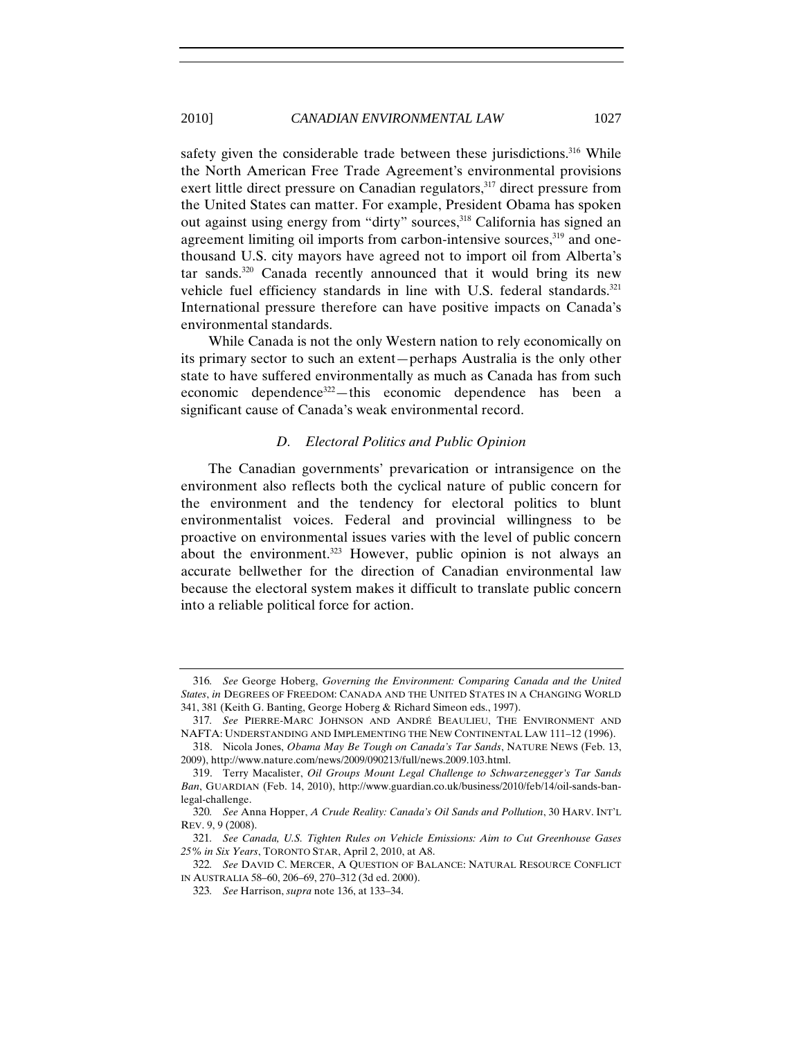safety given the considerable trade between these jurisdictions.<sup>316</sup> While the North American Free Trade Agreement's environmental provisions exert little direct pressure on Canadian regulators,<sup>317</sup> direct pressure from the United States can matter. For example, President Obama has spoken out against using energy from "dirty" sources,<sup>318</sup> California has signed an agreement limiting oil imports from carbon-intensive sources,<sup>319</sup> and onethousand U.S. city mayors have agreed not to import oil from Alberta's tar sands. $320$  Canada recently announced that it would bring its new vehicle fuel efficiency standards in line with U.S. federal standards.<sup>321</sup> International pressure therefore can have positive impacts on Canada's environmental standards.

While Canada is not the only Western nation to rely economically on its primary sector to such an extent—perhaps Australia is the only other state to have suffered environmentally as much as Canada has from such economic dependence<sup>322</sup>—this economic dependence has been a significant cause of Canada's weak environmental record.

#### *D. Electoral Politics and Public Opinion*

The Canadian governments' prevarication or intransigence on the environment also reflects both the cyclical nature of public concern for the environment and the tendency for electoral politics to blunt environmentalist voices. Federal and provincial willingness to be proactive on environmental issues varies with the level of public concern about the environment.<sup>323</sup> However, public opinion is not always an accurate bellwether for the direction of Canadian environmental law because the electoral system makes it difficult to translate public concern into a reliable political force for action.

<sup>316</sup>*. See* George Hoberg, *Governing the Environment: Comparing Canada and the United States*, *in* DEGREES OF FREEDOM: CANADA AND THE UNITED STATES IN A CHANGING WORLD 341, 381 (Keith G. Banting, George Hoberg & Richard Simeon eds., 1997).

<sup>317</sup>*. See* PIERRE-MARC JOHNSON AND ANDRÉ BEAULIEU, THE ENVIRONMENT AND NAFTA: UNDERSTANDING AND IMPLEMENTING THE NEW CONTINENTAL LAW 111–12 (1996).

<sup>318.</sup> Nicola Jones, *Obama May Be Tough on Canada's Tar Sands*, NATURE NEWS (Feb. 13, 2009), http://www.nature.com/news/2009/090213/full/news.2009.103.html.

<sup>319.</sup> Terry Macalister, *Oil Groups Mount Legal Challenge to Schwarzenegger's Tar Sands Ban*, GUARDIAN (Feb. 14, 2010), http://www.guardian.co.uk/business/2010/feb/14/oil-sands-banlegal-challenge.

<sup>320</sup>*. See* Anna Hopper, *A Crude Reality: Canada's Oil Sands and Pollution*, 30 HARV. INT'L REV. 9, 9 (2008).

<sup>321</sup>*. See Canada, U.S. Tighten Rules on Vehicle Emissions: Aim to Cut Greenhouse Gases 25% in Six Years*, TORONTO STAR, April 2, 2010, at A8.

<sup>322</sup>*. See* DAVID C. MERCER, A QUESTION OF BALANCE: NATURAL RESOURCE CONFLICT IN AUSTRALIA 58–60, 206–69, 270–312 (3d ed. 2000).

<sup>323</sup>*. See* Harrison, *supra* note 136, at 133–34.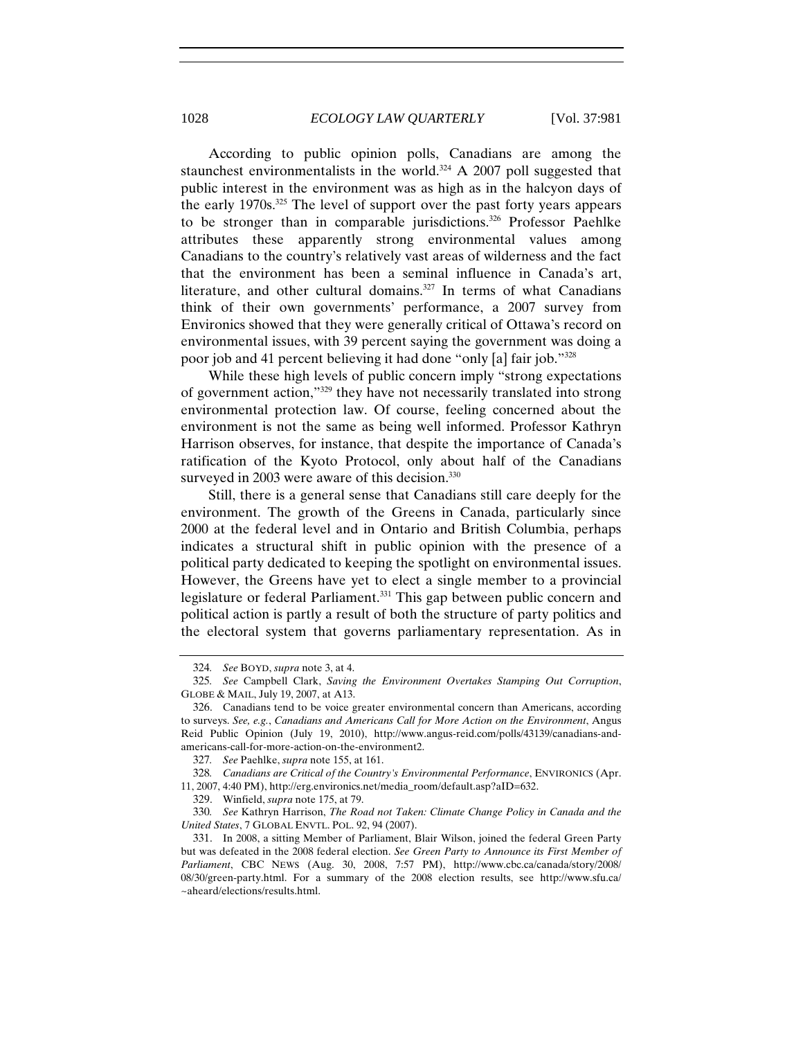According to public opinion polls, Canadians are among the staunchest environmentalists in the world.<sup>324</sup> A 2007 poll suggested that public interest in the environment was as high as in the halcyon days of the early 1970s.325 The level of support over the past forty years appears to be stronger than in comparable jurisdictions.<sup>326</sup> Professor Paehlke attributes these apparently strong environmental values among Canadians to the country's relatively vast areas of wilderness and the fact that the environment has been a seminal influence in Canada's art, literature, and other cultural domains.<sup>327</sup> In terms of what Canadians think of their own governments' performance, a 2007 survey from Environics showed that they were generally critical of Ottawa's record on environmental issues, with 39 percent saying the government was doing a poor job and 41 percent believing it had done "only [a] fair job."328

While these high levels of public concern imply "strong expectations of government action,"329 they have not necessarily translated into strong environmental protection law. Of course, feeling concerned about the environment is not the same as being well informed. Professor Kathryn Harrison observes, for instance, that despite the importance of Canada's ratification of the Kyoto Protocol, only about half of the Canadians surveyed in 2003 were aware of this decision.<sup>330</sup>

Still, there is a general sense that Canadians still care deeply for the environment. The growth of the Greens in Canada, particularly since 2000 at the federal level and in Ontario and British Columbia, perhaps indicates a structural shift in public opinion with the presence of a political party dedicated to keeping the spotlight on environmental issues. However, the Greens have yet to elect a single member to a provincial legislature or federal Parliament.<sup>331</sup> This gap between public concern and political action is partly a result of both the structure of party politics and the electoral system that governs parliamentary representation. As in

<sup>324</sup>*. See* BOYD, *supra* note 3, at 4.

<sup>325</sup>*. See* Campbell Clark, *Saving the Environment Overtakes Stamping Out Corruption*, GLOBE & MAIL, July 19, 2007, at A13.

<sup>326.</sup> Canadians tend to be voice greater environmental concern than Americans, according to surveys. *See, e.g.*, *Canadians and Americans Call for More Action on the Environment*, Angus Reid Public Opinion (July 19, 2010), http://www.angus-reid.com/polls/43139/canadians-andamericans-call-for-more-action-on-the-environment2.

<sup>327</sup>*. See* Paehlke, *supra* note 155, at 161.

<sup>328</sup>*. Canadians are Critical of the Country's Environmental Performance*, ENVIRONICS (Apr. 11, 2007, 4:40 PM), http://erg.environics.net/media\_room/default.asp?aID=632.

<sup>329.</sup> Winfield, *supra* note 175, at 79.

<sup>330</sup>*. See* Kathryn Harrison, *The Road not Taken: Climate Change Policy in Canada and the United States*, 7 GLOBAL ENVTL. POL. 92, 94 (2007).

<sup>331.</sup> In 2008, a sitting Member of Parliament, Blair Wilson, joined the federal Green Party but was defeated in the 2008 federal election. *See Green Party to Announce its First Member of Parliament*, CBC NEWS (Aug. 30, 2008, 7:57 PM), http://www.cbc.ca/canada/story/2008/ 08/30/green-party.html. For a summary of the 2008 election results, see http://www.sfu.ca/ ~aheard/elections/results.html.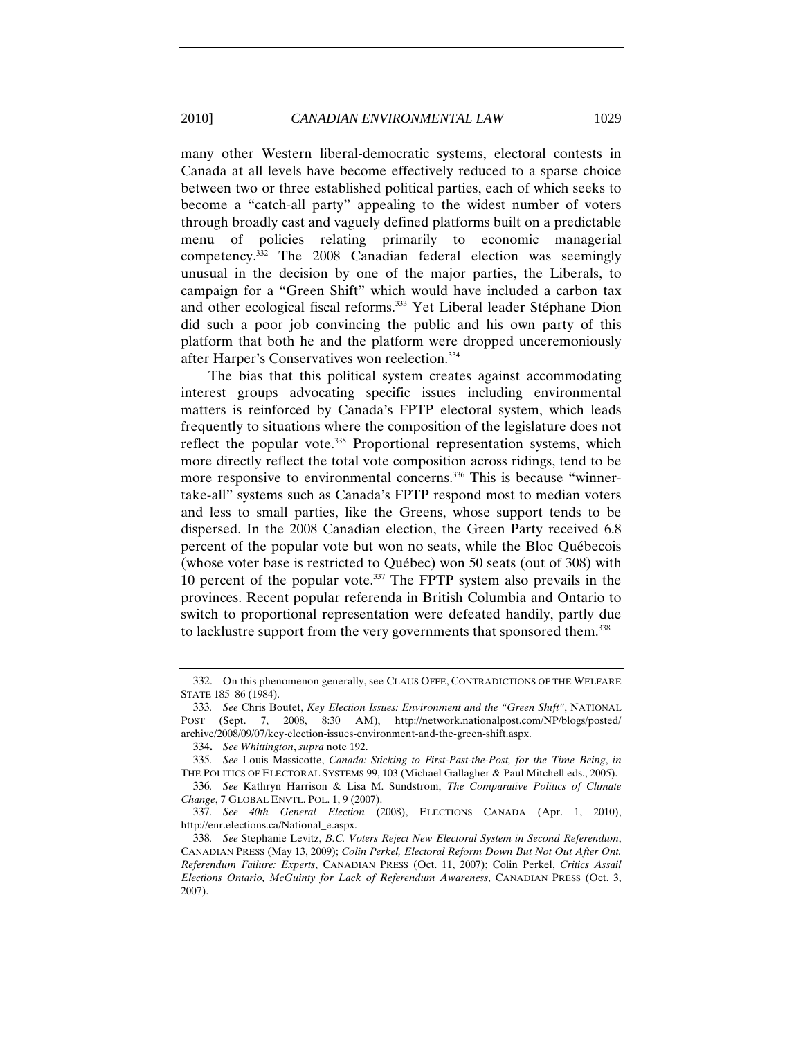many other Western liberal-democratic systems, electoral contests in Canada at all levels have become effectively reduced to a sparse choice between two or three established political parties, each of which seeks to become a "catch-all party" appealing to the widest number of voters through broadly cast and vaguely defined platforms built on a predictable menu of policies relating primarily to economic managerial competency.332 The 2008 Canadian federal election was seemingly unusual in the decision by one of the major parties, the Liberals, to campaign for a "Green Shift" which would have included a carbon tax and other ecological fiscal reforms.333 Yet Liberal leader Stéphane Dion did such a poor job convincing the public and his own party of this platform that both he and the platform were dropped unceremoniously after Harper's Conservatives won reelection.334

The bias that this political system creates against accommodating interest groups advocating specific issues including environmental matters is reinforced by Canada's FPTP electoral system, which leads frequently to situations where the composition of the legislature does not reflect the popular vote.<sup>335</sup> Proportional representation systems, which more directly reflect the total vote composition across ridings, tend to be more responsive to environmental concerns.<sup>336</sup> This is because "winnertake-all" systems such as Canada's FPTP respond most to median voters and less to small parties, like the Greens, whose support tends to be dispersed. In the 2008 Canadian election, the Green Party received 6.8 percent of the popular vote but won no seats, while the Bloc Québecois (whose voter base is restricted to Québec) won 50 seats (out of 308) with 10 percent of the popular vote.<sup>337</sup> The FPTP system also prevails in the provinces. Recent popular referenda in British Columbia and Ontario to switch to proportional representation were defeated handily, partly due to lacklustre support from the very governments that sponsored them.<sup>338</sup>

<sup>332.</sup> On this phenomenon generally, see CLAUS OFFE, CONTRADICTIONS OF THE WELFARE STATE 185–86 (1984).

<sup>333</sup>*. See* Chris Boutet, *Key Election Issues: Environment and the "Green Shift"*, NATIONAL POST (Sept. 7, 2008, 8:30 AM), http://network.nationalpost.com/NP/blogs/posted/ archive/2008/09/07/key-election-issues-environment-and-the-green-shift.aspx.

<sup>334</sup>**.** *See Whittington*, *supra* note 192.

<sup>335</sup>*. See* Louis Massicotte, *Canada: Sticking to First-Past-the-Post, for the Time Being*, *in* THE POLITICS OF ELECTORAL SYSTEMS 99, 103 (Michael Gallagher & Paul Mitchell eds., 2005).

<sup>336</sup>*. See* Kathryn Harrison & Lisa M. Sundstrom, *The Comparative Politics of Climate Change*, 7 GLOBAL ENVTL. POL. 1, 9 (2007).

<sup>337</sup>*. See 40th General Election* (2008), ELECTIONS CANADA (Apr. 1, 2010), http://enr.elections.ca/National\_e.aspx.

<sup>338</sup>*. See* Stephanie Levitz, *B.C. Voters Reject New Electoral System in Second Referendum*, CANADIAN PRESS (May 13, 2009); *Colin Perkel, Electoral Reform Down But Not Out After Ont. Referendum Failure: Experts*, CANADIAN PRESS (Oct. 11, 2007); Colin Perkel, *Critics Assail Elections Ontario, McGuinty for Lack of Referendum Awareness*, CANADIAN PRESS (Oct. 3, 2007).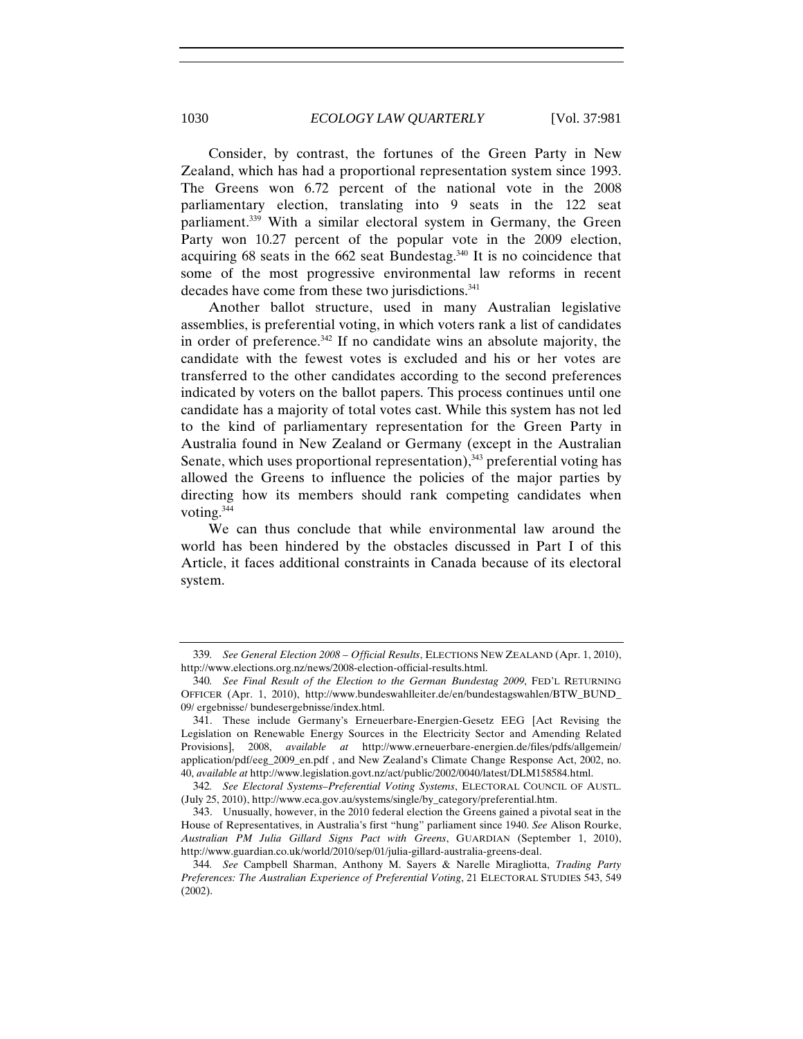Consider, by contrast, the fortunes of the Green Party in New Zealand, which has had a proportional representation system since 1993. The Greens won 6.72 percent of the national vote in the 2008 parliamentary election, translating into 9 seats in the 122 seat parliament.339 With a similar electoral system in Germany, the Green Party won 10.27 percent of the popular vote in the 2009 election, acquiring 68 seats in the 662 seat Bundestag.340 It is no coincidence that some of the most progressive environmental law reforms in recent decades have come from these two jurisdictions.<sup>341</sup>

Another ballot structure, used in many Australian legislative assemblies, is preferential voting, in which voters rank a list of candidates in order of preference.<sup>342</sup> If no candidate wins an absolute majority, the candidate with the fewest votes is excluded and his or her votes are transferred to the other candidates according to the second preferences indicated by voters on the ballot papers. This process continues until one candidate has a majority of total votes cast. While this system has not led to the kind of parliamentary representation for the Green Party in Australia found in New Zealand or Germany (except in the Australian Senate, which uses proportional representation), $343$  preferential voting has allowed the Greens to influence the policies of the major parties by directing how its members should rank competing candidates when voting.344

We can thus conclude that while environmental law around the world has been hindered by the obstacles discussed in Part I of this Article, it faces additional constraints in Canada because of its electoral system.

<sup>339</sup>*. See General Election 2008 – Official Results*, ELECTIONS NEW ZEALAND (Apr. 1, 2010), http://www.elections.org.nz/news/2008-election-official-results.html.

<sup>340</sup>*. See Final Result of the Election to the German Bundestag 2009*, FED'L RETURNING OFFICER (Apr. 1, 2010), http://www.bundeswahlleiter.de/en/bundestagswahlen/BTW\_BUND\_ 09/ ergebnisse/ bundesergebnisse/index.html.

<sup>341.</sup> These include Germany's Erneuerbare-Energien-Gesetz EEG [Act Revising the Legislation on Renewable Energy Sources in the Electricity Sector and Amending Related Provisions], 2008, *available at* http://www.erneuerbare-energien.de/files/pdfs/allgemein/ application/pdf/eeg\_2009\_en.pdf , and New Zealand's Climate Change Response Act, 2002, no. 40, *available at* http://www.legislation.govt.nz/act/public/2002/0040/latest/DLM158584.html.

<sup>342</sup>*. See Electoral Systems–Preferential Voting Systems*, ELECTORAL COUNCIL OF AUSTL. (July 25, 2010), http://www.eca.gov.au/systems/single/by\_category/preferential.htm.

<sup>343.</sup> Unusually, however, in the 2010 federal election the Greens gained a pivotal seat in the House of Representatives, in Australia's first "hung" parliament since 1940. *See* Alison Rourke, *Australian PM Julia Gillard Signs Pact with Greens*, GUARDIAN (September 1, 2010), http://www.guardian.co.uk/world/2010/sep/01/julia-gillard-australia-greens-deal.

<sup>344</sup>*. See* Campbell Sharman, Anthony M. Sayers & Narelle Miragliotta, *Trading Party Preferences: The Australian Experience of Preferential Voting*, 21 ELECTORAL STUDIES 543, 549 (2002).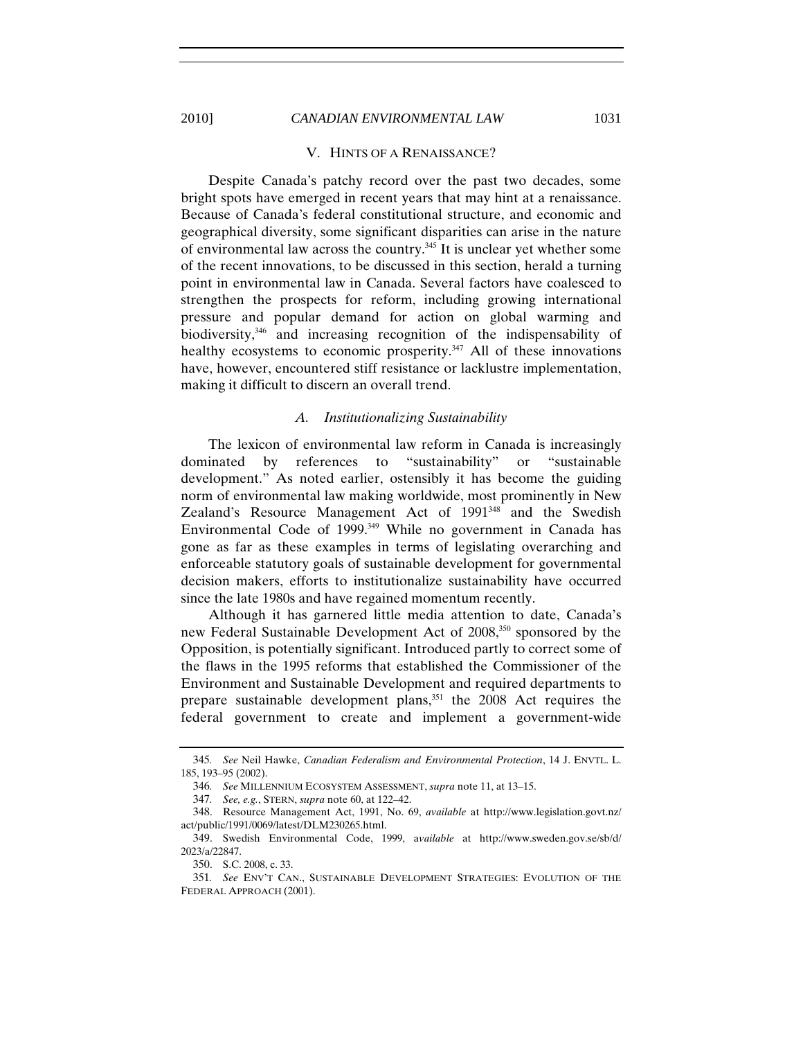#### V. HINTS OF A RENAISSANCE?

Despite Canada's patchy record over the past two decades, some bright spots have emerged in recent years that may hint at a renaissance. Because of Canada's federal constitutional structure, and economic and geographical diversity, some significant disparities can arise in the nature of environmental law across the country.<sup>345</sup> It is unclear yet whether some of the recent innovations, to be discussed in this section, herald a turning point in environmental law in Canada. Several factors have coalesced to strengthen the prospects for reform, including growing international pressure and popular demand for action on global warming and biodiversity,<sup>346</sup> and increasing recognition of the indispensability of healthy ecosystems to economic prosperity.<sup>347</sup> All of these innovations have, however, encountered stiff resistance or lacklustre implementation, making it difficult to discern an overall trend.

#### *A. Institutionalizing Sustainability*

The lexicon of environmental law reform in Canada is increasingly dominated by references to "sustainability" or "sustainable development." As noted earlier, ostensibly it has become the guiding norm of environmental law making worldwide, most prominently in New Zealand's Resource Management Act of 1991<sup>348</sup> and the Swedish Environmental Code of 1999.<sup>349</sup> While no government in Canada has gone as far as these examples in terms of legislating overarching and enforceable statutory goals of sustainable development for governmental decision makers, efforts to institutionalize sustainability have occurred since the late 1980s and have regained momentum recently.

Although it has garnered little media attention to date, Canada's new Federal Sustainable Development Act of 2008,350 sponsored by the Opposition, is potentially significant. Introduced partly to correct some of the flaws in the 1995 reforms that established the Commissioner of the Environment and Sustainable Development and required departments to prepare sustainable development plans,351 the 2008 Act requires the federal government to create and implement a government-wide

<sup>345</sup>*. See* Neil Hawke, *Canadian Federalism and Environmental Protection*, 14 J. ENVTL. L. 185, 193–95 (2002).

<sup>346</sup>*. See* MILLENNIUM ECOSYSTEM ASSESSMENT, *supra* note 11, at 13–15.

<sup>347</sup>*. See, e.g.*, STERN, *supra* note 60, at 122–42.

<sup>348.</sup> Resource Management Act, 1991, No. 69, *available* at http://www.legislation.govt.nz/ act/public/1991/0069/latest/DLM230265.html.

<sup>349.</sup> Swedish Environmental Code, 1999, a*vailable* at http://www.sweden.gov.se/sb/d/ 2023/a/22847.

<sup>350.</sup> S.C. 2008, c. 33.

<sup>351</sup>*. See* ENV'T CAN., SUSTAINABLE DEVELOPMENT STRATEGIES: EVOLUTION OF THE FEDERAL APPROACH (2001).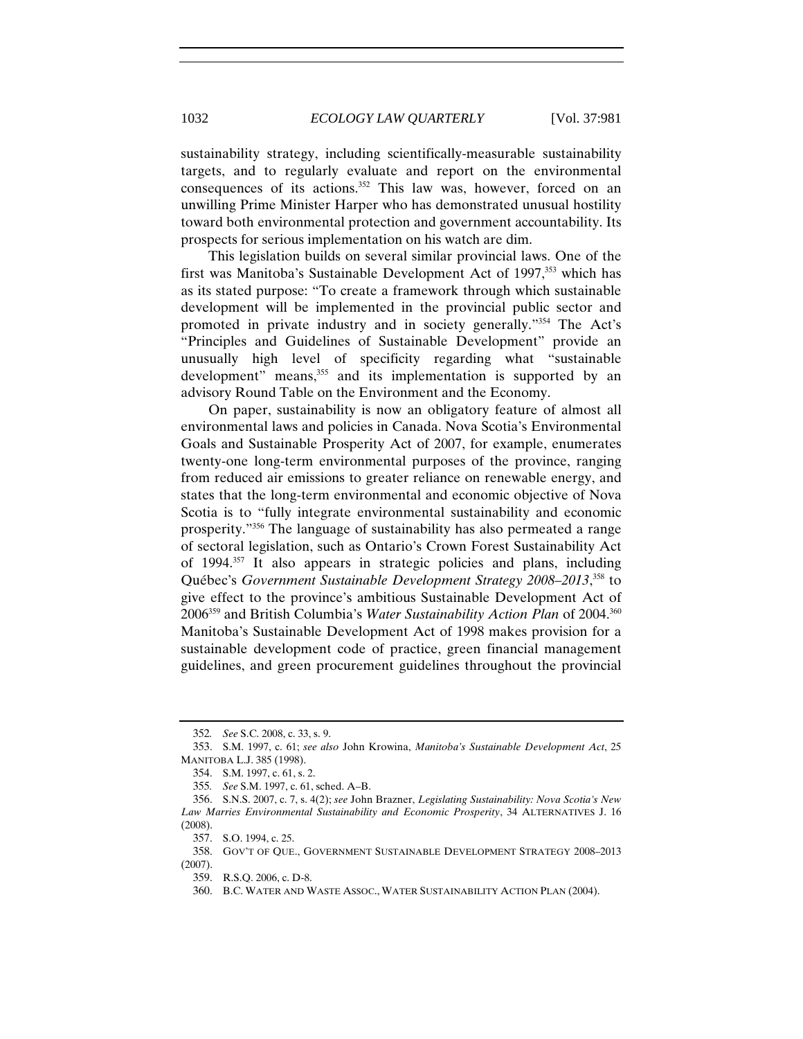sustainability strategy, including scientifically-measurable sustainability targets, and to regularly evaluate and report on the environmental consequences of its actions.<sup>352</sup> This law was, however, forced on an unwilling Prime Minister Harper who has demonstrated unusual hostility toward both environmental protection and government accountability. Its prospects for serious implementation on his watch are dim.

This legislation builds on several similar provincial laws. One of the first was Manitoba's Sustainable Development Act of 1997,<sup>353</sup> which has as its stated purpose: "To create a framework through which sustainable development will be implemented in the provincial public sector and promoted in private industry and in society generally."354 The Act's "Principles and Guidelines of Sustainable Development" provide an unusually high level of specificity regarding what "sustainable development" means,<sup>355</sup> and its implementation is supported by an advisory Round Table on the Environment and the Economy.

On paper, sustainability is now an obligatory feature of almost all environmental laws and policies in Canada. Nova Scotia's Environmental Goals and Sustainable Prosperity Act of 2007, for example, enumerates twenty-one long-term environmental purposes of the province, ranging from reduced air emissions to greater reliance on renewable energy, and states that the long-term environmental and economic objective of Nova Scotia is to "fully integrate environmental sustainability and economic prosperity."356 The language of sustainability has also permeated a range of sectoral legislation, such as Ontario's Crown Forest Sustainability Act of 1994.357 It also appears in strategic policies and plans, including Québec's *Government Sustainable Development Strategy 2008–2013*, 358 to give effect to the province's ambitious Sustainable Development Act of 2006359 and British Columbia's *Water Sustainability Action Plan* of 2004.360 Manitoba's Sustainable Development Act of 1998 makes provision for a sustainable development code of practice, green financial management guidelines, and green procurement guidelines throughout the provincial

<sup>352</sup>*. See* S.C. 2008, c. 33, s. 9.

<sup>353.</sup> S.M. 1997, c. 61; *see also* John Krowina, *Manitoba's Sustainable Development Act*, 25 MANITOBA L.J. 385 (1998).

<sup>354.</sup> S.M. 1997, c. 61, s. 2.

<sup>355</sup>*. See* S.M. 1997, c. 61, sched. A–B.

<sup>356.</sup> S.N.S. 2007, c. 7, s. 4(2); *see* John Brazner, *Legislating Sustainability: Nova Scotia's New Law Marries Environmental Sustainability and Economic Prosperity*, 34 ALTERNATIVES J. 16 (2008).

<sup>357.</sup> S.O. 1994, c. 25.

<sup>358.</sup> GOV'T OF QUE., GOVERNMENT SUSTAINABLE DEVELOPMENT STRATEGY 2008–2013 (2007).

<sup>359.</sup> R.S.Q. 2006, c. D-8.

<sup>360.</sup> B.C. WATER AND WASTE ASSOC., WATER SUSTAINABILITY ACTION PLAN (2004).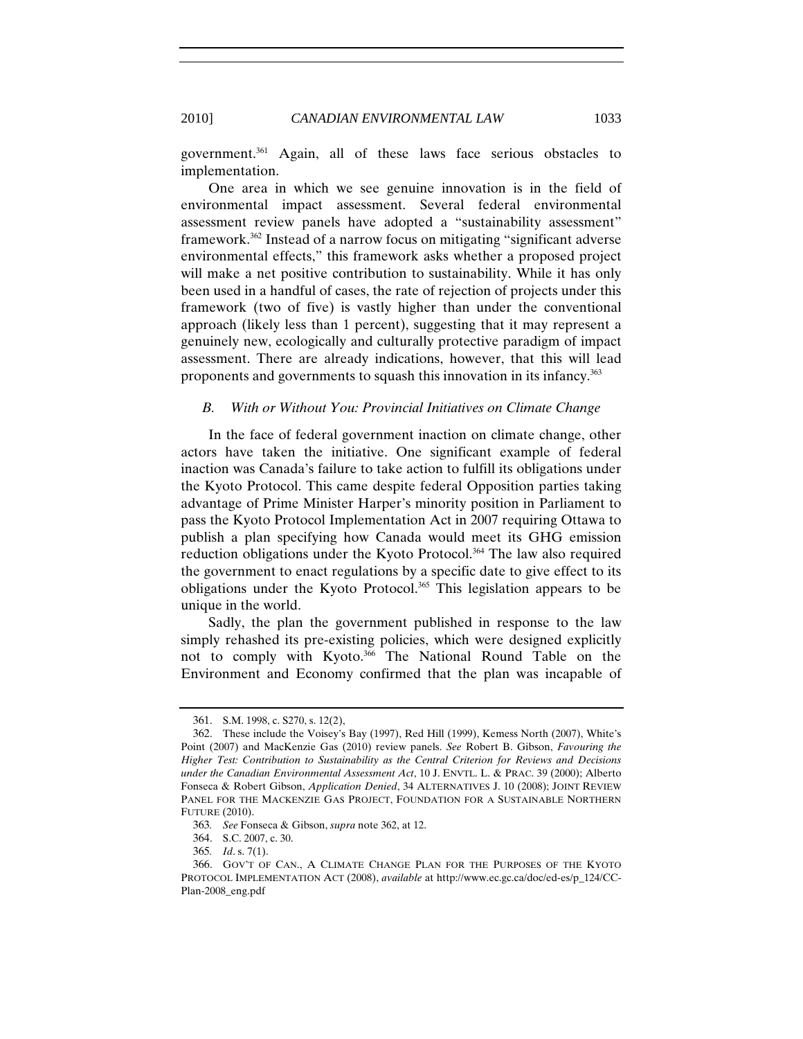government.361 Again, all of these laws face serious obstacles to implementation.

One area in which we see genuine innovation is in the field of environmental impact assessment. Several federal environmental assessment review panels have adopted a "sustainability assessment" framework.362 Instead of a narrow focus on mitigating "significant adverse environmental effects," this framework asks whether a proposed project will make a net positive contribution to sustainability. While it has only been used in a handful of cases, the rate of rejection of projects under this framework (two of five) is vastly higher than under the conventional approach (likely less than 1 percent), suggesting that it may represent a genuinely new, ecologically and culturally protective paradigm of impact assessment. There are already indications, however, that this will lead proponents and governments to squash this innovation in its infancy.<sup>363</sup>

#### *B. With or Without You: Provincial Initiatives on Climate Change*

In the face of federal government inaction on climate change, other actors have taken the initiative. One significant example of federal inaction was Canada's failure to take action to fulfill its obligations under the Kyoto Protocol. This came despite federal Opposition parties taking advantage of Prime Minister Harper's minority position in Parliament to pass the Kyoto Protocol Implementation Act in 2007 requiring Ottawa to publish a plan specifying how Canada would meet its GHG emission reduction obligations under the Kyoto Protocol.<sup>364</sup> The law also required the government to enact regulations by a specific date to give effect to its obligations under the Kyoto Protocol.<sup>365</sup> This legislation appears to be unique in the world.

Sadly, the plan the government published in response to the law simply rehashed its pre-existing policies, which were designed explicitly not to comply with Kyoto.366 The National Round Table on the Environment and Economy confirmed that the plan was incapable of

<sup>361.</sup> S.M. 1998, c. S270, s. 12(2),

<sup>362.</sup> These include the Voisey's Bay (1997), Red Hill (1999), Kemess North (2007), White's Point (2007) and MacKenzie Gas (2010) review panels. *See* Robert B. Gibson, *Favouring the Higher Test: Contribution to Sustainability as the Central Criterion for Reviews and Decisions under the Canadian Environmental Assessment Act*, 10 J. ENVTL. L. & PRAC. 39 (2000); Alberto Fonseca & Robert Gibson, *Application Denied*, 34 ALTERNATIVES J. 10 (2008); JOINT REVIEW PANEL FOR THE MACKENZIE GAS PROJECT, FOUNDATION FOR A SUSTAINABLE NORTHERN FUTURE (2010).

<sup>363</sup>*. See* Fonseca & Gibson, *supra* note 362, at 12.

<sup>364.</sup> S.C. 2007, c. 30.

<sup>365</sup>*. Id*. s. 7(1).

<sup>366.</sup> GOV'T OF CAN., A CLIMATE CHANGE PLAN FOR THE PURPOSES OF THE KYOTO PROTOCOL IMPLEMENTATION ACT (2008), *available* at http://www.ec.gc.ca/doc/ed-es/p\_124/CC-Plan-2008\_eng.pdf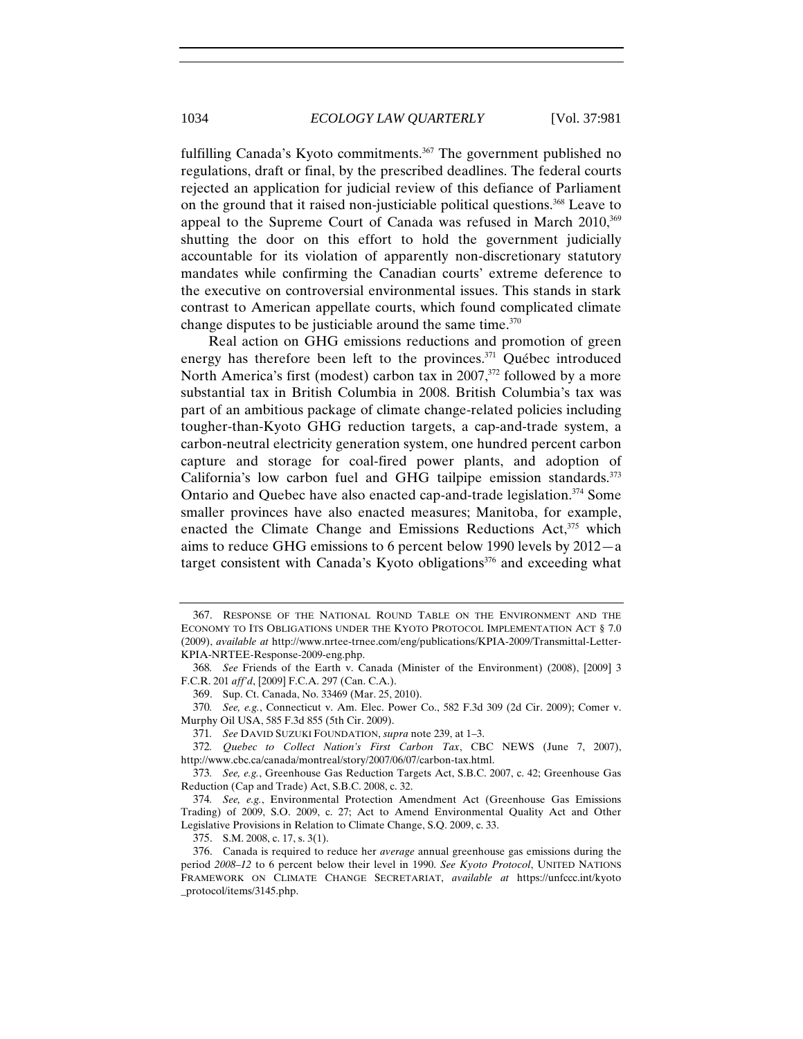fulfilling Canada's Kyoto commitments.<sup>367</sup> The government published no regulations, draft or final, by the prescribed deadlines. The federal courts rejected an application for judicial review of this defiance of Parliament on the ground that it raised non-justiciable political questions.<sup>368</sup> Leave to appeal to the Supreme Court of Canada was refused in March  $2010$ ,  $369$ shutting the door on this effort to hold the government judicially accountable for its violation of apparently non-discretionary statutory mandates while confirming the Canadian courts' extreme deference to the executive on controversial environmental issues. This stands in stark contrast to American appellate courts, which found complicated climate change disputes to be justiciable around the same time. $370$ 

Real action on GHG emissions reductions and promotion of green energy has therefore been left to the provinces.<sup>371</sup> Québec introduced North America's first (modest) carbon tax in  $2007$ ,  $372$  followed by a more substantial tax in British Columbia in 2008. British Columbia's tax was part of an ambitious package of climate change-related policies including tougher-than-Kyoto GHG reduction targets, a cap-and-trade system, a carbon-neutral electricity generation system, one hundred percent carbon capture and storage for coal-fired power plants, and adoption of California's low carbon fuel and GHG tailpipe emission standards. $373$ Ontario and Quebec have also enacted cap-and-trade legislation.<sup>374</sup> Some smaller provinces have also enacted measures; Manitoba, for example, enacted the Climate Change and Emissions Reductions Act,<sup>375</sup> which aims to reduce GHG emissions to 6 percent below 1990 levels by 2012—a target consistent with Canada's Kyoto obligations<sup>376</sup> and exceeding what

375. S.M. 2008, c. 17, s. 3(1).

<sup>367.</sup> RESPONSE OF THE NATIONAL ROUND TABLE ON THE ENVIRONMENT AND THE ECONOMY TO ITS OBLIGATIONS UNDER THE KYOTO PROTOCOL IMPLEMENTATION ACT § 7.0 (2009), *available at* http://www.nrtee-trnee.com/eng/publications/KPIA-2009/Transmittal-Letter-KPIA-NRTEE-Response-2009-eng.php.

<sup>368</sup>*. See* Friends of the Earth v. Canada (Minister of the Environment) (2008), [2009] 3 F.C.R. 201 *aff'd*, [2009] F.C.A. 297 (Can. C.A.).

<sup>369.</sup> Sup. Ct. Canada, No. 33469 (Mar. 25, 2010).

<sup>370</sup>*. See, e.g.*, Connecticut v. Am. Elec. Power Co., 582 F.3d 309 (2d Cir. 2009); Comer v. Murphy Oil USA, 585 F.3d 855 (5th Cir. 2009).

<sup>371</sup>*. See* DAVID SUZUKI FOUNDATION, *supra* note 239, at 1–3.

<sup>372</sup>*. Quebec to Collect Nation's First Carbon Tax*, CBC NEWS (June 7, 2007), http://www.cbc.ca/canada/montreal/story/2007/06/07/carbon-tax.html.

<sup>373</sup>*. See, e.g.*, Greenhouse Gas Reduction Targets Act, S.B.C. 2007, c. 42; Greenhouse Gas Reduction (Cap and Trade) Act, S.B.C. 2008, c. 32.

<sup>374</sup>*. See, e.g.*, Environmental Protection Amendment Act (Greenhouse Gas Emissions Trading) of 2009, S.O. 2009, c. 27; Act to Amend Environmental Quality Act and Other Legislative Provisions in Relation to Climate Change, S.Q. 2009, c. 33.

<sup>376.</sup> Canada is required to reduce her *average* annual greenhouse gas emissions during the period *2008–12* to 6 percent below their level in 1990. *See Kyoto Protocol*, UNITED NATIONS FRAMEWORK ON CLIMATE CHANGE SECRETARIAT, *available at* https://unfccc.int/kyoto \_protocol/items/3145.php.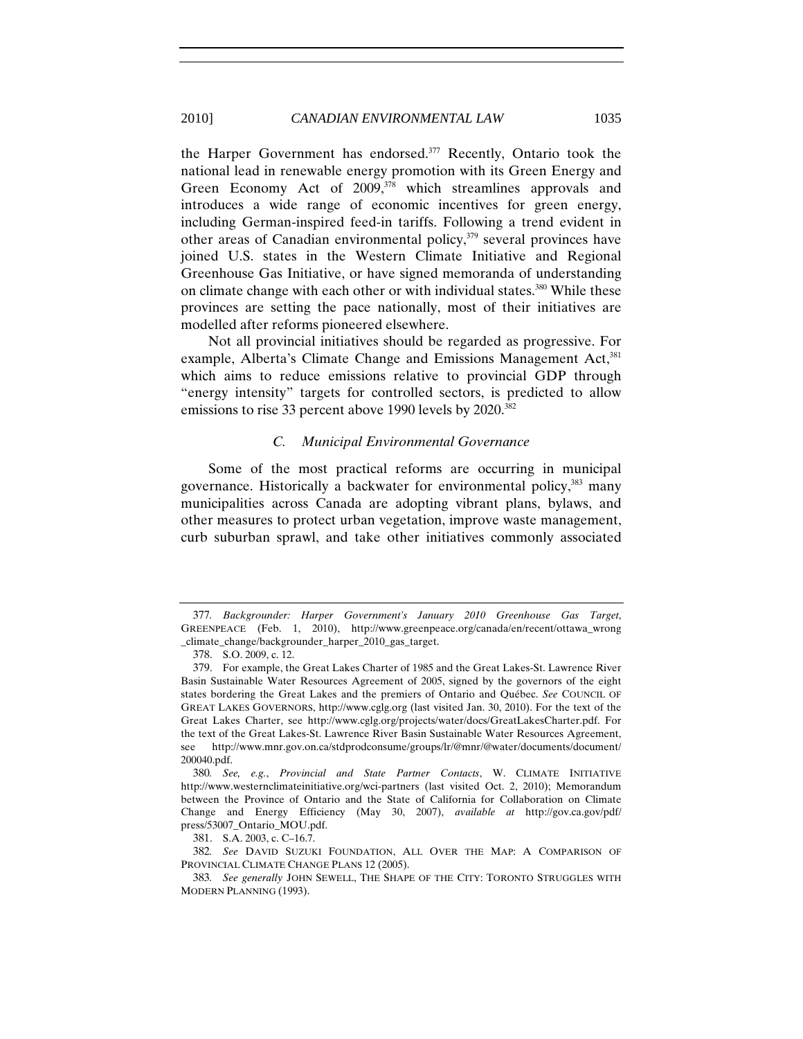the Harper Government has endorsed.377 Recently, Ontario took the national lead in renewable energy promotion with its Green Energy and Green Economy Act of  $2009$ ,<sup>378</sup> which streamlines approvals and introduces a wide range of economic incentives for green energy, including German-inspired feed-in tariffs. Following a trend evident in other areas of Canadian environmental policy, $379$  several provinces have joined U.S. states in the Western Climate Initiative and Regional Greenhouse Gas Initiative, or have signed memoranda of understanding on climate change with each other or with individual states.<sup>380</sup> While these provinces are setting the pace nationally, most of their initiatives are modelled after reforms pioneered elsewhere.

Not all provincial initiatives should be regarded as progressive. For example, Alberta's Climate Change and Emissions Management Act,<sup>381</sup> which aims to reduce emissions relative to provincial GDP through "energy intensity" targets for controlled sectors, is predicted to allow emissions to rise 33 percent above 1990 levels by 2020.<sup>382</sup>

#### *C. Municipal Environmental Governance*

Some of the most practical reforms are occurring in municipal governance. Historically a backwater for environmental policy,<sup>383</sup> many municipalities across Canada are adopting vibrant plans, bylaws, and other measures to protect urban vegetation, improve waste management, curb suburban sprawl, and take other initiatives commonly associated

381. S.A. 2003, c. C–16.7.

382*. See* DAVID SUZUKI FOUNDATION, ALL OVER THE MAP: A COMPARISON OF PROVINCIAL CLIMATE CHANGE PLANS 12 (2005).

<sup>377</sup>*. Backgrounder: Harper Government's January 2010 Greenhouse Gas Target*, GREENPEACE (Feb. 1, 2010), http://www.greenpeace.org/canada/en/recent/ottawa\_wrong \_climate\_change/backgrounder\_harper\_2010\_gas\_target.

<sup>378.</sup> S.O. 2009, c. 12.

<sup>379.</sup> For example, the Great Lakes Charter of 1985 and the Great Lakes-St. Lawrence River Basin Sustainable Water Resources Agreement of 2005, signed by the governors of the eight states bordering the Great Lakes and the premiers of Ontario and Québec. *See* COUNCIL OF GREAT LAKES GOVERNORS, http://www.cglg.org (last visited Jan. 30, 2010). For the text of the Great Lakes Charter, see http://www.cglg.org/projects/water/docs/GreatLakesCharter.pdf. For the text of the Great Lakes-St. Lawrence River Basin Sustainable Water Resources Agreement, see http://www.mnr.gov.on.ca/stdprodconsume/groups/lr/@mnr/@water/documents/document/ 200040.pdf.

<sup>380</sup>*. See, e.g.*, *Provincial and State Partner Contacts*, W. CLIMATE INITIATIVE http://www.westernclimateinitiative.org/wci-partners (last visited Oct. 2, 2010); Memorandum between the Province of Ontario and the State of California for Collaboration on Climate Change and Energy Efficiency (May 30, 2007), *available at* http://gov.ca.gov/pdf/ press/53007\_Ontario\_MOU.pdf.

<sup>383</sup>*. See generally* JOHN SEWELL, THE SHAPE OF THE CITY: TORONTO STRUGGLES WITH MODERN PLANNING (1993).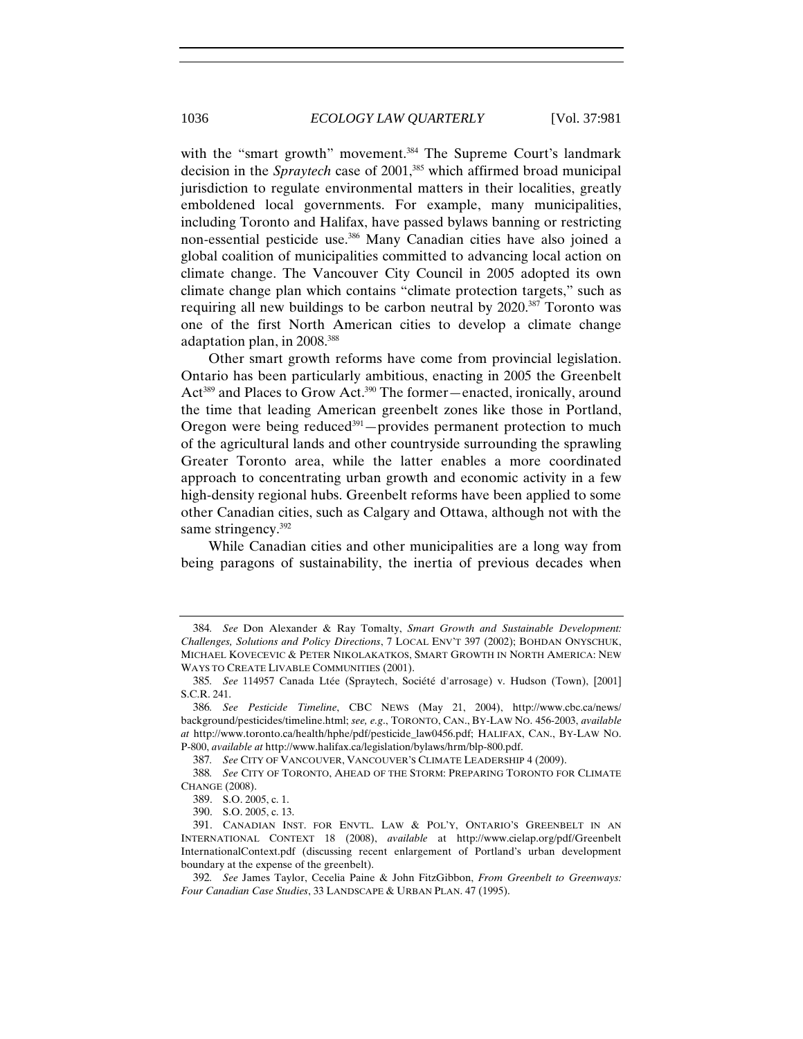with the "smart growth" movement.<sup>384</sup> The Supreme Court's landmark decision in the *Spraytech* case of 2001,<sup>385</sup> which affirmed broad municipal jurisdiction to regulate environmental matters in their localities, greatly emboldened local governments. For example, many municipalities, including Toronto and Halifax, have passed bylaws banning or restricting non-essential pesticide use.386 Many Canadian cities have also joined a global coalition of municipalities committed to advancing local action on climate change. The Vancouver City Council in 2005 adopted its own climate change plan which contains "climate protection targets," such as requiring all new buildings to be carbon neutral by 2020.387 Toronto was one of the first North American cities to develop a climate change adaptation plan, in 2008.388

Other smart growth reforms have come from provincial legislation. Ontario has been particularly ambitious, enacting in 2005 the Greenbelt Act<sup>389</sup> and Places to Grow Act.<sup>390</sup> The former—enacted, ironically, around the time that leading American greenbelt zones like those in Portland, Oregon were being reduced $391$  – provides permanent protection to much of the agricultural lands and other countryside surrounding the sprawling Greater Toronto area, while the latter enables a more coordinated approach to concentrating urban growth and economic activity in a few high-density regional hubs. Greenbelt reforms have been applied to some other Canadian cities, such as Calgary and Ottawa, although not with the same stringency.<sup>392</sup>

While Canadian cities and other municipalities are a long way from being paragons of sustainability, the inertia of previous decades when

387*. See* CITY OF VANCOUVER, VANCOUVER'S CLIMATE LEADERSHIP 4 (2009).

<sup>384</sup>*. See* Don Alexander & Ray Tomalty, *Smart Growth and Sustainable Development: Challenges, Solutions and Policy Directions*, 7 LOCAL ENV'T 397 (2002); BOHDAN ONYSCHUK, MICHAEL KOVECEVIC & PETER NIKOLAKATKOS, SMART GROWTH IN NORTH AMERICA: NEW WAYS TO CREATE LIVABLE COMMUNITIES (2001).

<sup>385</sup>*. See* 114957 Canada Ltée (Spraytech, Société d'arrosage) v. Hudson (Town), [2001] S.C.R. 241.

<sup>386</sup>*. See Pesticide Timeline*, CBC NEWS (May 21, 2004), http://www.cbc.ca/news/ background/pesticides/timeline.html; *see, e.g*., TORONTO, CAN., BY-LAW NO. 456-2003, *available at* http://www.toronto.ca/health/hphe/pdf/pesticide\_law0456.pdf; HALIFAX, CAN., BY-LAW NO. P-800, *available at* http://www.halifax.ca/legislation/bylaws/hrm/blp-800.pdf.

<sup>388</sup>*. See* CITY OF TORONTO, AHEAD OF THE STORM: PREPARING TORONTO FOR CLIMATE CHANGE (2008).

<sup>389.</sup> S.O. 2005, c. 1.

<sup>390.</sup> S.O. 2005, c. 13.

<sup>391.</sup> CANADIAN INST. FOR ENVTL. LAW & POL'Y, ONTARIO'S GREENBELT IN AN INTERNATIONAL CONTEXT 18 (2008), *available* at http://www.cielap.org/pdf/Greenbelt InternationalContext.pdf (discussing recent enlargement of Portland's urban development boundary at the expense of the greenbelt).

<sup>392</sup>*. See* James Taylor, Cecelia Paine & John FitzGibbon, *From Greenbelt to Greenways: Four Canadian Case Studies*, 33 LANDSCAPE & URBAN PLAN. 47 (1995).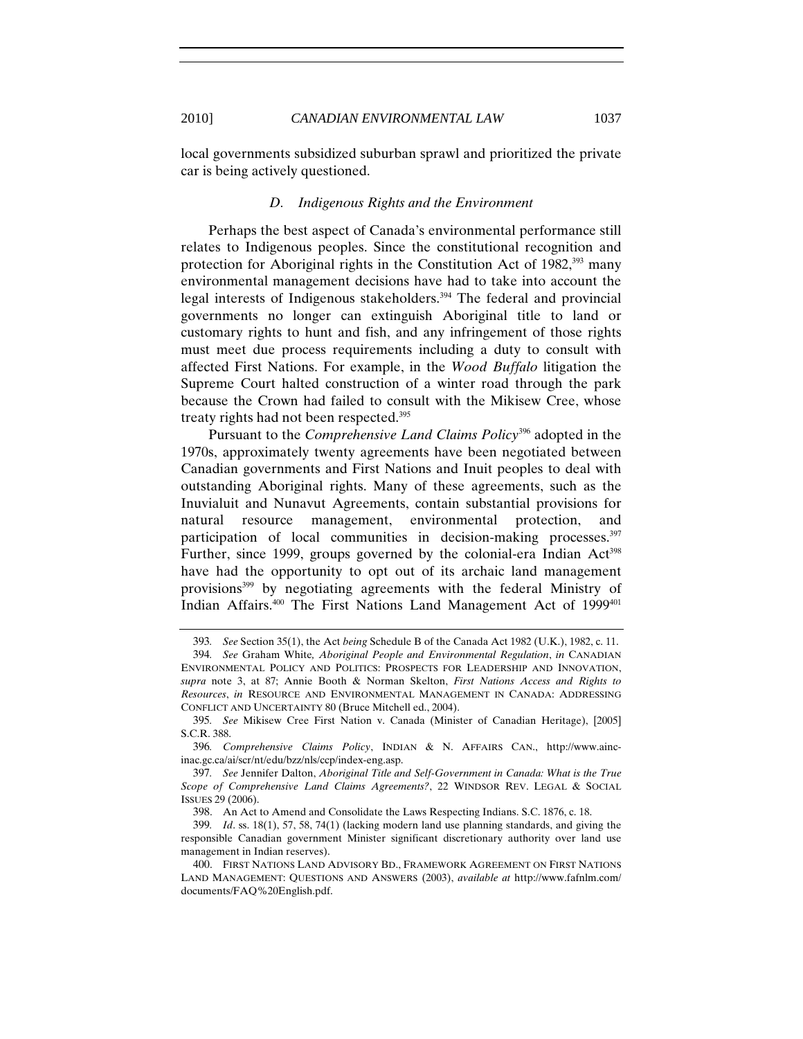local governments subsidized suburban sprawl and prioritized the private car is being actively questioned.

## *D. Indigenous Rights and the Environment*

Perhaps the best aspect of Canada's environmental performance still relates to Indigenous peoples. Since the constitutional recognition and protection for Aboriginal rights in the Constitution Act of  $1982$ <sup>393</sup> many environmental management decisions have had to take into account the legal interests of Indigenous stakeholders.394 The federal and provincial governments no longer can extinguish Aboriginal title to land or customary rights to hunt and fish, and any infringement of those rights must meet due process requirements including a duty to consult with affected First Nations. For example, in the *Wood Buffalo* litigation the Supreme Court halted construction of a winter road through the park because the Crown had failed to consult with the Mikisew Cree, whose treaty rights had not been respected.<sup>395</sup>

Pursuant to the *Comprehensive Land Claims Policy*396 adopted in the 1970s, approximately twenty agreements have been negotiated between Canadian governments and First Nations and Inuit peoples to deal with outstanding Aboriginal rights. Many of these agreements, such as the Inuvialuit and Nunavut Agreements, contain substantial provisions for natural resource management, environmental protection, and participation of local communities in decision-making processes.<sup>397</sup> Further, since 1999, groups governed by the colonial-era Indian Act<sup>398</sup> have had the opportunity to opt out of its archaic land management provisions<sup>399</sup> by negotiating agreements with the federal Ministry of Indian Affairs.<sup>400</sup> The First Nations Land Management Act of 1999<sup>401</sup>

<sup>393</sup>*. See* Section 35(1), the Act *being* Schedule B of the Canada Act 1982 (U.K.), 1982, c. 11.

<sup>394</sup>*. See* Graham White*, Aboriginal People and Environmental Regulation*, *in* CANADIAN ENVIRONMENTAL POLICY AND POLITICS: PROSPECTS FOR LEADERSHIP AND INNOVATION, *supra* note 3, at 87; Annie Booth & Norman Skelton, *First Nations Access and Rights to Resources*, *in* RESOURCE AND ENVIRONMENTAL MANAGEMENT IN CANADA: ADDRESSING CONFLICT AND UNCERTAINTY 80 (Bruce Mitchell ed., 2004).

<sup>395</sup>*. See* Mikisew Cree First Nation v. Canada (Minister of Canadian Heritage), [2005] S.C.R. 388.

<sup>396</sup>*. Comprehensive Claims Policy*, INDIAN & N. AFFAIRS CAN., http://www.aincinac.gc.ca/ai/scr/nt/edu/bzz/nls/ccp/index-eng.asp.

<sup>397</sup>*. See* Jennifer Dalton, *Aboriginal Title and Self-Government in Canada: What is the True Scope of Comprehensive Land Claims Agreements?*, 22 WINDSOR REV. LEGAL & SOCIAL ISSUES 29 (2006).

<sup>398.</sup> An Act to Amend and Consolidate the Laws Respecting Indians. S.C. 1876, c. 18.

<sup>399</sup>*. Id*. ss. 18(1), 57, 58, 74(1) (lacking modern land use planning standards, and giving the responsible Canadian government Minister significant discretionary authority over land use management in Indian reserves).

<sup>400.</sup> FIRST NATIONS LAND ADVISORY BD., FRAMEWORK AGREEMENT ON FIRST NATIONS LAND MANAGEMENT: QUESTIONS AND ANSWERS (2003), *available at* http://www.fafnlm.com/ documents/FAQ%20English.pdf.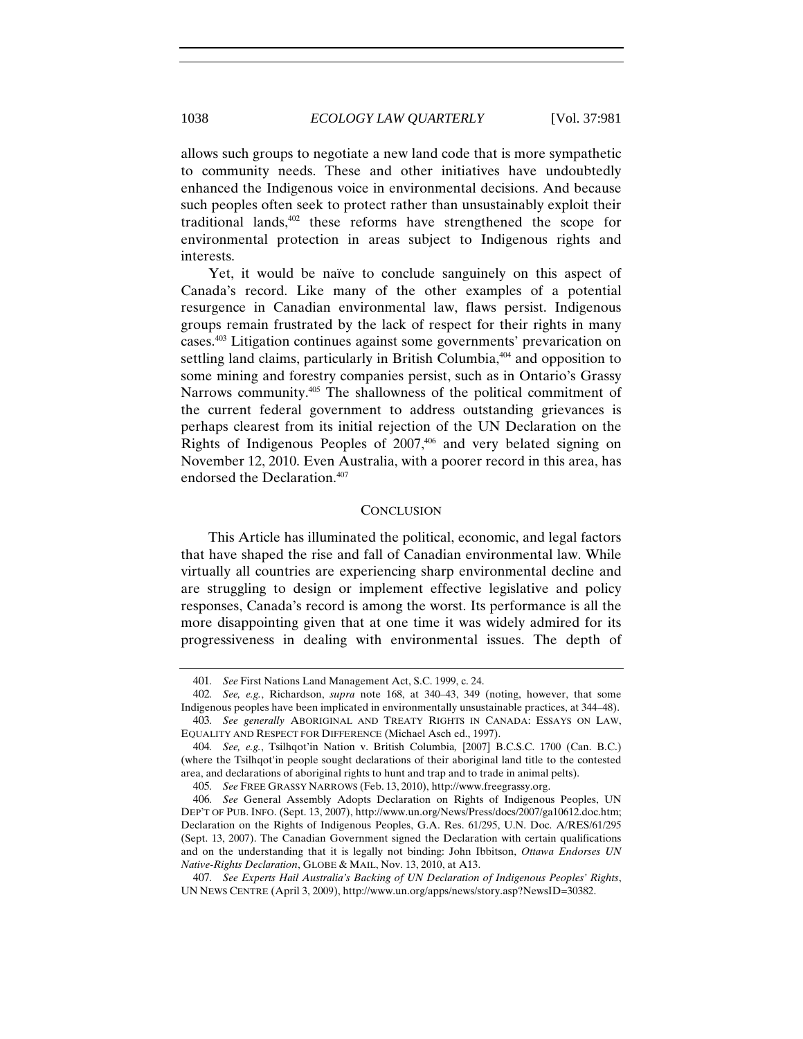allows such groups to negotiate a new land code that is more sympathetic to community needs. These and other initiatives have undoubtedly enhanced the Indigenous voice in environmental decisions. And because such peoples often seek to protect rather than unsustainably exploit their traditional lands,402 these reforms have strengthened the scope for environmental protection in areas subject to Indigenous rights and interests.

Yet, it would be naïve to conclude sanguinely on this aspect of Canada's record. Like many of the other examples of a potential resurgence in Canadian environmental law, flaws persist. Indigenous groups remain frustrated by the lack of respect for their rights in many cases.403 Litigation continues against some governments' prevarication on settling land claims, particularly in British Columbia,<sup>404</sup> and opposition to some mining and forestry companies persist, such as in Ontario's Grassy Narrows community.<sup>405</sup> The shallowness of the political commitment of the current federal government to address outstanding grievances is perhaps clearest from its initial rejection of the UN Declaration on the Rights of Indigenous Peoples of  $2007,406$  and very belated signing on November 12, 2010. Even Australia, with a poorer record in this area, has endorsed the Declaration.<sup>407</sup>

#### **CONCLUSION**

This Article has illuminated the political, economic, and legal factors that have shaped the rise and fall of Canadian environmental law. While virtually all countries are experiencing sharp environmental decline and are struggling to design or implement effective legislative and policy responses, Canada's record is among the worst. Its performance is all the more disappointing given that at one time it was widely admired for its progressiveness in dealing with environmental issues. The depth of

<sup>401</sup>*. See* First Nations Land Management Act, S.C. 1999, c. 24.

<sup>402</sup>*. See, e.g.*, Richardson, *supra* note 168, at 340–43, 349 (noting, however, that some Indigenous peoples have been implicated in environmentally unsustainable practices, at 344–48). 403*. See generally* ABORIGINAL AND TREATY RIGHTS IN CANADA: ESSAYS ON LAW,

EQUALITY AND RESPECT FOR DIFFERENCE (Michael Asch ed., 1997).

<sup>404</sup>*. See, e.g.*, Tsilhqot'in Nation v. British Columbia*,* [2007] B.C.S.C. 1700 (Can. B.C.) (where the Tsilhqot'in people sought declarations of their aboriginal land title to the contested area, and declarations of aboriginal rights to hunt and trap and to trade in animal pelts).

<sup>405</sup>*. See* FREE GRASSY NARROWS (Feb. 13, 2010), http://www.freegrassy.org.

<sup>406</sup>*. See* General Assembly Adopts Declaration on Rights of Indigenous Peoples, UN DEP'T OF PUB. INFO. (Sept. 13, 2007), http://www.un.org/News/Press/docs/2007/ga10612.doc.htm; Declaration on the Rights of Indigenous Peoples, G.A. Res. 61/295, U.N. Doc. A/RES/61/295 (Sept. 13, 2007). The Canadian Government signed the Declaration with certain qualifications and on the understanding that it is legally not binding: John Ibbitson, *Ottawa Endorses UN Native-Rights Declaration*, GLOBE & MAIL, Nov. 13, 2010, at A13.

<sup>407</sup>*. See Experts Hail Australia's Backing of UN Declaration of Indigenous Peoples' Rights*, UN NEWS CENTRE (April 3, 2009), http://www.un.org/apps/news/story.asp?NewsID=30382.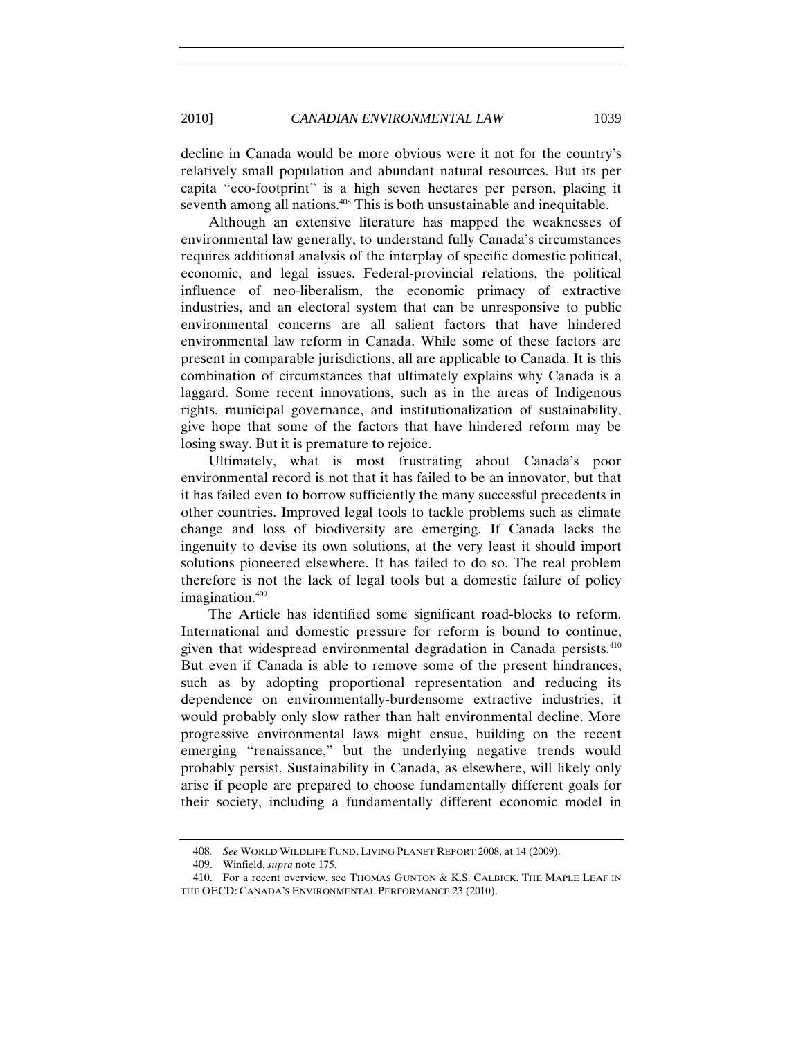decline in Canada would be more obvious were it not for the country's relatively small population and abundant natural resources. But its per capita "eco-footprint" is a high seven hectares per person, placing it seventh among all nations.<sup>408</sup> This is both unsustainable and inequitable.

Although an extensive literature has mapped the weaknesses of environmental law generally, to understand fully Canada's circumstances requires additional analysis of the interplay of specific domestic political, economic, and legal issues. Federal-provincial relations, the political influence of neo-liberalism, the economic primacy of extractive industries, and an electoral system that can be unresponsive to public environmental concerns are all salient factors that have hindered environmental law reform in Canada. While some of these factors are present in comparable jurisdictions, all are applicable to Canada. It is this combination of circumstances that ultimately explains why Canada is a laggard. Some recent innovations, such as in the areas of Indigenous rights, municipal governance, and institutionalization of sustainability, give hope that some of the factors that have hindered reform may be losing sway. But it is premature to rejoice.

Ultimately, what is most frustrating about Canada's poor environmental record is not that it has failed to be an innovator, but that it has failed even to borrow sufficiently the many successful precedents in other countries. Improved legal tools to tackle problems such as climate change and loss of biodiversity are emerging. If Canada lacks the ingenuity to devise its own solutions, at the very least it should import solutions pioneered elsewhere. It has failed to do so. The real problem therefore is not the lack of legal tools but a domestic failure of policy imagination.409

The Article has identified some significant road-blocks to reform. International and domestic pressure for reform is bound to continue, given that widespread environmental degradation in Canada persists.<sup>410</sup> But even if Canada is able to remove some of the present hindrances, such as by adopting proportional representation and reducing its dependence on environmentally-burdensome extractive industries, it would probably only slow rather than halt environmental decline. More progressive environmental laws might ensue, building on the recent emerging "renaissance," but the underlying negative trends would probably persist. Sustainability in Canada, as elsewhere, will likely only arise if people are prepared to choose fundamentally different goals for their society, including a fundamentally different economic model in

<sup>408</sup>*. See* WORLD WILDLIFE FUND, LIVING PLANET REPORT 2008, at 14 (2009).

<sup>409.</sup> Winfield, *supra* note 175.

<sup>410.</sup> For a recent overview, see THOMAS GUNTON & K.S. CALBICK, THE MAPLE LEAF IN THE OECD: CANADA'S ENVIRONMENTAL PERFORMANCE 23 (2010).